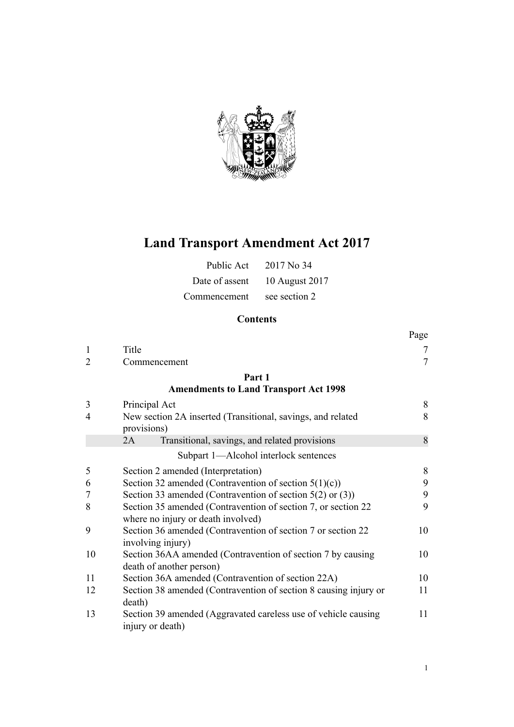

# **Land Transport Amendment Act 2017**

| Public Act   | $2017$ No 34                  |
|--------------|-------------------------------|
|              | Date of assent 10 August 2017 |
| Commencement | see section 2                 |

# **Contents**

|                |                                                                                                     | Page   |
|----------------|-----------------------------------------------------------------------------------------------------|--------|
| $\mathbf{1}$   | Title                                                                                               | 7      |
| $\overline{2}$ | Commencement                                                                                        | $\tau$ |
|                | Part 1                                                                                              |        |
|                | <b>Amendments to Land Transport Act 1998</b>                                                        |        |
| 3              | Principal Act                                                                                       | 8      |
| $\overline{4}$ | New section 2A inserted (Transitional, savings, and related<br>provisions)                          | 8      |
|                | Transitional, savings, and related provisions<br>2A                                                 | 8      |
|                | Subpart 1-Alcohol interlock sentences                                                               |        |
| 5              | Section 2 amended (Interpretation)                                                                  | 8      |
| 6              | Section 32 amended (Contravention of section $5(1)(c)$ )                                            | 9      |
| 7              | Section 33 amended (Contravention of section $5(2)$ or $(3)$ )                                      | 9      |
| 8              | Section 35 amended (Contravention of section 7, or section 22<br>where no injury or death involved) | 9      |
| 9              | Section 36 amended (Contravention of section 7 or section 22<br>involving injury)                   | 10     |
| 10             | Section 36AA amended (Contravention of section 7 by causing<br>death of another person)             | 10     |
| 11             | Section 36A amended (Contravention of section 22A)                                                  | 10     |
| 12             | Section 38 amended (Contravention of section 8 causing injury or<br>death)                          | 11     |
| 13             | Section 39 amended (Aggravated careless use of vehicle causing<br>injury or death)                  | 11     |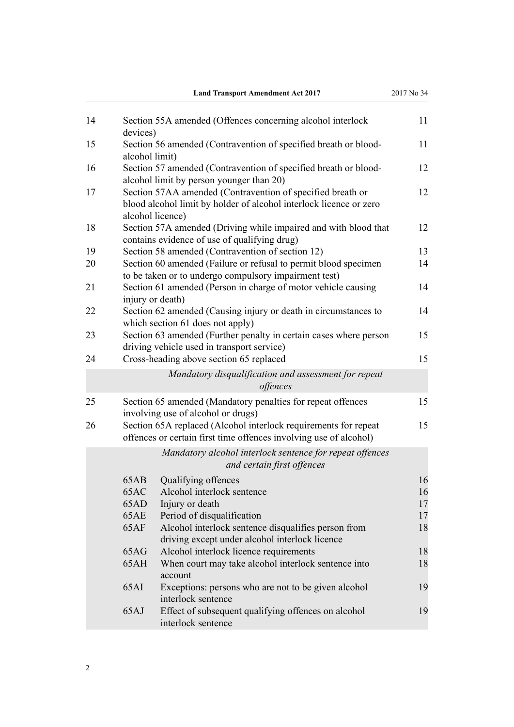|    |                | <b>Land Transport Amendment Act 2017</b>                                                                                                             | 2017 No 34 |
|----|----------------|------------------------------------------------------------------------------------------------------------------------------------------------------|------------|
| 14 | devices)       | Section 55A amended (Offences concerning alcohol interlock                                                                                           | 11         |
| 15 | alcohol limit) | Section 56 amended (Contravention of specified breath or blood-                                                                                      | 11         |
| 16 |                | Section 57 amended (Contravention of specified breath or blood-<br>alcohol limit by person younger than 20)                                          | 12         |
| 17 |                | Section 57AA amended (Contravention of specified breath or<br>blood alcohol limit by holder of alcohol interlock licence or zero<br>alcohol licence) | 12         |
| 18 |                | Section 57A amended (Driving while impaired and with blood that<br>contains evidence of use of qualifying drug)                                      | 12         |
| 19 |                | Section 58 amended (Contravention of section 12)                                                                                                     | 13         |
| 20 |                | Section 60 amended (Failure or refusal to permit blood specimen<br>to be taken or to undergo compulsory impairment test)                             | 14         |
| 21 |                | Section 61 amended (Person in charge of motor vehicle causing<br>injury or death)                                                                    | 14         |
| 22 |                | Section 62 amended (Causing injury or death in circumstances to<br>which section 61 does not apply)                                                  | 14         |
| 23 |                | Section 63 amended (Further penalty in certain cases where person<br>driving vehicle used in transport service)                                      | 15         |
| 24 |                | Cross-heading above section 65 replaced                                                                                                              | 15         |
|    |                | Mandatory disqualification and assessment for repeat<br>offences                                                                                     |            |
| 25 |                | Section 65 amended (Mandatory penalties for repeat offences<br>involving use of alcohol or drugs)                                                    | 15         |
| 26 |                | Section 65A replaced (Alcohol interlock requirements for repeat<br>offences or certain first time offences involving use of alcohol)                 | 15         |
|    |                | Mandatory alcohol interlock sentence for repeat offences<br>and certain first offences                                                               |            |
|    | 65AB           | Qualifying offences                                                                                                                                  | 16         |
|    | 65AC           | Alcohol interlock sentence                                                                                                                           | 16         |
|    | 65AD           | Injury or death                                                                                                                                      | 17         |
|    | 65AE           | Period of disqualification                                                                                                                           | 17         |
|    | 65AF           | Alcohol interlock sentence disqualifies person from<br>driving except under alcohol interlock licence                                                | 18         |
|    | 65AG           | Alcohol interlock licence requirements                                                                                                               | 18         |
|    | 65AH           | When court may take alcohol interlock sentence into<br>account                                                                                       | 18         |
|    | 65AI           | Exceptions: persons who are not to be given alcohol<br>interlock sentence                                                                            | 19         |
|    | 65AJ           | Effect of subsequent qualifying offences on alcohol<br>interlock sentence                                                                            | 19         |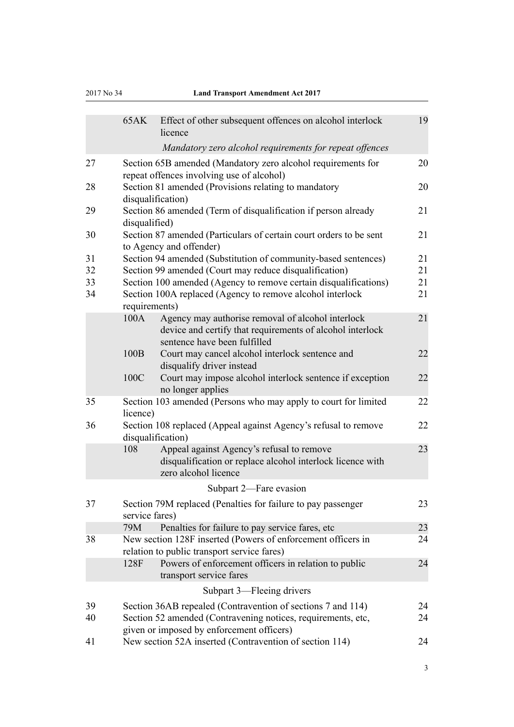#### 2017 No 34 **Land Transport Amendment Act 2017**

|    | 65AK              | Effect of other subsequent offences on alcohol interlock<br>licence                                         | 19 |
|----|-------------------|-------------------------------------------------------------------------------------------------------------|----|
|    |                   | Mandatory zero alcohol requirements for repeat offences                                                     |    |
| 27 |                   | Section 65B amended (Mandatory zero alcohol requirements for<br>repeat offences involving use of alcohol)   | 20 |
| 28 | disqualification) | Section 81 amended (Provisions relating to mandatory                                                        | 20 |
| 29 | disqualified)     | Section 86 amended (Term of disqualification if person already                                              | 21 |
| 30 |                   | Section 87 amended (Particulars of certain court orders to be sent<br>to Agency and offender)               | 21 |
| 31 |                   | Section 94 amended (Substitution of community-based sentences)                                              | 21 |
| 32 |                   | Section 99 amended (Court may reduce disqualification)                                                      | 21 |
| 33 |                   | Section 100 amended (Agency to remove certain disqualifications)                                            | 21 |
| 34 | requirements)     | Section 100A replaced (Agency to remove alcohol interlock                                                   | 21 |
|    | 100A              | Agency may authorise removal of alcohol interlock                                                           | 21 |
|    |                   | device and certify that requirements of alcohol interlock                                                   |    |
|    |                   | sentence have been fulfilled                                                                                |    |
|    | 100B              | Court may cancel alcohol interlock sentence and                                                             | 22 |
|    |                   | disqualify driver instead                                                                                   |    |
|    | 100C              | Court may impose alcohol interlock sentence if exception<br>no longer applies                               | 22 |
| 35 | licence)          | Section 103 amended (Persons who may apply to court for limited                                             | 22 |
| 36 | disqualification) | Section 108 replaced (Appeal against Agency's refusal to remove                                             | 22 |
|    | 108               | Appeal against Agency's refusal to remove                                                                   | 23 |
|    |                   | disqualification or replace alcohol interlock licence with<br>zero alcohol licence                          |    |
|    |                   | Subpart 2—Fare evasion                                                                                      |    |
| 37 | service fares)    | Section 79M replaced (Penalties for failure to pay passenger                                                | 23 |
|    | 79M               | Penalties for failure to pay service fares, etc.                                                            | 23 |
| 38 |                   | New section 128F inserted (Powers of enforcement officers in<br>relation to public transport service fares) | 24 |
|    | 128F              | Powers of enforcement officers in relation to public<br>transport service fares                             | 24 |
|    |                   | Subpart 3—Fleeing drivers                                                                                   |    |
| 39 |                   | Section 36AB repealed (Contravention of sections 7 and 114)                                                 | 24 |
| 40 |                   | Section 52 amended (Contravening notices, requirements, etc.                                                | 24 |
|    |                   | given or imposed by enforcement officers)                                                                   |    |
| 41 |                   | New section 52A inserted (Contravention of section 114)                                                     | 24 |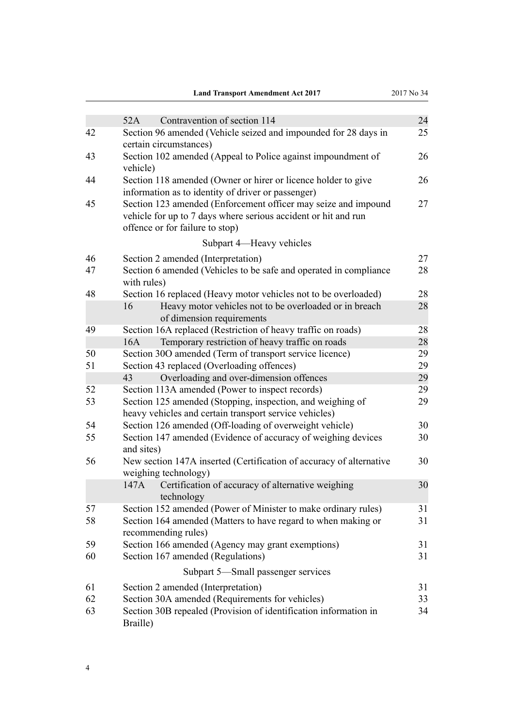|  | <b>Land Transport Amendment Act 2017</b> |  |
|--|------------------------------------------|--|
|--|------------------------------------------|--|

|    | Contravention of section 114<br>52A                                                                                                                                 | 24 |
|----|---------------------------------------------------------------------------------------------------------------------------------------------------------------------|----|
| 42 | Section 96 amended (Vehicle seized and impounded for 28 days in<br>certain circumstances)                                                                           | 25 |
| 43 | Section 102 amended (Appeal to Police against impoundment of<br>vehicle)                                                                                            | 26 |
| 44 | Section 118 amended (Owner or hirer or licence holder to give<br>information as to identity of driver or passenger)                                                 | 26 |
| 45 | Section 123 amended (Enforcement officer may seize and impound<br>vehicle for up to 7 days where serious accident or hit and run<br>offence or for failure to stop) | 27 |
|    | Subpart 4—Heavy vehicles                                                                                                                                            |    |
| 46 | Section 2 amended (Interpretation)                                                                                                                                  | 27 |
| 47 | Section 6 amended (Vehicles to be safe and operated in compliance<br>with rules)                                                                                    | 28 |
| 48 | Section 16 replaced (Heavy motor vehicles not to be overloaded)                                                                                                     | 28 |
|    | 16<br>Heavy motor vehicles not to be overloaded or in breach<br>of dimension requirements                                                                           | 28 |
| 49 | Section 16A replaced (Restriction of heavy traffic on roads)                                                                                                        | 28 |
|    | Temporary restriction of heavy traffic on roads<br>16A                                                                                                              | 28 |
| 50 | Section 300 amended (Term of transport service licence)                                                                                                             | 29 |
| 51 | Section 43 replaced (Overloading offences)                                                                                                                          | 29 |
|    | Overloading and over-dimension offences<br>43                                                                                                                       | 29 |
| 52 | Section 113A amended (Power to inspect records)                                                                                                                     | 29 |
| 53 | Section 125 amended (Stopping, inspection, and weighing of<br>heavy vehicles and certain transport service vehicles)                                                | 29 |
| 54 | Section 126 amended (Off-loading of overweight vehicle)                                                                                                             | 30 |
| 55 | Section 147 amended (Evidence of accuracy of weighing devices<br>and sites)                                                                                         | 30 |
| 56 | New section 147A inserted (Certification of accuracy of alternative<br>weighing technology)                                                                         | 30 |
|    | Certification of accuracy of alternative weighing<br>147A<br>technology                                                                                             | 30 |
| 57 | Section 152 amended (Power of Minister to make ordinary rules)                                                                                                      | 31 |
| 58 | Section 164 amended (Matters to have regard to when making or<br>recommending rules)                                                                                | 31 |
| 59 | Section 166 amended (Agency may grant exemptions)                                                                                                                   | 31 |
| 60 | Section 167 amended (Regulations)                                                                                                                                   | 31 |
|    | Subpart 5—Small passenger services                                                                                                                                  |    |
| 61 | Section 2 amended (Interpretation)                                                                                                                                  | 31 |
| 62 | Section 30A amended (Requirements for vehicles)                                                                                                                     | 33 |
| 63 | Section 30B repealed (Provision of identification information in<br>Braille)                                                                                        | 34 |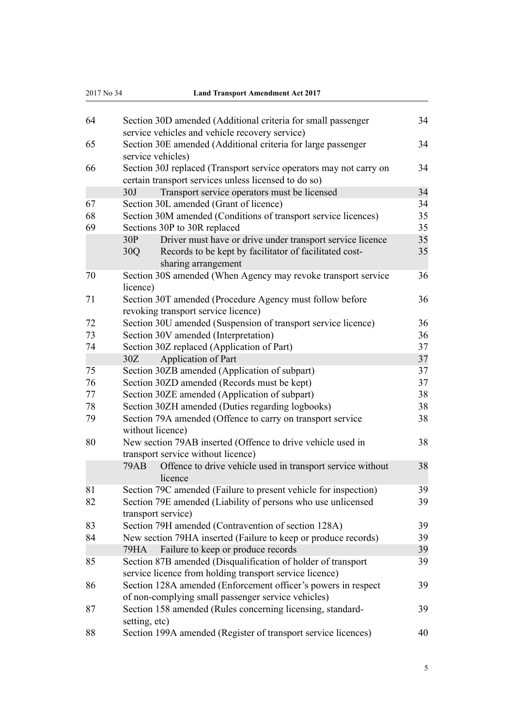| 2017 No 34 | <b>Land Transport Amendment Act 2017</b>                                                          |    |
|------------|---------------------------------------------------------------------------------------------------|----|
| 64         | Section 30D amended (Additional criteria for small passenger                                      | 34 |
|            | service vehicles and vehicle recovery service)                                                    |    |
| 65         | Section 30E amended (Additional criteria for large passenger<br>service vehicles)                 | 34 |
| 66         | Section 30J replaced (Transport service operators may not carry on                                | 34 |
|            | certain transport services unless licensed to do so)                                              |    |
|            | 30J<br>Transport service operators must be licensed                                               | 34 |
| 67         | Section 30L amended (Grant of licence)                                                            | 34 |
| 68         | Section 30M amended (Conditions of transport service licences)                                    | 35 |
| 69         | Sections 30P to 30R replaced                                                                      | 35 |
|            | 30P<br>Driver must have or drive under transport service licence                                  | 35 |
|            | Records to be kept by facilitator of facilitated cost-<br>30Q<br>sharing arrangement              | 35 |
| 70         | Section 30S amended (When Agency may revoke transport service                                     | 36 |
|            | licence)                                                                                          |    |
| 71         | Section 30T amended (Procedure Agency must follow before<br>revoking transport service licence)   | 36 |
| 72         | Section 30U amended (Suspension of transport service licence)                                     | 36 |
| 73         | Section 30V amended (Interpretation)                                                              | 36 |
| 74         | Section 30Z replaced (Application of Part)                                                        | 37 |
|            | Application of Part<br>30Z                                                                        | 37 |
| 75         | Section 30ZB amended (Application of subpart)                                                     | 37 |
| 76         | Section 30ZD amended (Records must be kept)                                                       | 37 |
| 77         | Section 30ZE amended (Application of subpart)                                                     | 38 |
| 78         | Section 30ZH amended (Duties regarding logbooks)                                                  | 38 |
| 79         | Section 79A amended (Offence to carry on transport service<br>without licence)                    | 38 |
| 80         | New section 79AB inserted (Offence to drive vehicle used in<br>transport service without licence) | 38 |
|            | Offence to drive vehicle used in transport service without<br>79AB<br>licence                     | 38 |
| 81         | Section 79C amended (Failure to present vehicle for inspection)                                   | 39 |
| 82         | Section 79E amended (Liability of persons who use unlicensed<br>transport service)                | 39 |
| 83         | Section 79H amended (Contravention of section 128A)                                               | 39 |
| 84         | New section 79HA inserted (Failure to keep or produce records)                                    | 39 |
|            | Failure to keep or produce records<br>79HA                                                        | 39 |
| 85         | Section 87B amended (Disqualification of holder of transport                                      | 39 |
|            | service licence from holding transport service licence)                                           |    |
| 86         | Section 128A amended (Enforcement officer's powers in respect                                     | 39 |
|            | of non-complying small passenger service vehicles)                                                |    |
| 87         | Section 158 amended (Rules concerning licensing, standard-                                        | 39 |
|            | setting, etc)                                                                                     |    |
| 88         | Section 199A amended (Register of transport service licences)                                     | 40 |
|            |                                                                                                   |    |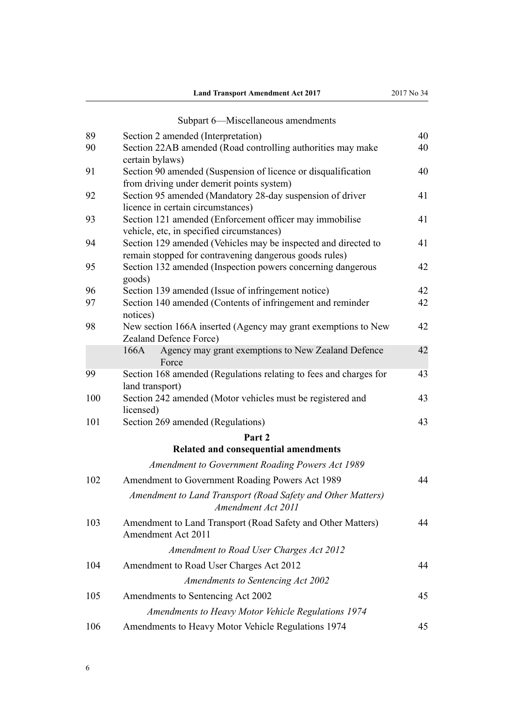|     | Subpart 6-Miscellaneous amendments                                                                                       |    |
|-----|--------------------------------------------------------------------------------------------------------------------------|----|
| 89  | Section 2 amended (Interpretation)                                                                                       | 40 |
| 90  | Section 22AB amended (Road controlling authorities may make<br>certain bylaws)                                           | 40 |
| 91  | Section 90 amended (Suspension of licence or disqualification<br>from driving under demerit points system)               | 40 |
| 92  | Section 95 amended (Mandatory 28-day suspension of driver<br>licence in certain circumstances)                           | 41 |
| 93  | Section 121 amended (Enforcement officer may immobilise<br>vehicle, etc, in specified circumstances)                     | 41 |
| 94  | Section 129 amended (Vehicles may be inspected and directed to<br>remain stopped for contravening dangerous goods rules) | 41 |
| 95  | Section 132 amended (Inspection powers concerning dangerous<br>goods)                                                    | 42 |
| 96  | Section 139 amended (Issue of infringement notice)                                                                       | 42 |
| 97  | Section 140 amended (Contents of infringement and reminder<br>notices)                                                   | 42 |
| 98  | New section 166A inserted (Agency may grant exemptions to New<br>Zealand Defence Force)                                  | 42 |
|     | Agency may grant exemptions to New Zealand Defence<br>166A<br>Force                                                      | 42 |
| 99  | Section 168 amended (Regulations relating to fees and charges for<br>land transport)                                     | 43 |
| 100 | Section 242 amended (Motor vehicles must be registered and<br>licensed)                                                  | 43 |
| 101 | Section 269 amended (Regulations)                                                                                        | 43 |
|     | Part 2                                                                                                                   |    |
|     | Related and consequential amendments                                                                                     |    |
|     | <b>Amendment to Government Roading Powers Act 1989</b>                                                                   |    |
| 102 | Amendment to Government Roading Powers Act 1989                                                                          | 44 |
|     | Amendment to Land Transport (Road Safety and Other Matters)<br>Amendment Act 2011                                        |    |
| 103 | Amendment to Land Transport (Road Safety and Other Matters)<br>Amendment Act 2011                                        | 44 |
|     | Amendment to Road User Charges Act 2012                                                                                  |    |
| 104 | Amendment to Road User Charges Act 2012                                                                                  | 44 |
|     | Amendments to Sentencing Act 2002                                                                                        |    |
| 105 | Amendments to Sentencing Act 2002                                                                                        | 45 |
|     | Amendments to Heavy Motor Vehicle Regulations 1974                                                                       |    |
| 106 | Amendments to Heavy Motor Vehicle Regulations 1974                                                                       | 45 |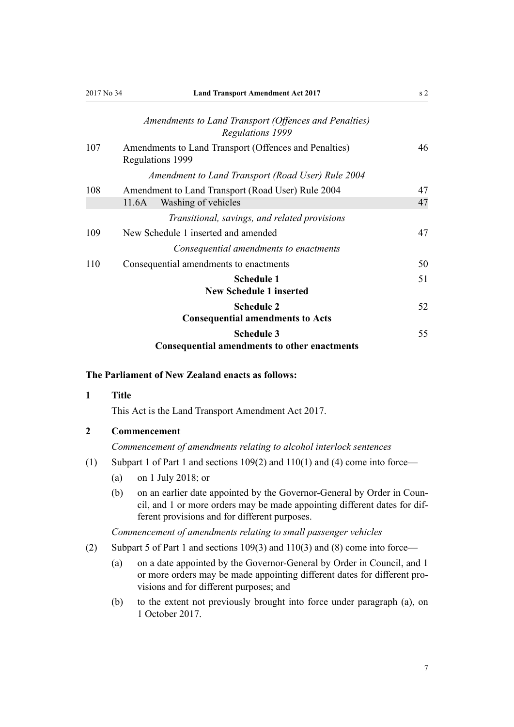<span id="page-6-0"></span>

| 2017 No 34 | <b>Land Transport Amendment Act 2017</b>                                         | s <sub>2</sub> |
|------------|----------------------------------------------------------------------------------|----------------|
|            | Amendments to Land Transport (Offences and Penalties)<br><b>Regulations 1999</b> |                |
| 107        | Amendments to Land Transport (Offences and Penalties)<br>Regulations 1999        | 46             |
|            | Amendment to Land Transport (Road User) Rule 2004                                |                |
| 108        | Amendment to Land Transport (Road User) Rule 2004                                | 47             |
|            | Washing of vehicles<br>11.6A                                                     | 47             |
|            | Transitional, savings, and related provisions                                    |                |
| 109        | New Schedule 1 inserted and amended                                              | 47             |
|            | Consequential amendments to enactments                                           |                |
| 110        | Consequential amendments to enactments                                           | 50             |
|            | <b>Schedule 1</b><br><b>New Schedule 1 inserted</b>                              | 51             |
|            | <b>Schedule 2</b><br><b>Consequential amendments to Acts</b>                     | 52             |
|            | <b>Schedule 3</b><br>Consequential amendments to other enactments                | 55             |

## **The Parliament of New Zealand enacts as follows:**

## **1 Title**

This Act is the Land Transport Amendment Act 2017.

# **2 Commencement**

*Commencement of amendments relating to alcohol interlock sentences*

- (1) [Subpart 1](#page-7-0) of Part 1 and [sections 109\(2\)](#page-46-0) and [110\(1\) and \(4\)](#page-49-0) come into force—
	- (a) on 1 July 2018; or
	- (b) on an earlier date appointed by the Governor-General by Order in Council, and 1 or more orders may be made appointing different dates for different provisions and for different purposes.

*Commencement of amendments relating to small passenger vehicles*

- (2) [Subpart 5](#page-30-0) of Part 1 and [sections 109\(3\)](#page-46-0) and [110\(3\) and \(8\)](#page-49-0) come into force—
	- (a) on a date appointed by the Governor-General by Order in Council, and 1 or more orders may be made appointing different dates for different provisions and for different purposes; and
	- (b) to the extent not previously brought into force under paragraph (a), on 1 October 2017.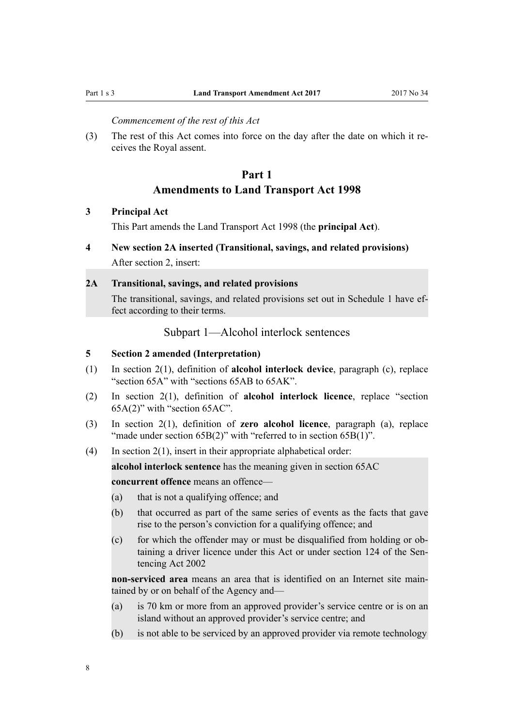<span id="page-7-0"></span>

*Commencement of the rest of this Act*

(3) The rest of this Act comes into force on the day after the date on which it receives the Royal assent.

# **Part 1 Amendments to Land Transport Act 1998**

## **3 Principal Act**

This Part amends the [Land Transport Act 1998](http://prd-lgnz-nlb.prd.pco.net.nz/pdflink.aspx?id=DLM433612) (the **principal Act**).

# **4 New section 2A inserted (Transitional, savings, and related provisions)**

After [section 2,](http://prd-lgnz-nlb.prd.pco.net.nz/pdflink.aspx?id=DLM433619) insert:

### **2A Transitional, savings, and related provisions**

The transitional, savings, and related provisions set out in Schedule 1 have effect according to their terms.

Subpart 1—Alcohol interlock sentences

## **5 Section 2 amended (Interpretation)**

- (1) In [section 2\(1\),](http://prd-lgnz-nlb.prd.pco.net.nz/pdflink.aspx?id=DLM433619) definition of **alcohol interlock device**, paragraph (c), replace "section 65A" with "sections 65AB to 65AK".
- (2) In [section 2\(1\)](http://prd-lgnz-nlb.prd.pco.net.nz/pdflink.aspx?id=DLM433619), definition of **alcohol interlock licence**, replace "section 65A(2)" with "section 65AC".
- (3) In [section 2\(1\),](http://prd-lgnz-nlb.prd.pco.net.nz/pdflink.aspx?id=DLM433619) definition of **zero alcohol licence**, paragraph (a), replace "made under section 65B(2)" with "referred to in section 65B(1)".
- (4) In [section 2\(1\)](http://prd-lgnz-nlb.prd.pco.net.nz/pdflink.aspx?id=DLM433619), insert in their appropriate alphabetical order:

**alcohol interlock sentence** has the meaning given in section 65AC **concurrent offence** means an offence—

- (a) that is not a qualifying offence; and
- (b) that occurred as part of the same series of events as the facts that gave rise to the person's conviction for a qualifying offence; and
- (c) for which the offender may or must be disqualified from holding or obtaining a driver licence under this Act or under section 124 of the Sentencing Act 2002

**non-serviced area** means an area that is identified on an Internet site maintained by or on behalf of the Agency and—

- (a) is 70 km or more from an approved provider's service centre or is on an island without an approved provider's service centre; and
- (b) is not able to be serviced by an approved provider via remote technology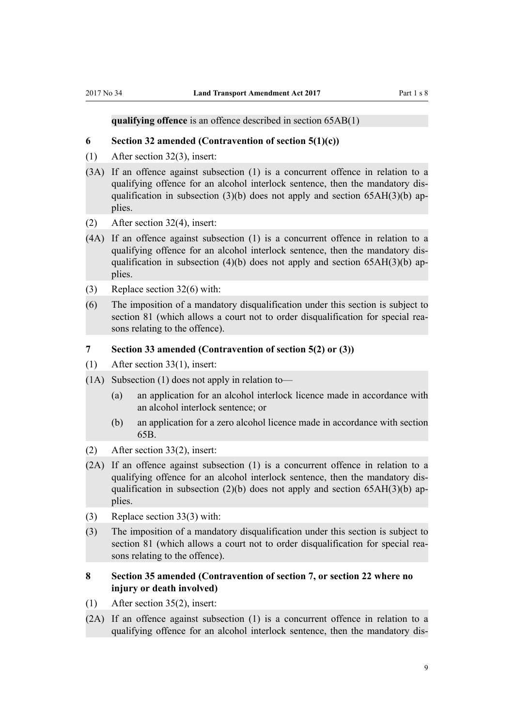#### <span id="page-8-0"></span>**qualifying offence** is an offence described in section 65AB(1)

#### **6 Section 32 amended (Contravention of section 5(1)(c))**

- (1) After [section 32\(3\),](http://prd-lgnz-nlb.prd.pco.net.nz/pdflink.aspx?id=DLM434641) insert:
- (3A) If an offence against subsection (1) is a concurrent offence in relation to a qualifying offence for an alcohol interlock sentence, then the mandatory disqualification in subsection (3)(b) does not apply and section  $65AH(3)$ (b) applies.
- (2) After [section 32\(4\),](http://prd-lgnz-nlb.prd.pco.net.nz/pdflink.aspx?id=DLM434641) insert:
- (4A) If an offence against subsection (1) is a concurrent offence in relation to a qualifying offence for an alcohol interlock sentence, then the mandatory disqualification in subsection (4)(b) does not apply and section  $65AH(3)$ (b) applies.
- (3) Replace [section 32\(6\)](http://prd-lgnz-nlb.prd.pco.net.nz/pdflink.aspx?id=DLM434641) with:
- (6) The imposition of a mandatory disqualification under this section is subject to section 81 (which allows a court not to order disqualification for special reasons relating to the offence).

# **7 Section 33 amended (Contravention of section 5(2) or (3))**

- (1) After [section 33\(1\),](http://prd-lgnz-nlb.prd.pco.net.nz/pdflink.aspx?id=DLM434645) insert:
- (1A) Subsection (1) does not apply in relation to—
	- (a) an application for an alcohol interlock licence made in accordance with an alcohol interlock sentence; or
	- (b) an application for a zero alcohol licence made in accordance with section 65B.
- (2) After [section 33\(2\),](http://prd-lgnz-nlb.prd.pco.net.nz/pdflink.aspx?id=DLM434645) insert:
- (2A) If an offence against subsection (1) is a concurrent offence in relation to a qualifying offence for an alcohol interlock sentence, then the mandatory disqualification in subsection (2)(b) does not apply and section  $65AH(3)$ (b) applies.
- (3) Replace [section 33\(3\)](http://prd-lgnz-nlb.prd.pco.net.nz/pdflink.aspx?id=DLM434645) with:
- (3) The imposition of a mandatory disqualification under this section is subject to section 81 (which allows a court not to order disqualification for special reasons relating to the offence).

# **8 Section 35 amended (Contravention of section 7, or section 22 where no injury or death involved)**

- (1) After [section 35\(2\),](http://prd-lgnz-nlb.prd.pco.net.nz/pdflink.aspx?id=DLM434650) insert:
- (2A) If an offence against subsection (1) is a concurrent offence in relation to a qualifying offence for an alcohol interlock sentence, then the mandatory dis-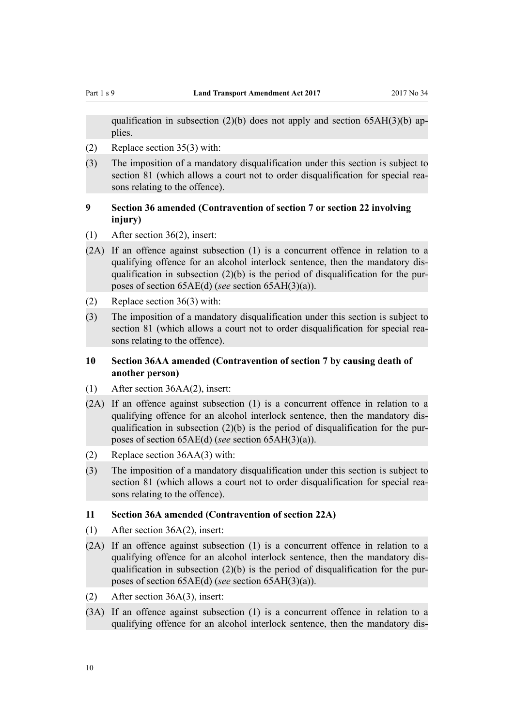<span id="page-9-0"></span>

qualification in subsection (2)(b) does not apply and section  $65AH(3)(b)$  applies.

- (2) Replace [section 35\(3\)](http://prd-lgnz-nlb.prd.pco.net.nz/pdflink.aspx?id=DLM434650) with:
- (3) The imposition of a mandatory disqualification under this section is subject to section 81 (which allows a court not to order disqualification for special reasons relating to the offence).

# **9 Section 36 amended (Contravention of section 7 or section 22 involving injury)**

- (1) After [section 36\(2\),](http://prd-lgnz-nlb.prd.pco.net.nz/pdflink.aspx?id=DLM434651) insert:
- (2A) If an offence against subsection (1) is a concurrent offence in relation to a qualifying offence for an alcohol interlock sentence, then the mandatory disqualification in subsection  $(2)(b)$  is the period of disqualification for the purposes of section 65AE(d) (*see* section 65AH(3)(a)).
- (2) Replace [section 36\(3\)](http://prd-lgnz-nlb.prd.pco.net.nz/pdflink.aspx?id=DLM434651) with:
- (3) The imposition of a mandatory disqualification under this section is subject to section 81 (which allows a court not to order disqualification for special reasons relating to the offence).

## **10 Section 36AA amended (Contravention of section 7 by causing death of another person)**

- (1) After [section 36AA\(2\)](http://prd-lgnz-nlb.prd.pco.net.nz/pdflink.aspx?id=DLM3820293), insert:
- (2A) If an offence against subsection (1) is a concurrent offence in relation to a qualifying offence for an alcohol interlock sentence, then the mandatory disqualification in subsection (2)(b) is the period of disqualification for the purposes of section 65AE(d) (*see* section 65AH(3)(a)).
- (2) Replace [section 36AA\(3\)](http://prd-lgnz-nlb.prd.pco.net.nz/pdflink.aspx?id=DLM3820293) with:
- (3) The imposition of a mandatory disqualification under this section is subject to section 81 (which allows a court not to order disqualification for special reasons relating to the offence).

### **11 Section 36A amended (Contravention of section 22A)**

- (1) After [section 36A\(2\)](http://prd-lgnz-nlb.prd.pco.net.nz/pdflink.aspx?id=DLM434653), insert:
- (2A) If an offence against subsection (1) is a concurrent offence in relation to a qualifying offence for an alcohol interlock sentence, then the mandatory disqualification in subsection  $(2)(b)$  is the period of disqualification for the purposes of section 65AE(d) (*see* section 65AH(3)(a)).
- (2) After [section 36A\(3\)](http://prd-lgnz-nlb.prd.pco.net.nz/pdflink.aspx?id=DLM434653), insert:
- (3A) If an offence against subsection (1) is a concurrent offence in relation to a qualifying offence for an alcohol interlock sentence, then the mandatory dis-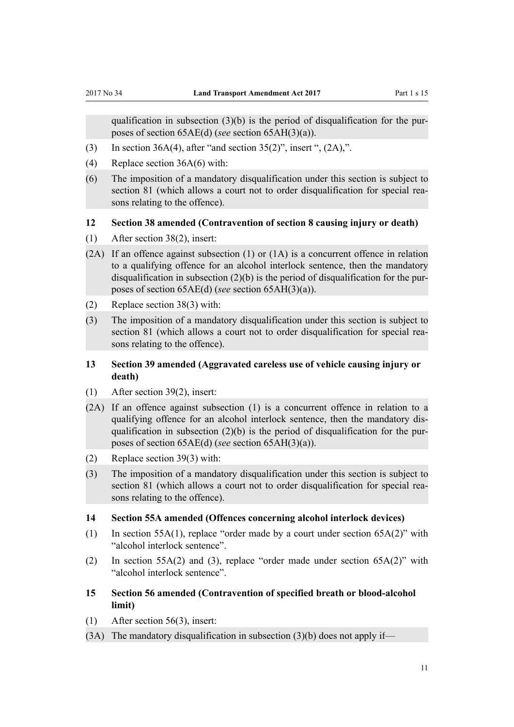<span id="page-10-0"></span>qualification in subsection  $(3)(b)$  is the period of disqualification for the purposes of section 65AE(d) (*see* section 65AH(3)(a)).

- (3) In [section 36A\(4\)](http://prd-lgnz-nlb.prd.pco.net.nz/pdflink.aspx?id=DLM434653), after "and section  $35(2)$ ", insert ",  $(2A)$ ,".
- (4) Replace [section 36A\(6\)](http://prd-lgnz-nlb.prd.pco.net.nz/pdflink.aspx?id=DLM434653) with:
- (6) The imposition of a mandatory disqualification under this section is subject to section 81 (which allows a court not to order disqualification for special reasons relating to the offence).

## **12 Section 38 amended (Contravention of section 8 causing injury or death)**

- (1) After [section 38\(2\),](http://prd-lgnz-nlb.prd.pco.net.nz/pdflink.aspx?id=DLM434659) insert:
- (2A) If an offence against subsection (1) or (1A) is a concurrent offence in relation to a qualifying offence for an alcohol interlock sentence, then the mandatory disqualification in subsection (2)(b) is the period of disqualification for the purposes of section 65AE(d) (*see* section 65AH(3)(a)).
- (2) Replace [section 38\(3\)](http://prd-lgnz-nlb.prd.pco.net.nz/pdflink.aspx?id=DLM434659) with:
- (3) The imposition of a mandatory disqualification under this section is subject to section 81 (which allows a court not to order disqualification for special reasons relating to the offence).

# **13 Section 39 amended (Aggravated careless use of vehicle causing injury or death)**

- (1) After [section 39\(2\),](http://prd-lgnz-nlb.prd.pco.net.nz/pdflink.aspx?id=DLM434662) insert:
- (2A) If an offence against subsection (1) is a concurrent offence in relation to a qualifying offence for an alcohol interlock sentence, then the mandatory disqualification in subsection  $(2)(b)$  is the period of disqualification for the purposes of section 65AE(d) (*see* section 65AH(3)(a)).
- (2) Replace [section 39\(3\)](http://prd-lgnz-nlb.prd.pco.net.nz/pdflink.aspx?id=DLM434662) with:
- (3) The imposition of a mandatory disqualification under this section is subject to section 81 (which allows a court not to order disqualification for special reasons relating to the offence).

## **14 Section 55A amended (Offences concerning alcohol interlock devices)**

- (1) In [section 55A\(1\),](http://prd-lgnz-nlb.prd.pco.net.nz/pdflink.aspx?id=DLM4738716) replace "order made by a court under section 65A(2)" with "alcohol interlock sentence".
- (2) In [section 55A\(2\) and \(3\)](http://prd-lgnz-nlb.prd.pco.net.nz/pdflink.aspx?id=DLM4738716), replace "order made under section 65A(2)" with "alcohol interlock sentence".
- **15 Section 56 amended (Contravention of specified breath or blood-alcohol limit)**
- (1) After [section 56\(3\),](http://prd-lgnz-nlb.prd.pco.net.nz/pdflink.aspx?id=DLM434692) insert:
- $(3A)$  The mandatory disqualification in subsection  $(3)(b)$  does not apply if—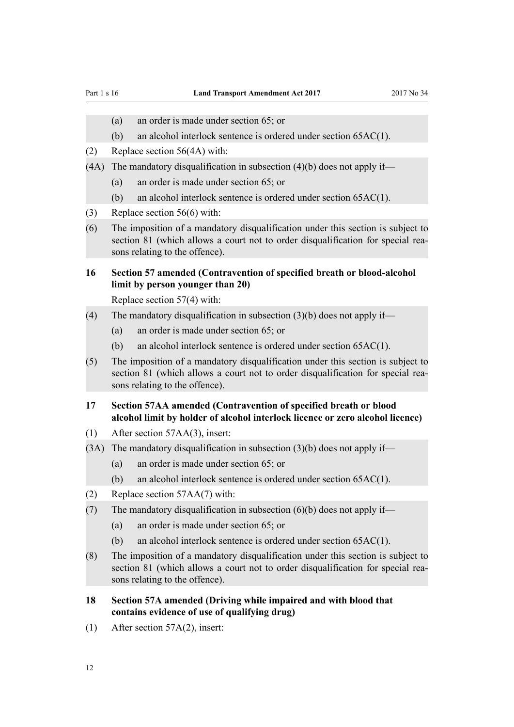- <span id="page-11-0"></span>(a) an order is made under section 65; or
- (b) an alcohol interlock sentence is ordered under section 65AC(1).
- (2) Replace [section 56\(4A\)](http://prd-lgnz-nlb.prd.pco.net.nz/pdflink.aspx?id=DLM434692) with:
- (4A) The mandatory disqualification in subsection  $(4)(b)$  does not apply if—
	- (a) an order is made under section 65; or
	- (b) an alcohol interlock sentence is ordered under section 65AC(1).
- (3) Replace [section 56\(6\)](http://prd-lgnz-nlb.prd.pco.net.nz/pdflink.aspx?id=DLM434692) with:
- (6) The imposition of a mandatory disqualification under this section is subject to section 81 (which allows a court not to order disqualification for special reasons relating to the offence).
- **16 Section 57 amended (Contravention of specified breath or blood-alcohol limit by person younger than 20)**

Replace [section 57\(4\)](http://prd-lgnz-nlb.prd.pco.net.nz/pdflink.aspx?id=DLM434696) with:

- (4) The mandatory disqualification in subsection  $(3)(b)$  does not apply if—
	- (a) an order is made under section 65; or
	- (b) an alcohol interlock sentence is ordered under section 65AC(1).
- (5) The imposition of a mandatory disqualification under this section is subject to section 81 (which allows a court not to order disqualification for special reasons relating to the offence).
- **17 Section 57AA amended (Contravention of specified breath or blood alcohol limit by holder of alcohol interlock licence or zero alcohol licence)**
- (1) After [section 57AA\(3\)](http://prd-lgnz-nlb.prd.pco.net.nz/pdflink.aspx?id=DLM4738719), insert:
- (3A) The mandatory disqualification in subsection  $(3)(b)$  does not apply if—
	- (a) an order is made under section 65; or
	- (b) an alcohol interlock sentence is ordered under section 65AC(1).
- (2) Replace [section 57AA\(7\)](http://prd-lgnz-nlb.prd.pco.net.nz/pdflink.aspx?id=DLM4738719) with:
- (7) The mandatory disqualification in subsection  $(6)(b)$  does not apply if—
	- (a) an order is made under section 65; or
	- (b) an alcohol interlock sentence is ordered under section 65AC(1).
- (8) The imposition of a mandatory disqualification under this section is subject to section 81 (which allows a court not to order disqualification for special reasons relating to the offence).
- **18 Section 57A amended (Driving while impaired and with blood that contains evidence of use of qualifying drug)**
- (1) After [section 57A\(2\)](http://prd-lgnz-nlb.prd.pco.net.nz/pdflink.aspx?id=DLM2507342), insert: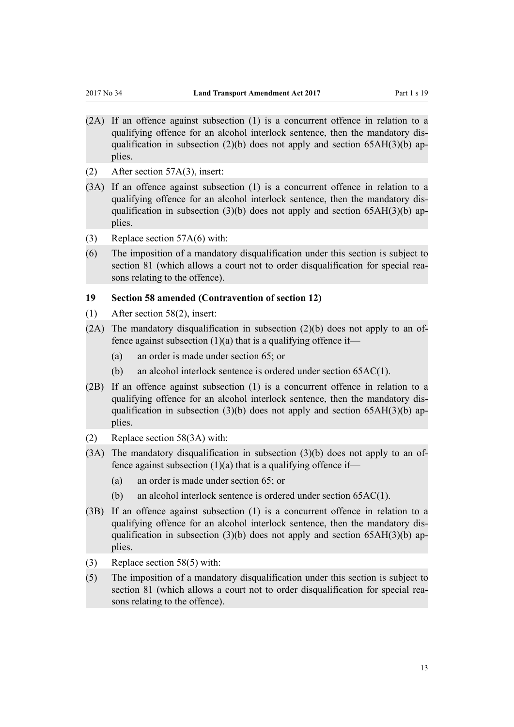- <span id="page-12-0"></span>(2A) If an offence against subsection (1) is a concurrent offence in relation to a qualifying offence for an alcohol interlock sentence, then the mandatory disqualification in subsection (2)(b) does not apply and section  $65AH(3)$ (b) applies.
- (2) After [section 57A\(3\)](http://prd-lgnz-nlb.prd.pco.net.nz/pdflink.aspx?id=DLM2507342), insert:
- (3A) If an offence against subsection (1) is a concurrent offence in relation to a qualifying offence for an alcohol interlock sentence, then the mandatory disqualification in subsection  $(3)(b)$  does not apply and section  $65AH(3)(b)$  applies.
- (3) Replace [section 57A\(6\)](http://prd-lgnz-nlb.prd.pco.net.nz/pdflink.aspx?id=DLM2507342) with:
- (6) The imposition of a mandatory disqualification under this section is subject to section 81 (which allows a court not to order disqualification for special reasons relating to the offence).

#### **19 Section 58 amended (Contravention of section 12)**

- (1) After [section 58\(2\),](http://prd-lgnz-nlb.prd.pco.net.nz/pdflink.aspx?id=DLM434697) insert:
- $(2A)$  The mandatory disqualification in subsection  $(2)(b)$  does not apply to an offence against subsection  $(1)(a)$  that is a qualifying offence if—
	- (a) an order is made under section 65; or
	- (b) an alcohol interlock sentence is ordered under section 65AC(1).
- (2B) If an offence against subsection (1) is a concurrent offence in relation to a qualifying offence for an alcohol interlock sentence, then the mandatory disqualification in subsection (3)(b) does not apply and section  $65AH(3)$ (b) applies.
- (2) Replace [section 58\(3A\)](http://prd-lgnz-nlb.prd.pco.net.nz/pdflink.aspx?id=DLM434697) with:
- (3A) The mandatory disqualification in subsection (3)(b) does not apply to an offence against subsection  $(1)(a)$  that is a qualifying offence if—
	- (a) an order is made under section 65; or
	- (b) an alcohol interlock sentence is ordered under section 65AC(1).
- (3B) If an offence against subsection (1) is a concurrent offence in relation to a qualifying offence for an alcohol interlock sentence, then the mandatory disqualification in subsection  $(3)(b)$  does not apply and section  $65AH(3)(b)$  applies.
- (3) Replace [section 58\(5\)](http://prd-lgnz-nlb.prd.pco.net.nz/pdflink.aspx?id=DLM434697) with:
- (5) The imposition of a mandatory disqualification under this section is subject to section 81 (which allows a court not to order disqualification for special reasons relating to the offence).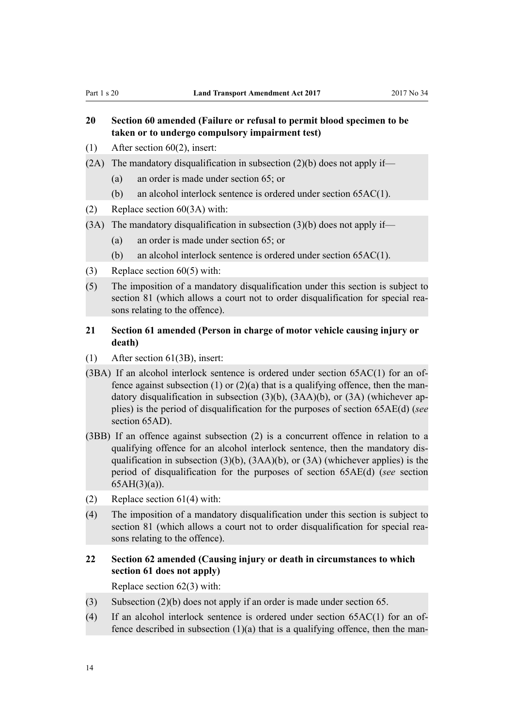# <span id="page-13-0"></span>**20 Section 60 amended (Failure or refusal to permit blood specimen to be taken or to undergo compulsory impairment test)**

- (1) After [section 60\(2\),](http://prd-lgnz-nlb.prd.pco.net.nz/pdflink.aspx?id=DLM434802) insert:
- (2A) The mandatory disqualification in subsection  $(2)(b)$  does not apply if—
	- (a) an order is made under section 65; or
	- (b) an alcohol interlock sentence is ordered under section 65AC(1).
- (2) Replace [section 60\(3A\)](http://prd-lgnz-nlb.prd.pco.net.nz/pdflink.aspx?id=DLM434802) with:
- $(3A)$  The mandatory disqualification in subsection  $(3)(b)$  does not apply if—
	- (a) an order is made under section 65; or
	- (b) an alcohol interlock sentence is ordered under section 65AC(1).
- (3) Replace [section 60\(5\)](http://prd-lgnz-nlb.prd.pco.net.nz/pdflink.aspx?id=DLM434802) with:
- (5) The imposition of a mandatory disqualification under this section is subject to section 81 (which allows a court not to order disqualification for special reasons relating to the offence).

# **21 Section 61 amended (Person in charge of motor vehicle causing injury or death)**

- (1) After [section 61\(3B\)](http://prd-lgnz-nlb.prd.pco.net.nz/pdflink.aspx?id=DLM434807), insert:
- (3BA) If an alcohol interlock sentence is ordered under section  $65AC(1)$  for an offence against subsection (1) or  $(2)(a)$  that is a qualifying offence, then the mandatory disqualification in subsection (3)(b), (3AA)(b), or (3A) (whichever applies) is the period of disqualification for the purposes of section 65AE(d) (*see* section 65AD).
- (3BB) If an offence against subsection (2) is a concurrent offence in relation to a qualifying offence for an alcohol interlock sentence, then the mandatory disqualification in subsection  $(3)(b)$ ,  $(3AA)(b)$ , or  $(3A)$  (whichever applies) is the period of disqualification for the purposes of section 65AE(d) (*see* section 65AH(3)(a)).
- (2) Replace [section 61\(4\)](http://prd-lgnz-nlb.prd.pco.net.nz/pdflink.aspx?id=DLM434807) with:
- (4) The imposition of a mandatory disqualification under this section is subject to section 81 (which allows a court not to order disqualification for special reasons relating to the offence).

# **22 Section 62 amended (Causing injury or death in circumstances to which section 61 does not apply)**

Replace [section 62\(3\)](http://prd-lgnz-nlb.prd.pco.net.nz/pdflink.aspx?id=DLM434811) with:

- (3) Subsection (2)(b) does not apply if an order is made under section 65.
- (4) If an alcohol interlock sentence is ordered under section 65AC(1) for an offence described in subsection  $(1)(a)$  that is a qualifying offence, then the man-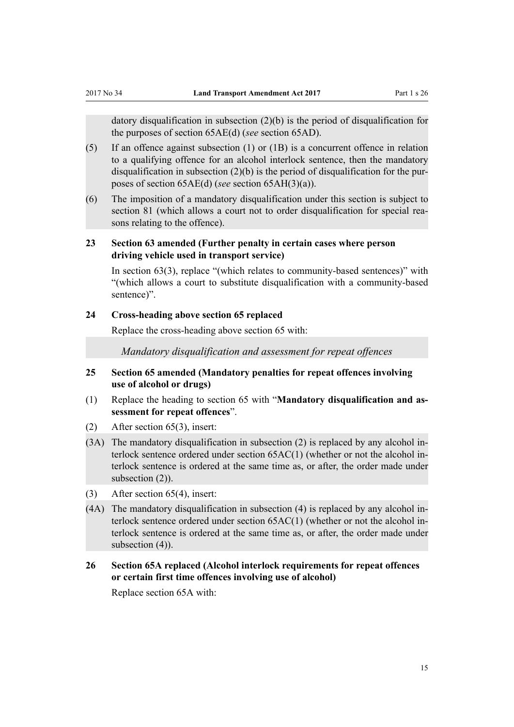<span id="page-14-0"></span>datory disqualification in subsection (2)(b) is the period of disqualification for the purposes of section 65AE(d) (*see* section 65AD).

- (5) If an offence against subsection (1) or (1B) is a concurrent offence in relation to a qualifying offence for an alcohol interlock sentence, then the mandatory disqualification in subsection (2)(b) is the period of disqualification for the purposes of section 65AE(d) (*see* section 65AH(3)(a)).
- (6) The imposition of a mandatory disqualification under this section is subject to section 81 (which allows a court not to order disqualification for special reasons relating to the offence).

# **23 Section 63 amended (Further penalty in certain cases where person driving vehicle used in transport service)**

In [section 63\(3\)](http://prd-lgnz-nlb.prd.pco.net.nz/pdflink.aspx?id=DLM434812), replace "(which relates to community-based sentences)" with "(which allows a court to substitute disqualification with a community-based sentence)".

#### **24 Cross-heading above section 65 replaced**

Replace the cross-heading above [section 65](http://prd-lgnz-nlb.prd.pco.net.nz/pdflink.aspx?id=DLM434820) with:

*Mandatory disqualification and assessment for repeat offences*

- **25 Section 65 amended (Mandatory penalties for repeat offences involving use of alcohol or drugs)**
- (1) Replace the heading to [section 65](http://prd-lgnz-nlb.prd.pco.net.nz/pdflink.aspx?id=DLM434820) with "**Mandatory disqualification and assessment for repeat offences**".
- (2) After [section 65\(3\),](http://prd-lgnz-nlb.prd.pco.net.nz/pdflink.aspx?id=DLM434820) insert:
- (3A) The mandatory disqualification in subsection (2) is replaced by any alcohol interlock sentence ordered under section 65AC(1) (whether or not the alcohol interlock sentence is ordered at the same time as, or after, the order made under subsection  $(2)$ ).
- (3) After [section 65\(4\),](http://prd-lgnz-nlb.prd.pco.net.nz/pdflink.aspx?id=DLM434820) insert:
- (4A) The mandatory disqualification in subsection (4) is replaced by any alcohol interlock sentence ordered under section 65AC(1) (whether or not the alcohol interlock sentence is ordered at the same time as, or after, the order made under subsection  $(4)$ ).

# **26 Section 65A replaced (Alcohol interlock requirements for repeat offences or certain first time offences involving use of alcohol)**

Replace [section 65A](http://prd-lgnz-nlb.prd.pco.net.nz/pdflink.aspx?id=DLM4738730) with: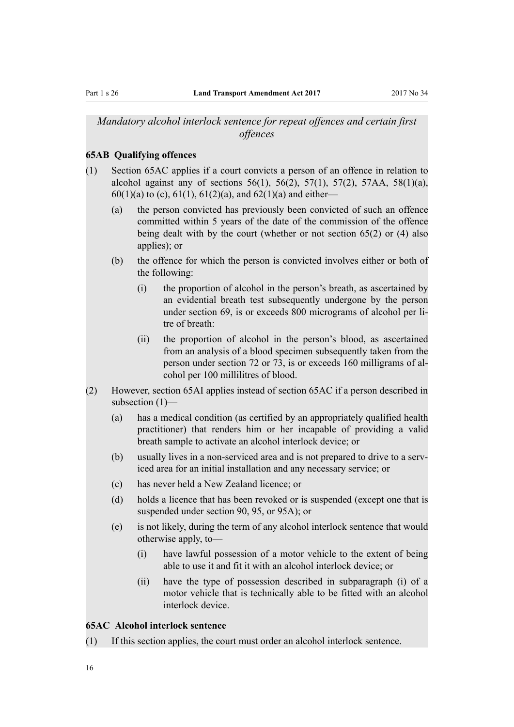# <span id="page-15-0"></span>*Mandatory alcohol interlock sentence for repeat offences and certain first offences*

## **65AB Qualifying offences**

- (1) Section 65AC applies if a court convicts a person of an offence in relation to alcohol against any of sections  $56(1)$ ,  $56(2)$ ,  $57(1)$ ,  $57(2)$ ,  $57AA$ ,  $58(1)(a)$ , 60(1)(a) to (c), 61(1), 61(2)(a), and 62(1)(a) and either—
	- (a) the person convicted has previously been convicted of such an offence committed within 5 years of the date of the commission of the offence being dealt with by the court (whether or not section 65(2) or (4) also applies); or
	- (b) the offence for which the person is convicted involves either or both of the following:
		- (i) the proportion of alcohol in the person's breath, as ascertained by an evidential breath test subsequently undergone by the person under section 69, is or exceeds 800 micrograms of alcohol per litre of breath:
		- (ii) the proportion of alcohol in the person's blood, as ascertained from an analysis of a blood specimen subsequently taken from the person under section 72 or 73, is or exceeds 160 milligrams of alcohol per 100 millilitres of blood.
- (2) However, section 65AI applies instead of section 65AC if a person described in subsection (1)—
	- (a) has a medical condition (as certified by an appropriately qualified health practitioner) that renders him or her incapable of providing a valid breath sample to activate an alcohol interlock device; or
	- (b) usually lives in a non-serviced area and is not prepared to drive to a serviced area for an initial installation and any necessary service; or
	- (c) has never held a New Zealand licence; or
	- (d) holds a licence that has been revoked or is suspended (except one that is suspended under section 90, 95, or 95A); or
	- (e) is not likely, during the term of any alcohol interlock sentence that would otherwise apply, to—
		- (i) have lawful possession of a motor vehicle to the extent of being able to use it and fit it with an alcohol interlock device; or
		- (ii) have the type of possession described in subparagraph (i) of a motor vehicle that is technically able to be fitted with an alcohol interlock device.

# **65AC Alcohol interlock sentence**

(1) If this section applies, the court must order an alcohol interlock sentence.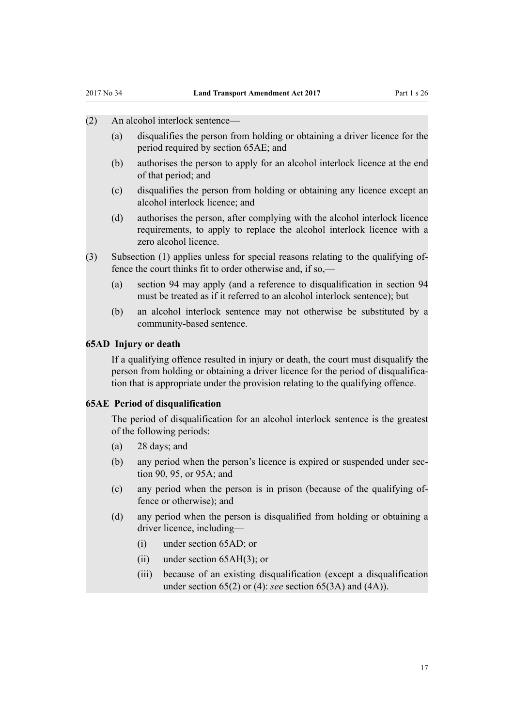- <span id="page-16-0"></span>(2) An alcohol interlock sentence—
	- (a) disqualifies the person from holding or obtaining a driver licence for the period required by section 65AE; and
	- (b) authorises the person to apply for an alcohol interlock licence at the end of that period; and
	- (c) disqualifies the person from holding or obtaining any licence except an alcohol interlock licence; and
	- (d) authorises the person, after complying with the alcohol interlock licence requirements, to apply to replace the alcohol interlock licence with a zero alcohol licence.
- (3) Subsection (1) applies unless for special reasons relating to the qualifying offence the court thinks fit to order otherwise and, if so,—
	- (a) section 94 may apply (and a reference to disqualification in section 94 must be treated as if it referred to an alcohol interlock sentence); but
	- (b) an alcohol interlock sentence may not otherwise be substituted by a community-based sentence.

#### **65AD Injury or death**

If a qualifying offence resulted in injury or death, the court must disqualify the person from holding or obtaining a driver licence for the period of disqualification that is appropriate under the provision relating to the qualifying offence.

### **65AE Period of disqualification**

The period of disqualification for an alcohol interlock sentence is the greatest of the following periods:

- (a) 28 days; and
- (b) any period when the person's licence is expired or suspended under section 90, 95, or 95A; and
- (c) any period when the person is in prison (because of the qualifying offence or otherwise); and
- (d) any period when the person is disqualified from holding or obtaining a driver licence, including—
	- (i) under section 65AD; or
	- (ii) under section 65AH(3); or
	- (iii) because of an existing disqualification (except a disqualification under section 65(2) or (4): *see* section 65(3A) and (4A)).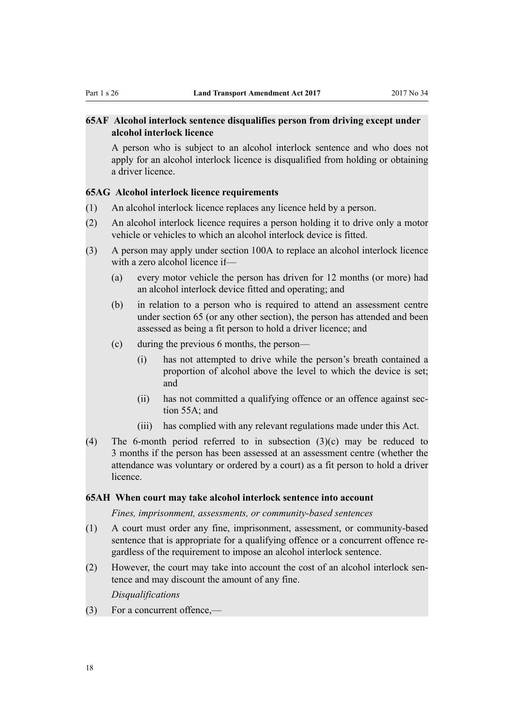# <span id="page-17-0"></span>**65AF Alcohol interlock sentence disqualifies person from driving except under alcohol interlock licence**

A person who is subject to an alcohol interlock sentence and who does not apply for an alcohol interlock licence is disqualified from holding or obtaining a driver licence.

#### **65AG Alcohol interlock licence requirements**

- (1) An alcohol interlock licence replaces any licence held by a person.
- (2) An alcohol interlock licence requires a person holding it to drive only a motor vehicle or vehicles to which an alcohol interlock device is fitted.
- (3) A person may apply under section 100A to replace an alcohol interlock licence with a zero alcohol licence if—
	- (a) every motor vehicle the person has driven for 12 months (or more) had an alcohol interlock device fitted and operating; and
	- (b) in relation to a person who is required to attend an assessment centre under section 65 (or any other section), the person has attended and been assessed as being a fit person to hold a driver licence; and
	- (c) during the previous 6 months, the person—
		- (i) has not attempted to drive while the person's breath contained a proportion of alcohol above the level to which the device is set; and
		- (ii) has not committed a qualifying offence or an offence against section 55A; and
		- (iii) has complied with any relevant regulations made under this Act.
- (4) The 6-month period referred to in subsection  $(3)(c)$  may be reduced to 3 months if the person has been assessed at an assessment centre (whether the attendance was voluntary or ordered by a court) as a fit person to hold a driver licence.

#### **65AH When court may take alcohol interlock sentence into account**

*Fines, imprisonment, assessments, or community-based sentences*

- (1) A court must order any fine, imprisonment, assessment, or community-based sentence that is appropriate for a qualifying offence or a concurrent offence regardless of the requirement to impose an alcohol interlock sentence.
- (2) However, the court may take into account the cost of an alcohol interlock sentence and may discount the amount of any fine.

*Disqualifications*

(3) For a concurrent offence,—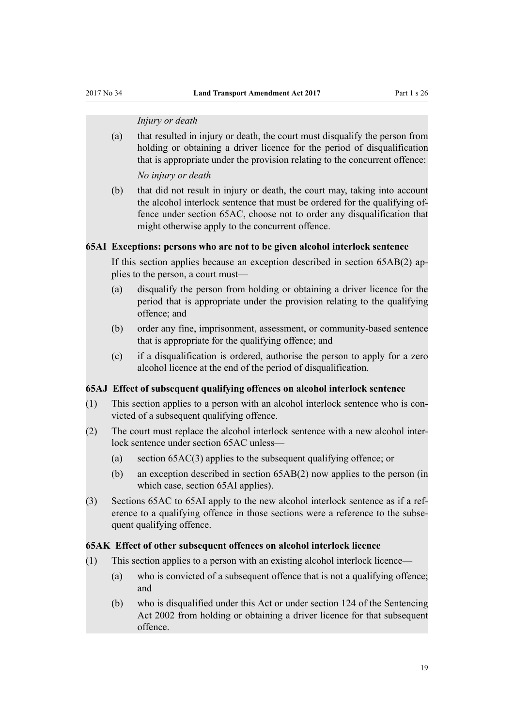#### *Injury or death*

<span id="page-18-0"></span>(a) that resulted in injury or death, the court must disqualify the person from holding or obtaining a driver licence for the period of disqualification that is appropriate under the provision relating to the concurrent offence:

*No injury or death*

(b) that did not result in injury or death, the court may, taking into account the alcohol interlock sentence that must be ordered for the qualifying offence under section 65AC, choose not to order any disqualification that might otherwise apply to the concurrent offence.

#### **65AI Exceptions: persons who are not to be given alcohol interlock sentence**

If this section applies because an exception described in section 65AB(2) applies to the person, a court must—

- (a) disqualify the person from holding or obtaining a driver licence for the period that is appropriate under the provision relating to the qualifying offence; and
- (b) order any fine, imprisonment, assessment, or community-based sentence that is appropriate for the qualifying offence; and
- (c) if a disqualification is ordered, authorise the person to apply for a zero alcohol licence at the end of the period of disqualification.

### **65AJ Effect of subsequent qualifying offences on alcohol interlock sentence**

- (1) This section applies to a person with an alcohol interlock sentence who is convicted of a subsequent qualifying offence.
- (2) The court must replace the alcohol interlock sentence with a new alcohol interlock sentence under section 65AC unless—
	- (a) section 65AC(3) applies to the subsequent qualifying offence; or
	- (b) an exception described in section 65AB(2) now applies to the person (in which case, section 65AI applies).
- (3) Sections 65AC to 65AI apply to the new alcohol interlock sentence as if a reference to a qualifying offence in those sections were a reference to the subsequent qualifying offence.

#### **65AK Effect of other subsequent offences on alcohol interlock licence**

- (1) This section applies to a person with an existing alcohol interlock licence—
	- (a) who is convicted of a subsequent offence that is not a qualifying offence; and
	- (b) who is disqualified under this Act or under section 124 of the Sentencing Act 2002 from holding or obtaining a driver licence for that subsequent offence.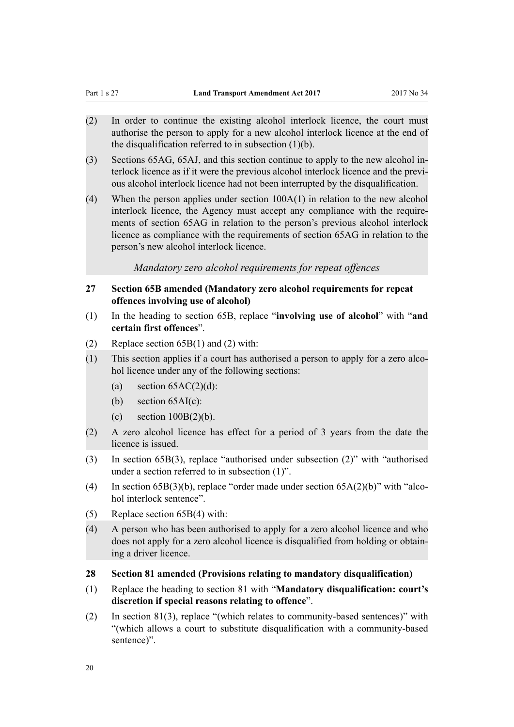- <span id="page-19-0"></span>(2) In order to continue the existing alcohol interlock licence, the court must authorise the person to apply for a new alcohol interlock licence at the end of the disqualification referred to in subsection  $(1)(b)$ .
- (3) Sections 65AG, 65AJ, and this section continue to apply to the new alcohol interlock licence as if it were the previous alcohol interlock licence and the previous alcohol interlock licence had not been interrupted by the disqualification.
- (4) When the person applies under section 100A(1) in relation to the new alcohol interlock licence, the Agency must accept any compliance with the requirements of section 65AG in relation to the person's previous alcohol interlock licence as compliance with the requirements of section 65AG in relation to the person's new alcohol interlock licence.

*Mandatory zero alcohol requirements for repeat offences*

- **27 Section 65B amended (Mandatory zero alcohol requirements for repeat offences involving use of alcohol)**
- (1) In the heading to [section 65B,](http://prd-lgnz-nlb.prd.pco.net.nz/pdflink.aspx?id=DLM4738731) replace "**involving use of alcohol**" with "**and certain first offences**".
- (2) Replace [section 65B\(1\) and \(2\)](http://prd-lgnz-nlb.prd.pco.net.nz/pdflink.aspx?id=DLM4738731) with:
- (1) This section applies if a court has authorised a person to apply for a zero alcohol licence under any of the following sections:
	- (a) section  $65AC(2)(d)$ :
	- (b) section  $65AI(c)$ :
	- (c) section  $100B(2)(b)$ .
- (2) A zero alcohol licence has effect for a period of 3 years from the date the licence is issued.
- (3) In [section 65B\(3\)](http://prd-lgnz-nlb.prd.pco.net.nz/pdflink.aspx?id=DLM4738731), replace "authorised under subsection (2)" with "authorised under a section referred to in subsection (1)".
- (4) In [section 65B\(3\)\(b\)](http://prd-lgnz-nlb.prd.pco.net.nz/pdflink.aspx?id=DLM4738731), replace "order made under section 65A(2)(b)" with "alcohol interlock sentence".
- (5) Replace [section 65B\(4\)](http://prd-lgnz-nlb.prd.pco.net.nz/pdflink.aspx?id=DLM4738731) with:
- (4) A person who has been authorised to apply for a zero alcohol licence and who does not apply for a zero alcohol licence is disqualified from holding or obtaining a driver licence.
- **28 Section 81 amended (Provisions relating to mandatory disqualification)**
- (1) Replace the heading to [section 81](http://prd-lgnz-nlb.prd.pco.net.nz/pdflink.aspx?id=DLM434887) with "**Mandatory disqualification: court's discretion if special reasons relating to offence**".
- (2) In [section 81\(3\)](http://prd-lgnz-nlb.prd.pco.net.nz/pdflink.aspx?id=DLM434887), replace "(which relates to community-based sentences)" with "(which allows a court to substitute disqualification with a community-based sentence)".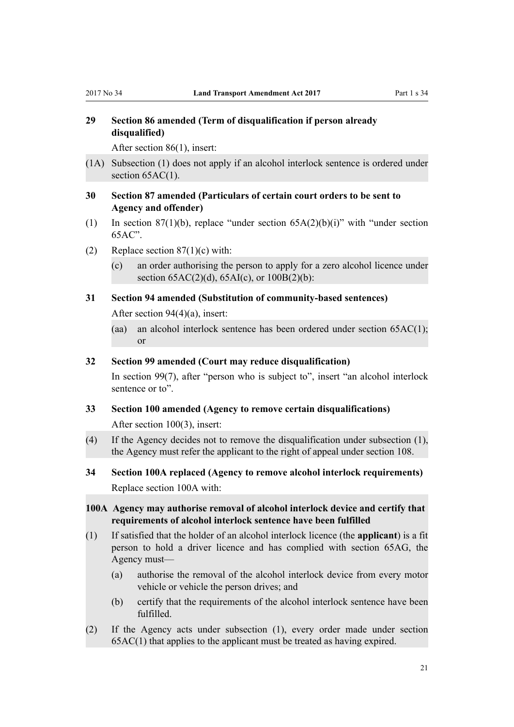# <span id="page-20-0"></span>**29 Section 86 amended (Term of disqualification if person already disqualified)**

After [section 86\(1\),](http://prd-lgnz-nlb.prd.pco.net.nz/pdflink.aspx?id=DLM434896) insert:

- (1A) Subsection (1) does not apply if an alcohol interlock sentence is ordered under section  $65AC(1)$ .
- **30 Section 87 amended (Particulars of certain court orders to be sent to Agency and offender)**
- (1) In [section 87\(1\)\(b\)](http://prd-lgnz-nlb.prd.pco.net.nz/pdflink.aspx?id=DLM434897), replace "under section  $65A(2)(b)(i)$ " with "under section 65AC".
- (2) Replace section  $87(1)(c)$  with:
	- (c) an order authorising the person to apply for a zero alcohol licence under section  $65AC(2)(d)$ ,  $65AI(c)$ , or  $100B(2)(b)$ :

# **31 Section 94 amended (Substitution of community-based sentences)**

After [section 94\(4\)\(a\)](http://prd-lgnz-nlb.prd.pco.net.nz/pdflink.aspx?id=DLM435018), insert:

(aa) an alcohol interlock sentence has been ordered under section 65AC(1); or

#### **32 Section 99 amended (Court may reduce disqualification)**

In [section 99\(7\)](http://prd-lgnz-nlb.prd.pco.net.nz/pdflink.aspx?id=DLM435051), after "person who is subject to", insert "an alcohol interlock sentence or to".

- **33 Section 100 amended (Agency to remove certain disqualifications)** After [section 100\(3\)](http://prd-lgnz-nlb.prd.pco.net.nz/pdflink.aspx?id=DLM435064), insert:
- (4) If the Agency decides not to remove the disqualification under subsection (1), the Agency must refer the applicant to the right of appeal under section 108.
- **34 Section 100A replaced (Agency to remove alcohol interlock requirements)** Replace [section 100A](http://prd-lgnz-nlb.prd.pco.net.nz/pdflink.aspx?id=DLM4740418) with:

# **100A Agency may authorise removal of alcohol interlock device and certify that requirements of alcohol interlock sentence have been fulfilled**

- (1) If satisfied that the holder of an alcohol interlock licence (the **applicant**) is a fit person to hold a driver licence and has complied with section 65AG, the Agency must—
	- (a) authorise the removal of the alcohol interlock device from every motor vehicle or vehicle the person drives; and
	- (b) certify that the requirements of the alcohol interlock sentence have been fulfilled.
- (2) If the Agency acts under subsection (1), every order made under section 65AC(1) that applies to the applicant must be treated as having expired.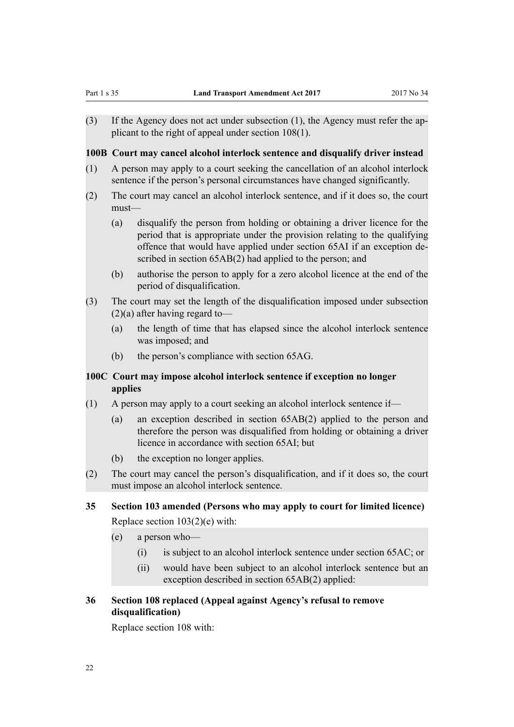<span id="page-21-0"></span>(3) If the Agency does not act under subsection (1), the Agency must refer the applicant to the right of appeal under section 108(1).

**100B Court may cancel alcohol interlock sentence and disqualify driver instead**

- (1) A person may apply to a court seeking the cancellation of an alcohol interlock sentence if the person's personal circumstances have changed significantly.
- (2) The court may cancel an alcohol interlock sentence, and if it does so, the court must—
	- (a) disqualify the person from holding or obtaining a driver licence for the period that is appropriate under the provision relating to the qualifying offence that would have applied under section 65AI if an exception described in section 65AB(2) had applied to the person; and
	- (b) authorise the person to apply for a zero alcohol licence at the end of the period of disqualification.
- (3) The court may set the length of the disqualification imposed under subsection (2)(a) after having regard to—
	- (a) the length of time that has elapsed since the alcohol interlock sentence was imposed; and
	- (b) the person's compliance with section 65AG.

# **100C Court may impose alcohol interlock sentence if exception no longer applies**

- (1) A person may apply to a court seeking an alcohol interlock sentence if—
	- (a) an exception described in section 65AB(2) applied to the person and therefore the person was disqualified from holding or obtaining a driver licence in accordance with section 65AI; but
	- (b) the exception no longer applies.
- (2) The court may cancel the person's disqualification, and if it does so, the court must impose an alcohol interlock sentence.

### **35 Section 103 amended (Persons who may apply to court for limited licence)**

Replace [section 103\(2\)\(e\)](http://prd-lgnz-nlb.prd.pco.net.nz/pdflink.aspx?id=DLM435075) with:

- (e) a person who—
	- (i) is subject to an alcohol interlock sentence under section 65AC; or
	- (ii) would have been subject to an alcohol interlock sentence but an exception described in section 65AB(2) applied:

# **36 Section 108 replaced (Appeal against Agency's refusal to remove disqualification)**

Replace [section 108](http://prd-lgnz-nlb.prd.pco.net.nz/pdflink.aspx?id=DLM435087) with: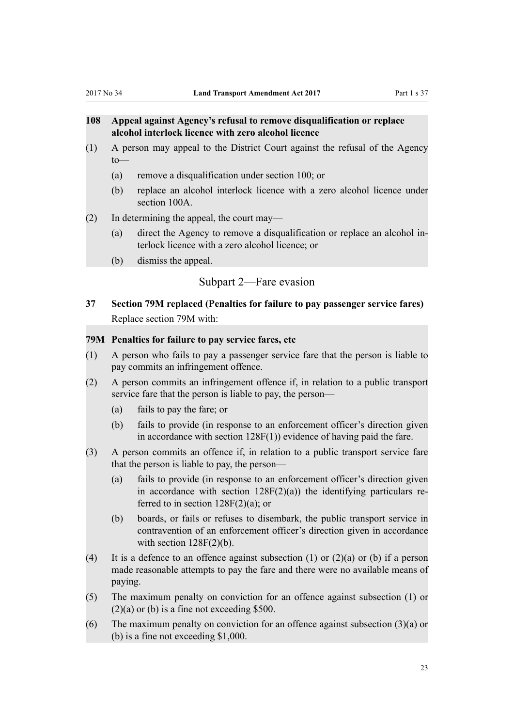# <span id="page-22-0"></span>**108 Appeal against Agency's refusal to remove disqualification or replace alcohol interlock licence with zero alcohol licence**

- (1) A person may appeal to the District Court against the refusal of the Agency to—
	- (a) remove a disqualification under section 100; or
	- (b) replace an alcohol interlock licence with a zero alcohol licence under section 100A.
- (2) In determining the appeal, the court may—
	- (a) direct the Agency to remove a disqualification or replace an alcohol interlock licence with a zero alcohol licence; or
	- (b) dismiss the appeal.

# Subpart 2—Fare evasion

**37 Section 79M replaced (Penalties for failure to pay passenger service fares)** Replace [section 79M](http://prd-lgnz-nlb.prd.pco.net.nz/pdflink.aspx?id=DLM434870) with:

## **79M Penalties for failure to pay service fares, etc**

- (1) A person who fails to pay a passenger service fare that the person is liable to pay commits an infringement offence.
- (2) A person commits an infringement offence if, in relation to a public transport service fare that the person is liable to pay, the person—
	- (a) fails to pay the fare; or
	- (b) fails to provide (in response to an enforcement officer's direction given in accordance with section 128F(1)) evidence of having paid the fare.
- (3) A person commits an offence if, in relation to a public transport service fare that the person is liable to pay, the person—
	- (a) fails to provide (in response to an enforcement officer's direction given in accordance with section  $128F(2)(a)$  the identifying particulars referred to in section  $128F(2)(a)$ ; or
	- (b) boards, or fails or refuses to disembark, the public transport service in contravention of an enforcement officer's direction given in accordance with section  $128F(2)(b)$ .
- (4) It is a defence to an offence against subsection (1) or  $(2)(a)$  or (b) if a person made reasonable attempts to pay the fare and there were no available means of paying.
- (5) The maximum penalty on conviction for an offence against subsection (1) or  $(2)(a)$  or (b) is a fine not exceeding \$500.
- (6) The maximum penalty on conviction for an offence against subsection  $(3)(a)$  or (b) is a fine not exceeding \$1,000.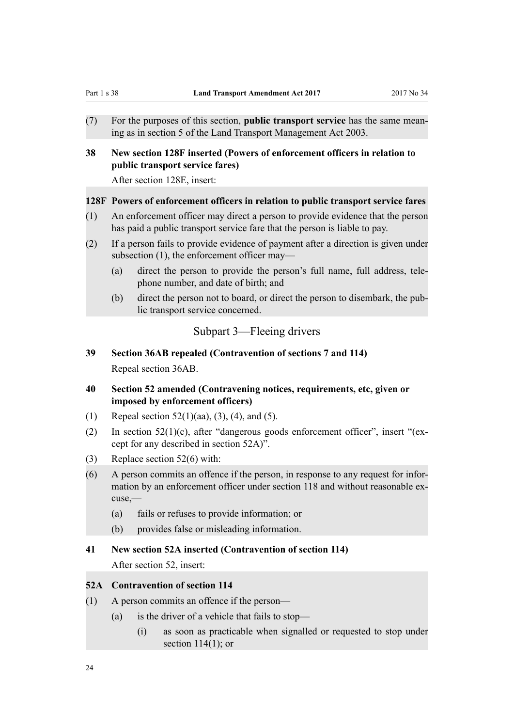<span id="page-23-0"></span>(7) For the purposes of this section, **public transport service** has the same meaning as in section 5 of the Land Transport Management Act 2003.

# **38 New section 128F inserted (Powers of enforcement officers in relation to public transport service fares)**

After [section 128E](http://prd-lgnz-nlb.prd.pco.net.nz/pdflink.aspx?id=DLM3812421), insert:

#### **128F Powers of enforcement officers in relation to public transport service fares**

- (1) An enforcement officer may direct a person to provide evidence that the person has paid a public transport service fare that the person is liable to pay.
- (2) If a person fails to provide evidence of payment after a direction is given under subsection (1), the enforcement officer may—
	- (a) direct the person to provide the person's full name, full address, telephone number, and date of birth; and
	- (b) direct the person not to board, or direct the person to disembark, the public transport service concerned.

## Subpart 3—Fleeing drivers

- **39 Section 36AB repealed (Contravention of sections 7 and 114)** Repeal [section 36AB.](http://prd-lgnz-nlb.prd.pco.net.nz/pdflink.aspx?id=DLM2609734)
- **40 Section 52 amended (Contravening notices, requirements, etc, given or imposed by enforcement officers)**
- (1) Repeal section  $52(1)(aa)$ ,  $(3)$ ,  $(4)$ , and  $(5)$ .
- (2) In [section 52\(1\)\(c\),](http://prd-lgnz-nlb.prd.pco.net.nz/pdflink.aspx?id=DLM434682) after "dangerous goods enforcement officer", insert "(except for any described in section 52A)".
- (3) Replace [section 52\(6\)](http://prd-lgnz-nlb.prd.pco.net.nz/pdflink.aspx?id=DLM434682) with:
- (6) A person commits an offence if the person, in response to any request for information by an enforcement officer under section 118 and without reasonable excuse,—
	- (a) fails or refuses to provide information; or
	- (b) provides false or misleading information.

#### **41 New section 52A inserted (Contravention of section 114)**

After [section 52](http://prd-lgnz-nlb.prd.pco.net.nz/pdflink.aspx?id=DLM434682), insert:

# **52A Contravention of section 114**

- (1) A person commits an offence if the person—
	- (a) is the driver of a vehicle that fails to stop—
		- (i) as soon as practicable when signalled or requested to stop under section  $114(1)$ ; or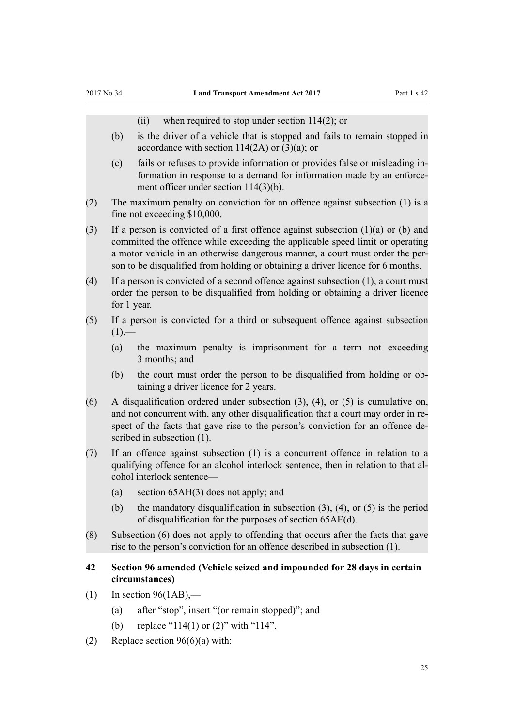(ii) when required to stop under section 114(2); or

- <span id="page-24-0"></span>(b) is the driver of a vehicle that is stopped and fails to remain stopped in accordance with section 114(2A) or (3)(a); or
- (c) fails or refuses to provide information or provides false or misleading information in response to a demand for information made by an enforcement officer under section 114(3)(b).
- (2) The maximum penalty on conviction for an offence against subsection (1) is a fine not exceeding \$10,000.

(3) If a person is convicted of a first offence against subsection (1)(a) or (b) and committed the offence while exceeding the applicable speed limit or operating a motor vehicle in an otherwise dangerous manner, a court must order the person to be disqualified from holding or obtaining a driver licence for 6 months.

- (4) If a person is convicted of a second offence against subsection (1), a court must order the person to be disqualified from holding or obtaining a driver licence for 1 year.
- (5) If a person is convicted for a third or subsequent offence against subsection  $(1)$ ,—
	- (a) the maximum penalty is imprisonment for a term not exceeding 3 months; and
	- (b) the court must order the person to be disqualified from holding or obtaining a driver licence for 2 years.
- (6) A disqualification ordered under subsection (3), (4), or (5) is cumulative on, and not concurrent with, any other disqualification that a court may order in respect of the facts that gave rise to the person's conviction for an offence described in subsection (1).
- (7) If an offence against subsection (1) is a concurrent offence in relation to a qualifying offence for an alcohol interlock sentence, then in relation to that alcohol interlock sentence—
	- (a) section 65AH(3) does not apply; and
	- (b) the mandatory disqualification in subsection (3), (4), or (5) is the period of disqualification for the purposes of section 65AE(d).
- (8) Subsection (6) does not apply to offending that occurs after the facts that gave rise to the person's conviction for an offence described in subsection (1).

# **42 Section 96 amended (Vehicle seized and impounded for 28 days in certain circumstances)**

- $(1)$  In [section 96\(1AB\)](http://prd-lgnz-nlb.prd.pco.net.nz/pdflink.aspx?id=DLM435033),—
	- (a) after "stop", insert "(or remain stopped)"; and
	- (b) replace "114(1) or (2)" with "114".
- (2) Replace section  $96(6)(a)$  with: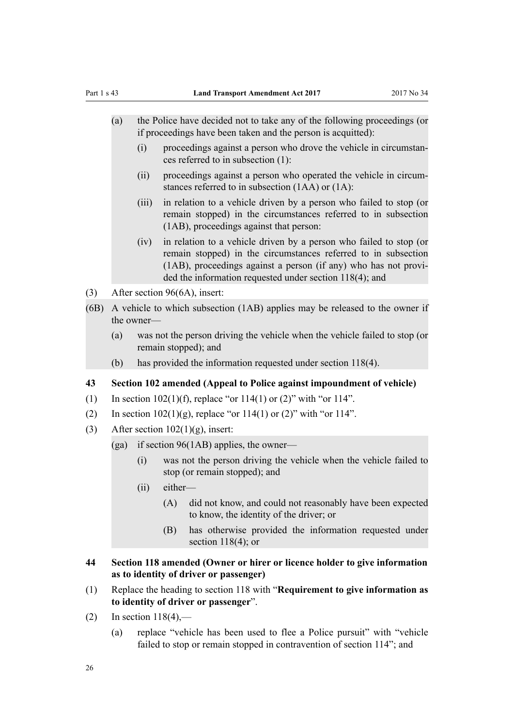- <span id="page-25-0"></span>(a) the Police have decided not to take any of the following proceedings (or if proceedings have been taken and the person is acquitted):
	- (i) proceedings against a person who drove the vehicle in circumstances referred to in subsection (1):
	- (ii) proceedings against a person who operated the vehicle in circumstances referred to in subsection (1AA) or (1A):
	- (iii) in relation to a vehicle driven by a person who failed to stop (or remain stopped) in the circumstances referred to in subsection (1AB), proceedings against that person:
	- (iv) in relation to a vehicle driven by a person who failed to stop (or remain stopped) in the circumstances referred to in subsection (1AB), proceedings against a person (if any) who has not provided the information requested under section 118(4); and
- (3) After [section 96\(6A\)](http://prd-lgnz-nlb.prd.pco.net.nz/pdflink.aspx?id=DLM435033), insert:
- (6B) A vehicle to which subsection (1AB) applies may be released to the owner if the owner—
	- (a) was not the person driving the vehicle when the vehicle failed to stop (or remain stopped); and
	- (b) has provided the information requested under section 118(4).

#### **43 Section 102 amended (Appeal to Police against impoundment of vehicle)**

- (1) In section  $102(1)(f)$ , replace "or  $114(1)$  or  $(2)$ " with "or  $114$ ".
- (2) In section  $102(1)(g)$ , replace "or  $114(1)$  or  $(2)$ " with "or  $114$ ".
- (3) After section  $102(1)(g)$ , insert:
	- (ga) if section  $96(1AB)$  applies, the owner—
		- (i) was not the person driving the vehicle when the vehicle failed to stop (or remain stopped); and
		- (ii) either—
			- (A) did not know, and could not reasonably have been expected to know, the identity of the driver; or
			- (B) has otherwise provided the information requested under section  $118(4)$ ; or
- **44 Section 118 amended (Owner or hirer or licence holder to give information as to identity of driver or passenger)**
- (1) Replace the heading to [section 118](http://prd-lgnz-nlb.prd.pco.net.nz/pdflink.aspx?id=DLM435112) with "**Requirement to give information as to identity of driver or passenger**".
- (2) In section  $118(4)$ ,—
	- (a) replace "vehicle has been used to flee a Police pursuit" with "vehicle failed to stop or remain stopped in contravention of section 114"; and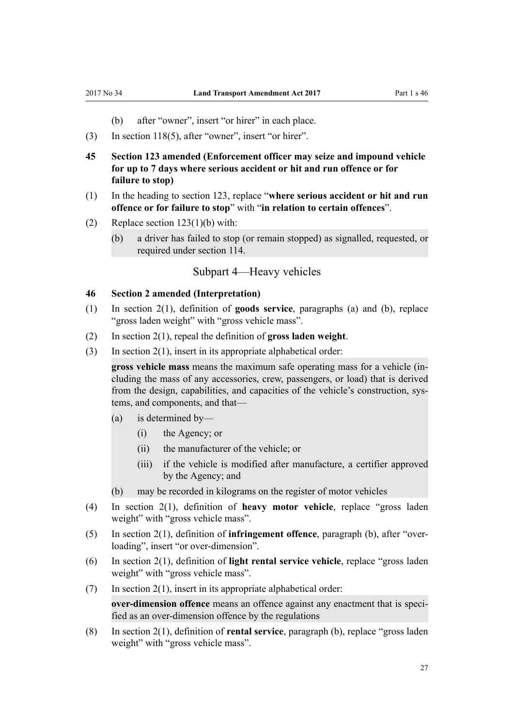- (b) after "owner", insert "or hirer" in each place.
- <span id="page-26-0"></span>(3) In [section 118\(5\)](http://prd-lgnz-nlb.prd.pco.net.nz/pdflink.aspx?id=DLM435112), after "owner", insert "or hirer".
- **45 Section 123 amended (Enforcement officer may seize and impound vehicle for up to 7 days where serious accident or hit and run offence or for failure to stop)**
- (1) In the heading to [section 123,](http://prd-lgnz-nlb.prd.pco.net.nz/pdflink.aspx?id=DLM435118) replace "**where serious accident or hit and run offence or for failure to stop**" with "**in relation to certain offences**".
- (2) Replace [section 123\(1\)\(b\)](http://prd-lgnz-nlb.prd.pco.net.nz/pdflink.aspx?id=DLM435118) with:
	- (b) a driver has failed to stop (or remain stopped) as signalled, requested, or required under section 114.

# Subpart 4—Heavy vehicles

#### **46 Section 2 amended (Interpretation)**

- (1) In [section 2\(1\)](http://prd-lgnz-nlb.prd.pco.net.nz/pdflink.aspx?id=DLM433619), definition of **goods service**, paragraphs (a) and (b), replace "gross laden weight" with "gross vehicle mass".
- (2) In [section 2\(1\)](http://prd-lgnz-nlb.prd.pco.net.nz/pdflink.aspx?id=DLM433619), repeal the definition of **gross laden weight**.
- (3) In section  $2(1)$ , insert in its appropriate alphabetical order:

**gross vehicle mass** means the maximum safe operating mass for a vehicle (including the mass of any accessories, crew, passengers, or load) that is derived from the design, capabilities, and capacities of the vehicle's construction, systems, and components, and that—

- (a) is determined by—
	- (i) the Agency; or
	- (ii) the manufacturer of the vehicle; or
	- (iii) if the vehicle is modified after manufacture, a certifier approved by the Agency; and
- (b) may be recorded in kilograms on the register of motor vehicles
- (4) In [section 2\(1\),](http://prd-lgnz-nlb.prd.pco.net.nz/pdflink.aspx?id=DLM433619) definition of **heavy motor vehicle**, replace "gross laden weight" with "gross vehicle mass".
- (5) In [section 2\(1\)](http://prd-lgnz-nlb.prd.pco.net.nz/pdflink.aspx?id=DLM433619), definition of **infringement offence**, paragraph (b), after "overloading", insert "or over-dimension".
- (6) In [section 2\(1\),](http://prd-lgnz-nlb.prd.pco.net.nz/pdflink.aspx?id=DLM433619) definition of **light rental service vehicle**, replace "gross laden weight" with "gross vehicle mass".
- $(7)$  In [section 2\(1\)](http://prd-lgnz-nlb.prd.pco.net.nz/pdflink.aspx?id=DLM433619), insert in its appropriate alphabetical order: **over-dimension offence** means an offence against any enactment that is speci-

fied as an over-dimension offence by the regulations

(8) In [section 2\(1\)](http://prd-lgnz-nlb.prd.pco.net.nz/pdflink.aspx?id=DLM433619), definition of **rental service**, paragraph (b), replace "gross laden weight" with "gross vehicle mass".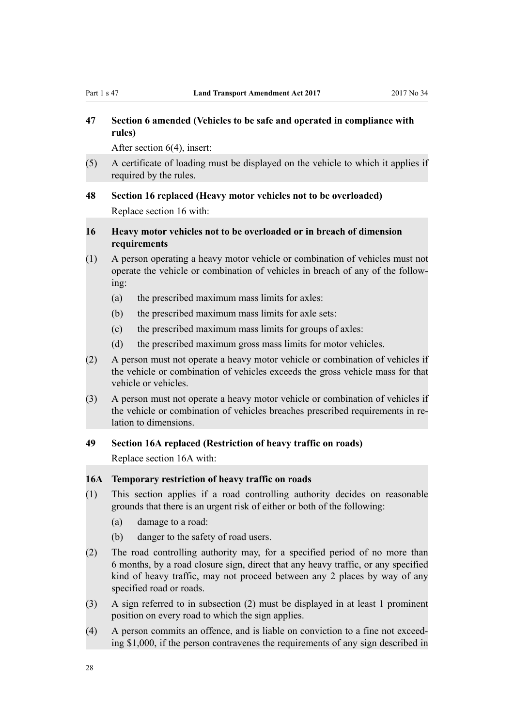# <span id="page-27-0"></span>**47 Section 6 amended (Vehicles to be safe and operated in compliance with rules)**

After [section 6\(4\),](http://prd-lgnz-nlb.prd.pco.net.nz/pdflink.aspx?id=DLM434510) insert:

(5) A certificate of loading must be displayed on the vehicle to which it applies if required by the rules.

# **48 Section 16 replaced (Heavy motor vehicles not to be overloaded)**

Replace [section 16](http://prd-lgnz-nlb.prd.pco.net.nz/pdflink.aspx?id=DLM434532) with:

# **16 Heavy motor vehicles not to be overloaded or in breach of dimension requirements**

- (1) A person operating a heavy motor vehicle or combination of vehicles must not operate the vehicle or combination of vehicles in breach of any of the following:
	- (a) the prescribed maximum mass limits for axles:
	- (b) the prescribed maximum mass limits for axle sets:
	- (c) the prescribed maximum mass limits for groups of axles:
	- (d) the prescribed maximum gross mass limits for motor vehicles.
- (2) A person must not operate a heavy motor vehicle or combination of vehicles if the vehicle or combination of vehicles exceeds the gross vehicle mass for that vehicle or vehicles.
- (3) A person must not operate a heavy motor vehicle or combination of vehicles if the vehicle or combination of vehicles breaches prescribed requirements in relation to dimensions.

#### **49 Section 16A replaced (Restriction of heavy traffic on roads)**

Replace [section 16A](http://prd-lgnz-nlb.prd.pco.net.nz/pdflink.aspx?id=DLM3820233) with:

# **16A Temporary restriction of heavy traffic on roads**

- (1) This section applies if a road controlling authority decides on reasonable grounds that there is an urgent risk of either or both of the following:
	- (a) damage to a road:
	- (b) danger to the safety of road users.
- (2) The road controlling authority may, for a specified period of no more than 6 months, by a road closure sign, direct that any heavy traffic, or any specified kind of heavy traffic, may not proceed between any 2 places by way of any specified road or roads.
- (3) A sign referred to in subsection (2) must be displayed in at least 1 prominent position on every road to which the sign applies.
- (4) A person commits an offence, and is liable on conviction to a fine not exceeding \$1,000, if the person contravenes the requirements of any sign described in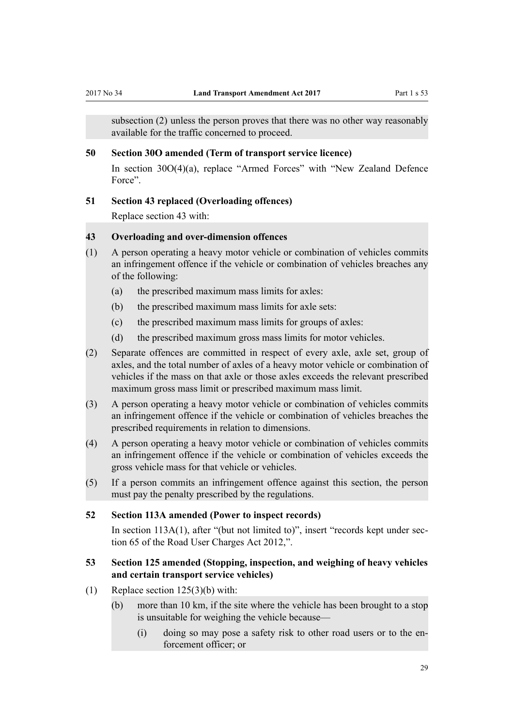<span id="page-28-0"></span>subsection (2) unless the person proves that there was no other way reasonably available for the traffic concerned to proceed.

# **50 Section 30O amended (Term of transport service licence)**

In [section 30O\(4\)\(a\),](http://prd-lgnz-nlb.prd.pco.net.nz/pdflink.aspx?id=DLM434607) replace "Armed Forces" with "New Zealand Defence Force".

#### **51 Section 43 replaced (Overloading offences)**

Replace [section 43](http://prd-lgnz-nlb.prd.pco.net.nz/pdflink.aspx?id=DLM434669) with:

# **43 Overloading and over-dimension offences**

- (1) A person operating a heavy motor vehicle or combination of vehicles commits an infringement offence if the vehicle or combination of vehicles breaches any of the following:
	- (a) the prescribed maximum mass limits for axles:
	- (b) the prescribed maximum mass limits for axle sets:
	- (c) the prescribed maximum mass limits for groups of axles:
	- (d) the prescribed maximum gross mass limits for motor vehicles.
- (2) Separate offences are committed in respect of every axle, axle set, group of axles, and the total number of axles of a heavy motor vehicle or combination of vehicles if the mass on that axle or those axles exceeds the relevant prescribed maximum gross mass limit or prescribed maximum mass limit.
- (3) A person operating a heavy motor vehicle or combination of vehicles commits an infringement offence if the vehicle or combination of vehicles breaches the prescribed requirements in relation to dimensions.
- (4) A person operating a heavy motor vehicle or combination of vehicles commits an infringement offence if the vehicle or combination of vehicles exceeds the gross vehicle mass for that vehicle or vehicles.
- (5) If a person commits an infringement offence against this section, the person must pay the penalty prescribed by the regulations.

### **52 Section 113A amended (Power to inspect records)**

In [section 113A\(1\),](http://prd-lgnz-nlb.prd.pco.net.nz/pdflink.aspx?id=DLM435104) after "(but not limited to)", insert "records kept under section 65 of the Road User Charges Act 2012,".

# **53 Section 125 amended (Stopping, inspection, and weighing of heavy vehicles and certain transport service vehicles)**

- (1) Replace section  $125(3)(b)$  with:
	- (b) more than 10 km, if the site where the vehicle has been brought to a stop is unsuitable for weighing the vehicle because—
		- (i) doing so may pose a safety risk to other road users or to the enforcement officer; or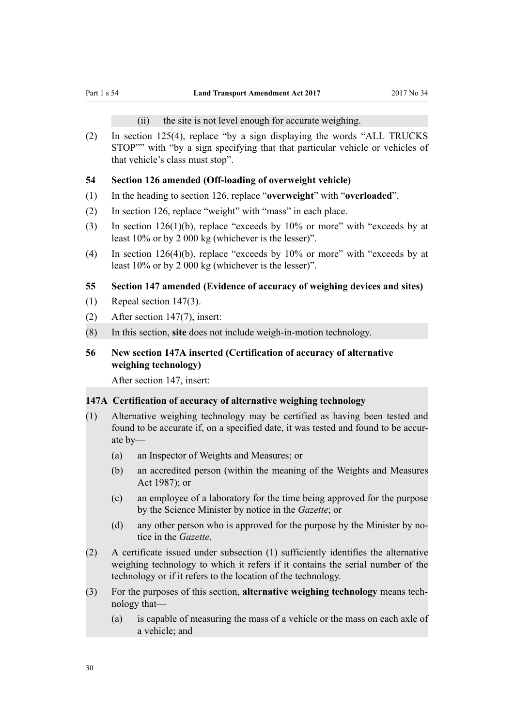(ii) the site is not level enough for accurate weighing.

<span id="page-29-0"></span>(2) In [section 125\(4\),](http://prd-lgnz-nlb.prd.pco.net.nz/pdflink.aspx?id=DLM435125) replace "by a sign displaying the words "ALL TRUCKS STOP"" with "by a sign specifying that that particular vehicle or vehicles of that vehicle's class must stop".

#### **54 Section 126 amended (Off-loading of overweight vehicle)**

- (1) In the heading to [section 126](http://prd-lgnz-nlb.prd.pco.net.nz/pdflink.aspx?id=DLM435126), replace "**overweight**" with "**overloaded**".
- (2) In [section 126](http://prd-lgnz-nlb.prd.pco.net.nz/pdflink.aspx?id=DLM435126), replace "weight" with "mass" in each place.
- (3) In [section 126\(1\)\(b\),](http://prd-lgnz-nlb.prd.pco.net.nz/pdflink.aspx?id=DLM435126) replace "exceeds by 10% or more" with "exceeds by at least 10% or by 2 000 kg (whichever is the lesser)".
- (4) In [section 126\(4\)\(b\),](http://prd-lgnz-nlb.prd.pco.net.nz/pdflink.aspx?id=DLM435126) replace "exceeds by 10% or more" with "exceeds by at least 10% or by 2 000 kg (whichever is the lesser)".

#### **55 Section 147 amended (Evidence of accuracy of weighing devices and sites)**

- (1) Repeal [section 147\(3\)](http://prd-lgnz-nlb.prd.pco.net.nz/pdflink.aspx?id=DLM435170).
- (2) After [section 147\(7\)](http://prd-lgnz-nlb.prd.pco.net.nz/pdflink.aspx?id=DLM435170), insert:
- (8) In this section, **site** does not include weigh-in-motion technology.

# **56 New section 147A inserted (Certification of accuracy of alternative weighing technology)**

After [section 147](http://prd-lgnz-nlb.prd.pco.net.nz/pdflink.aspx?id=DLM435170), insert:

### **147A Certification of accuracy of alternative weighing technology**

- (1) Alternative weighing technology may be certified as having been tested and found to be accurate if, on a specified date, it was tested and found to be accurate by—
	- (a) an Inspector of Weights and Measures; or
	- (b) an accredited person (within the meaning of the Weights and Measures Act 1987); or
	- (c) an employee of a laboratory for the time being approved for the purpose by the Science Minister by notice in the *Gazette*; or
	- (d) any other person who is approved for the purpose by the Minister by notice in the *Gazette*.
- (2) A certificate issued under subsection (1) sufficiently identifies the alternative weighing technology to which it refers if it contains the serial number of the technology or if it refers to the location of the technology.
- (3) For the purposes of this section, **alternative weighing technology** means technology that—
	- (a) is capable of measuring the mass of a vehicle or the mass on each axle of a vehicle; and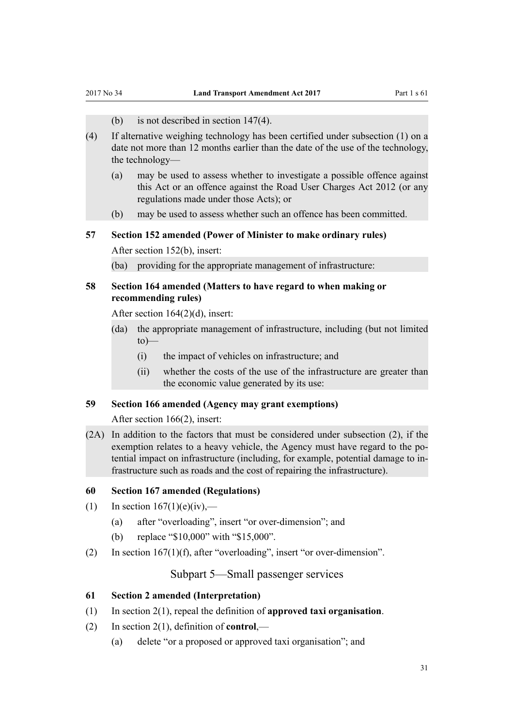- (b) is not described in section 147(4).
- <span id="page-30-0"></span>(4) If alternative weighing technology has been certified under subsection (1) on a date not more than 12 months earlier than the date of the use of the technology, the technology—
	- (a) may be used to assess whether to investigate a possible offence against this Act or an offence against the Road User Charges Act 2012 (or any regulations made under those Acts); or
	- (b) may be used to assess whether such an offence has been committed.

## **57 Section 152 amended (Power of Minister to make ordinary rules)**

After [section 152\(b\)](http://prd-lgnz-nlb.prd.pco.net.nz/pdflink.aspx?id=DLM435179), insert:

(ba) providing for the appropriate management of infrastructure:

## **58 Section 164 amended (Matters to have regard to when making or recommending rules)**

After [section 164\(2\)\(d\),](http://prd-lgnz-nlb.prd.pco.net.nz/pdflink.aspx?id=DLM435400) insert:

- (da) the appropriate management of infrastructure, including (but not limited  $to)$ —
	- (i) the impact of vehicles on infrastructure; and
	- (ii) whether the costs of the use of the infrastructure are greater than the economic value generated by its use:

# **59 Section 166 amended (Agency may grant exemptions)**

After [section 166\(2\)](http://prd-lgnz-nlb.prd.pco.net.nz/pdflink.aspx?id=DLM435404), insert:

(2A) In addition to the factors that must be considered under subsection (2), if the exemption relates to a heavy vehicle, the Agency must have regard to the potential impact on infrastructure (including, for example, potential damage to infrastructure such as roads and the cost of repairing the infrastructure).

#### **60 Section 167 amended (Regulations)**

- (1) In section  $167(1)(e)(iv)$ ,—
	- (a) after "overloading", insert "or over-dimension"; and
	- (b) replace "\$10,000" with "\$15,000".
- (2) In [section 167\(1\)\(f\)](http://prd-lgnz-nlb.prd.pco.net.nz/pdflink.aspx?id=DLM435407), after "overloading", insert "or over-dimension".

Subpart 5—Small passenger services

## **61 Section 2 amended (Interpretation)**

- (1) In [section 2\(1\)](http://prd-lgnz-nlb.prd.pco.net.nz/pdflink.aspx?id=DLM433619), repeal the definition of **approved taxi organisation**.
- (2) In [section 2\(1\)](http://prd-lgnz-nlb.prd.pco.net.nz/pdflink.aspx?id=DLM433619), definition of **control**,—
	- (a) delete "or a proposed or approved taxi organisation"; and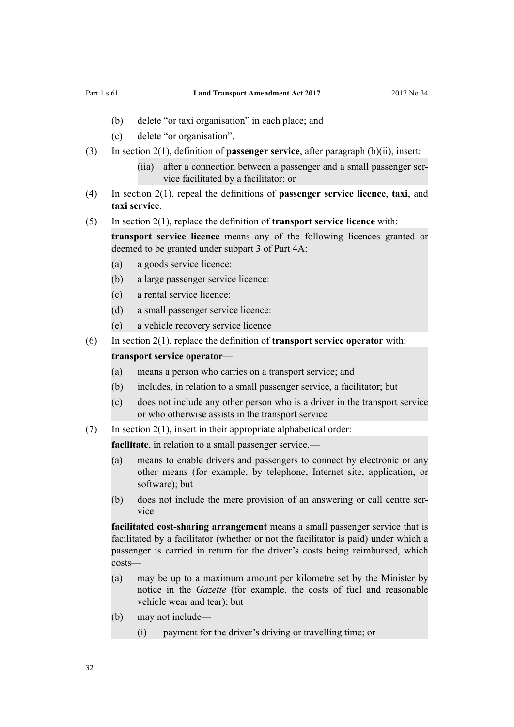- (b) delete "or taxi organisation" in each place; and
- (c) delete "or organisation".
- (3) In [section 2\(1\)](http://prd-lgnz-nlb.prd.pco.net.nz/pdflink.aspx?id=DLM433619), definition of **passenger service**, after paragraph (b)(ii), insert:
	- (iia) after a connection between a passenger and a small passenger service facilitated by a facilitator; or
- (4) In [section 2\(1\),](http://prd-lgnz-nlb.prd.pco.net.nz/pdflink.aspx?id=DLM433619) repeal the definitions of **passenger service licence**, **taxi**, and **taxi service**.
- (5) In [section 2\(1\)](http://prd-lgnz-nlb.prd.pco.net.nz/pdflink.aspx?id=DLM433619), replace the definition of **transport service licence** with:

**transport service licence** means any of the following licences granted or deemed to be granted under subpart 3 of Part 4A:

- (a) a goods service licence:
- (b) a large passenger service licence:
- (c) a rental service licence:
- (d) a small passenger service licence:
- (e) a vehicle recovery service licence
- (6) In [section 2\(1\)](http://prd-lgnz-nlb.prd.pco.net.nz/pdflink.aspx?id=DLM433619), replace the definition of **transport service operator** with: **transport service operator**—
	- (a) means a person who carries on a transport service; and
	- (b) includes, in relation to a small passenger service, a facilitator; but
	- (c) does not include any other person who is a driver in the transport service or who otherwise assists in the transport service
- $(7)$  In section  $2(1)$ , insert in their appropriate alphabetical order:

**facilitate**, in relation to a small passenger service,—

- (a) means to enable drivers and passengers to connect by electronic or any other means (for example, by telephone, Internet site, application, or software); but
- (b) does not include the mere provision of an answering or call centre service

**facilitated cost-sharing arrangement** means a small passenger service that is facilitated by a facilitator (whether or not the facilitator is paid) under which a passenger is carried in return for the driver's costs being reimbursed, which costs—

- (a) may be up to a maximum amount per kilometre set by the Minister by notice in the *Gazette* (for example, the costs of fuel and reasonable vehicle wear and tear); but
- (b) may not include—
	- (i) payment for the driver's driving or travelling time; or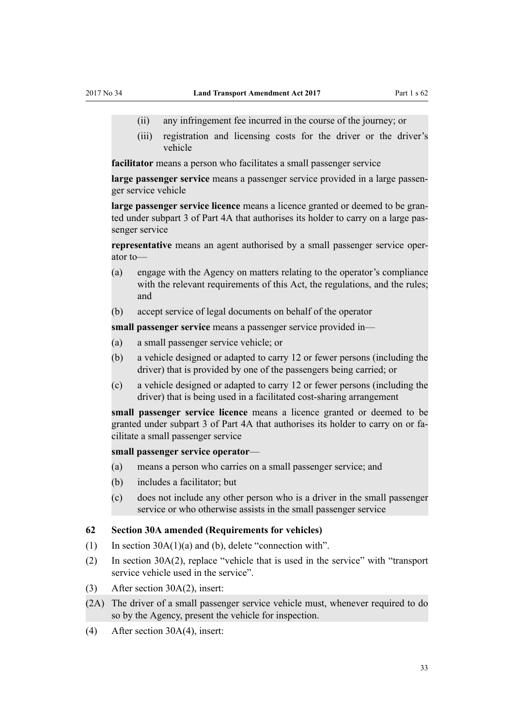- <span id="page-32-0"></span>(ii) any infringement fee incurred in the course of the journey; or
- (iii) registration and licensing costs for the driver or the driver's vehicle

**facilitator** means a person who facilitates a small passenger service

**large passenger service** means a passenger service provided in a large passenger service vehicle

**large passenger service licence** means a licence granted or deemed to be granted under subpart 3 of Part 4A that authorises its holder to carry on a large passenger service

**representative** means an agent authorised by a small passenger service operator to—

- (a) engage with the Agency on matters relating to the operator's compliance with the relevant requirements of this Act, the regulations, and the rules; and
- (b) accept service of legal documents on behalf of the operator

**small passenger service** means a passenger service provided in—

- (a) a small passenger service vehicle; or
- (b) a vehicle designed or adapted to carry 12 or fewer persons (including the driver) that is provided by one of the passengers being carried; or
- (c) a vehicle designed or adapted to carry 12 or fewer persons (including the driver) that is being used in a facilitated cost-sharing arrangement

**small passenger service licence** means a licence granted or deemed to be granted under subpart 3 of Part 4A that authorises its holder to carry on or facilitate a small passenger service

#### **small passenger service operator**—

- (a) means a person who carries on a small passenger service; and
- (b) includes a facilitator; but
- (c) does not include any other person who is a driver in the small passenger service or who otherwise assists in the small passenger service

#### **62 Section 30A amended (Requirements for vehicles)**

- (1) In [section 30A\(1\)\(a\) and \(b\),](http://prd-lgnz-nlb.prd.pco.net.nz/pdflink.aspx?id=DLM434589) delete "connection with".
- (2) In [section 30A\(2\),](http://prd-lgnz-nlb.prd.pco.net.nz/pdflink.aspx?id=DLM434589) replace "vehicle that is used in the service" with "transport service vehicle used in the service".
- (3) After [section 30A\(2\)](http://prd-lgnz-nlb.prd.pco.net.nz/pdflink.aspx?id=DLM434589), insert:
- (2A) The driver of a small passenger service vehicle must, whenever required to do so by the Agency, present the vehicle for inspection.
- (4) After [section 30A\(4\)](http://prd-lgnz-nlb.prd.pco.net.nz/pdflink.aspx?id=DLM434589), insert: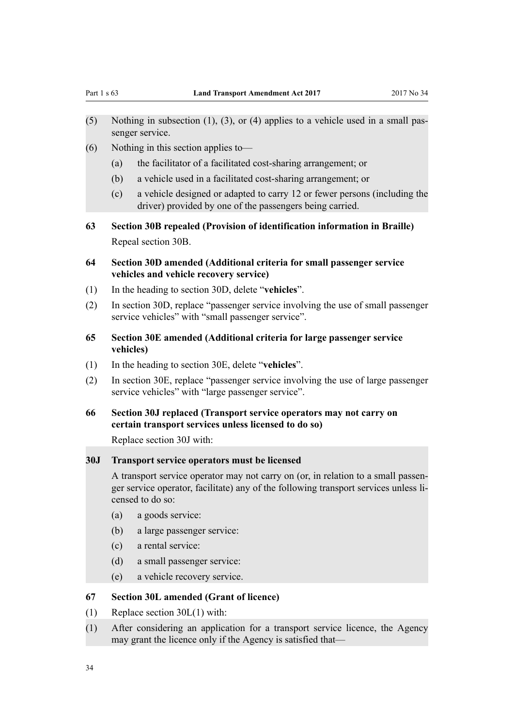- <span id="page-33-0"></span>(5) Nothing in subsection (1), (3), or (4) applies to a vehicle used in a small passenger service.
- (6) Nothing in this section applies to—
	- (a) the facilitator of a facilitated cost-sharing arrangement; or
	- (b) a vehicle used in a facilitated cost-sharing arrangement; or
	- (c) a vehicle designed or adapted to carry 12 or fewer persons (including the driver) provided by one of the passengers being carried.
- **63 Section 30B repealed (Provision of identification information in Braille)** Repeal [section 30B.](http://prd-lgnz-nlb.prd.pco.net.nz/pdflink.aspx?id=DLM434590)
- **64 Section 30D amended (Additional criteria for small passenger service vehicles and vehicle recovery service)**
- (1) In the heading to [section 30D,](http://prd-lgnz-nlb.prd.pco.net.nz/pdflink.aspx?id=DLM434594) delete "**vehicles**".
- (2) In [section 30D](http://prd-lgnz-nlb.prd.pco.net.nz/pdflink.aspx?id=DLM434594), replace "passenger service involving the use of small passenger service vehicles" with "small passenger service".
- **65 Section 30E amended (Additional criteria for large passenger service vehicles)**
- (1) In the heading to [section 30E,](http://prd-lgnz-nlb.prd.pco.net.nz/pdflink.aspx?id=DLM434595) delete "**vehicles**".
- (2) In [section 30E](http://prd-lgnz-nlb.prd.pco.net.nz/pdflink.aspx?id=DLM434595), replace "passenger service involving the use of large passenger service vehicles" with "large passenger service".
- **66 Section 30J replaced (Transport service operators may not carry on certain transport services unless licensed to do so)**

Replace [section 30J](http://prd-lgnz-nlb.prd.pco.net.nz/pdflink.aspx?id=DLM434602) with:

# **30J Transport service operators must be licensed**

A transport service operator may not carry on (or, in relation to a small passenger service operator, facilitate) any of the following transport services unless licensed to do so:

- (a) a goods service:
- (b) a large passenger service:
- (c) a rental service:
- (d) a small passenger service:
- (e) a vehicle recovery service.

## **67 Section 30L amended (Grant of licence)**

- (1) Replace [section 30L\(1\)](http://prd-lgnz-nlb.prd.pco.net.nz/pdflink.aspx?id=DLM434604) with:
- (1) After considering an application for a transport service licence, the Agency may grant the licence only if the Agency is satisfied that—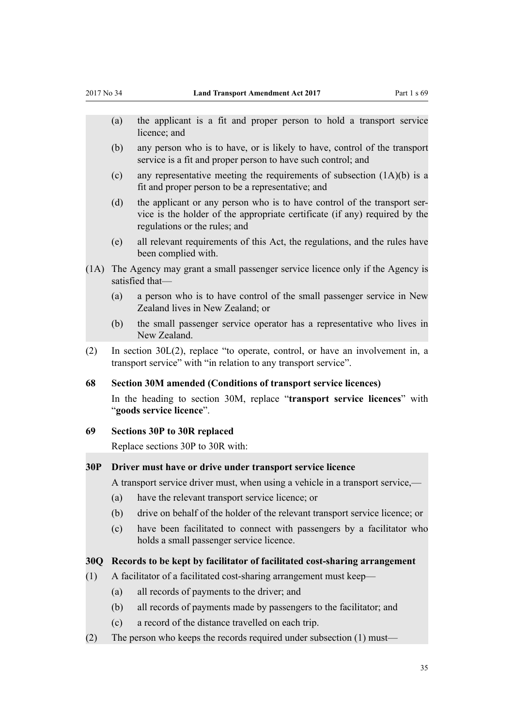- <span id="page-34-0"></span>(a) the applicant is a fit and proper person to hold a transport service licence; and
- (b) any person who is to have, or is likely to have, control of the transport service is a fit and proper person to have such control; and
- (c) any representative meeting the requirements of subsection  $(1A)(b)$  is a fit and proper person to be a representative; and
- (d) the applicant or any person who is to have control of the transport service is the holder of the appropriate certificate (if any) required by the regulations or the rules; and
- (e) all relevant requirements of this Act, the regulations, and the rules have been complied with.
- (1A) The Agency may grant a small passenger service licence only if the Agency is satisfied that—
	- (a) a person who is to have control of the small passenger service in New Zealand lives in New Zealand; or
	- (b) the small passenger service operator has a representative who lives in New Zealand.
- (2) In [section 30L\(2\)](http://prd-lgnz-nlb.prd.pco.net.nz/pdflink.aspx?id=DLM434604), replace "to operate, control, or have an involvement in, a transport service" with "in relation to any transport service".

## **68 Section 30M amended (Conditions of transport service licences)**

In the heading to [section 30M,](http://prd-lgnz-nlb.prd.pco.net.nz/pdflink.aspx?id=DLM434605) replace "**transport service licences**" with "**goods service licence**".

## **69 Sections 30P to 30R replaced**

Replace [sections 30P to 30R](http://prd-lgnz-nlb.prd.pco.net.nz/pdflink.aspx?id=DLM434608) with:

#### **30P Driver must have or drive under transport service licence**

A transport service driver must, when using a vehicle in a transport service,—

- (a) have the relevant transport service licence; or
- (b) drive on behalf of the holder of the relevant transport service licence; or
- (c) have been facilitated to connect with passengers by a facilitator who holds a small passenger service licence.

#### **30Q Records to be kept by facilitator of facilitated cost-sharing arrangement**

- (1) A facilitator of a facilitated cost-sharing arrangement must keep—
	- (a) all records of payments to the driver; and
	- (b) all records of payments made by passengers to the facilitator; and
	- (c) a record of the distance travelled on each trip.
- (2) The person who keeps the records required under subsection  $(1)$  must—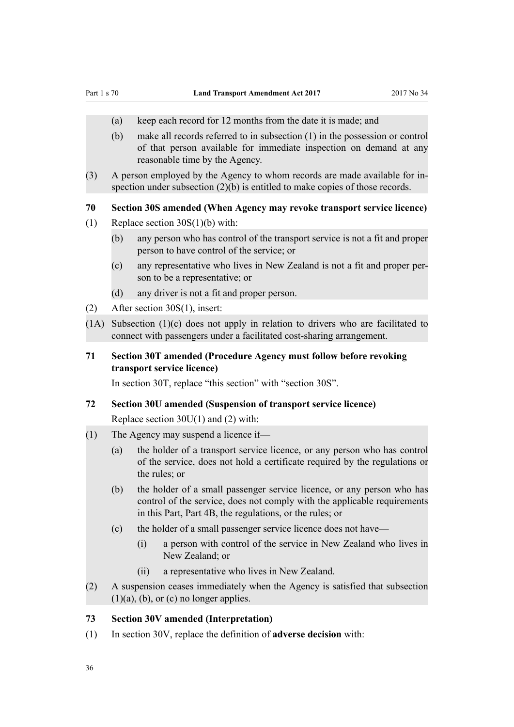- <span id="page-35-0"></span>(a) keep each record for 12 months from the date it is made; and
- (b) make all records referred to in subsection (1) in the possession or control of that person available for immediate inspection on demand at any reasonable time by the Agency.
- (3) A person employed by the Agency to whom records are made available for inspection under subsection (2)(b) is entitled to make copies of those records.

# **70 Section 30S amended (When Agency may revoke transport service licence)**

- (1) Replace [section 30S\(1\)\(b\)](http://prd-lgnz-nlb.prd.pco.net.nz/pdflink.aspx?id=DLM434612) with:
	- (b) any person who has control of the transport service is not a fit and proper person to have control of the service; or
	- (c) any representative who lives in New Zealand is not a fit and proper person to be a representative; or
	- (d) any driver is not a fit and proper person.
- (2) After [section 30S\(1\)](http://prd-lgnz-nlb.prd.pco.net.nz/pdflink.aspx?id=DLM434612), insert:
- (1A) Subsection (1)(c) does not apply in relation to drivers who are facilitated to connect with passengers under a facilitated cost-sharing arrangement.
- **71 Section 30T amended (Procedure Agency must follow before revoking transport service licence)**

In [section 30T,](http://prd-lgnz-nlb.prd.pco.net.nz/pdflink.aspx?id=DLM434613) replace "this section" with "section 30S".

### **72 Section 30U amended (Suspension of transport service licence)**

Replace [section 30U\(1\) and \(2\)](http://prd-lgnz-nlb.prd.pco.net.nz/pdflink.aspx?id=DLM434614) with:

- (1) The Agency may suspend a licence if—
	- (a) the holder of a transport service licence, or any person who has control of the service, does not hold a certificate required by the regulations or the rules; or
	- (b) the holder of a small passenger service licence, or any person who has control of the service, does not comply with the applicable requirements in this Part, Part 4B, the regulations, or the rules; or
	- (c) the holder of a small passenger service licence does not have—
		- (i) a person with control of the service in New Zealand who lives in New Zealand; or
		- (ii) a representative who lives in New Zealand.
- (2) A suspension ceases immediately when the Agency is satisfied that subsection  $(1)(a)$ ,  $(b)$ , or  $(c)$  no longer applies.

## **73 Section 30V amended (Interpretation)**

(1) In [section 30V,](http://prd-lgnz-nlb.prd.pco.net.nz/pdflink.aspx?id=DLM434616) replace the definition of **adverse decision** with: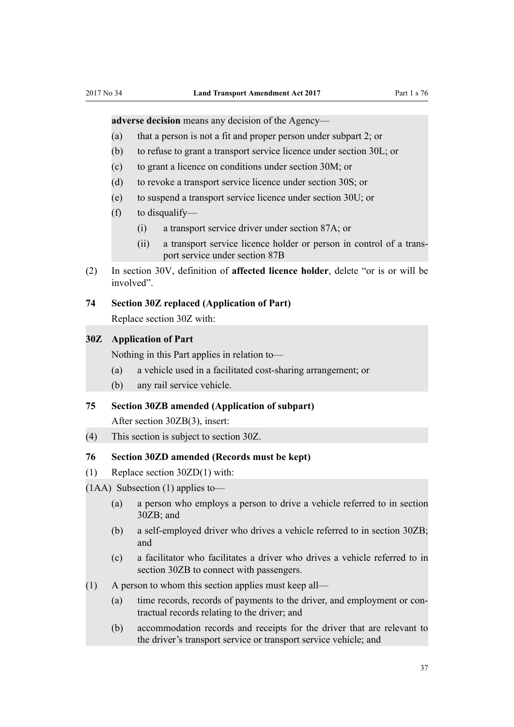<span id="page-36-0"></span>**adverse decision** means any decision of the Agency—

- (a) that a person is not a fit and proper person under subpart 2; or
- (b) to refuse to grant a transport service licence under section 30L; or
- (c) to grant a licence on conditions under section 30M; or
- (d) to revoke a transport service licence under section 30S; or
- (e) to suspend a transport service licence under section 30U; or
- (f) to disqualify—
	- (i) a transport service driver under section 87A; or
	- (ii) a transport service licence holder or person in control of a transport service under section 87B
- (2) In [section 30V](http://prd-lgnz-nlb.prd.pco.net.nz/pdflink.aspx?id=DLM434616), definition of **affected licence holder**, delete "or is or will be involved".
- **74 Section 30Z replaced (Application of Part)**

Replace [section 30Z](http://prd-lgnz-nlb.prd.pco.net.nz/pdflink.aspx?id=DLM434621) with:

#### **30Z Application of Part**

Nothing in this Part applies in relation to—

- (a) a vehicle used in a facilitated cost-sharing arrangement; or
- (b) any rail service vehicle.

## **75 Section 30ZB amended (Application of subpart)**

After [section 30ZB\(3\)](http://prd-lgnz-nlb.prd.pco.net.nz/pdflink.aspx?id=DLM434624), insert:

(4) This section is subject to section 30Z.

#### **76 Section 30ZD amended (Records must be kept)**

(1) Replace [section 30ZD\(1\)](http://prd-lgnz-nlb.prd.pco.net.nz/pdflink.aspx?id=DLM434626) with:

(1AA) Subsection (1) applies to—

- (a) a person who employs a person to drive a vehicle referred to in section 30ZB; and
- (b) a self-employed driver who drives a vehicle referred to in section 30ZB; and
- (c) a facilitator who facilitates a driver who drives a vehicle referred to in section 30ZB to connect with passengers.
- (1) A person to whom this section applies must keep all—
	- (a) time records, records of payments to the driver, and employment or contractual records relating to the driver; and
	- (b) accommodation records and receipts for the driver that are relevant to the driver's transport service or transport service vehicle; and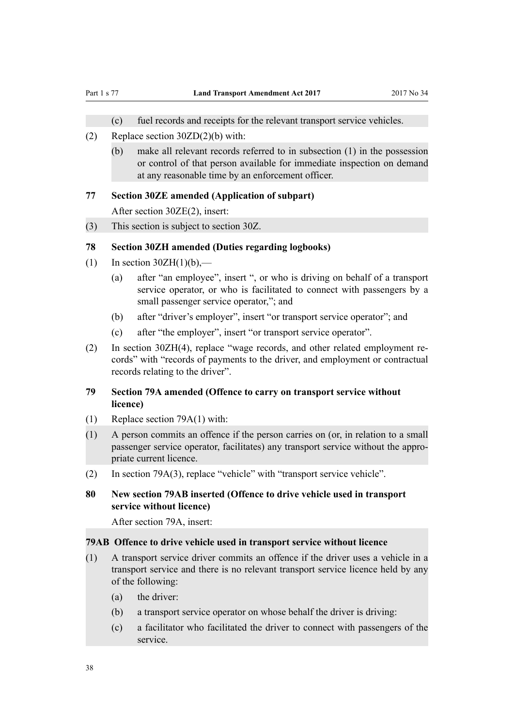- (c) fuel records and receipts for the relevant transport service vehicles.
- <span id="page-37-0"></span>(2) Replace [section 30ZD\(2\)\(b\)](http://prd-lgnz-nlb.prd.pco.net.nz/pdflink.aspx?id=DLM434626) with:
	- (b) make all relevant records referred to in subsection (1) in the possession or control of that person available for immediate inspection on demand at any reasonable time by an enforcement officer.

## **77 Section 30ZE amended (Application of subpart)**

After [section 30ZE\(2\),](http://prd-lgnz-nlb.prd.pco.net.nz/pdflink.aspx?id=DLM434628) insert:

(3) This section is subject to section 30Z.

# **78 Section 30ZH amended (Duties regarding logbooks)**

- (1) In section  $30ZH(1)(b)$ ,—
	- (a) after "an employee", insert ", or who is driving on behalf of a transport service operator, or who is facilitated to connect with passengers by a small passenger service operator,"; and
	- (b) after "driver's employer", insert "or transport service operator"; and
	- (c) after "the employer", insert "or transport service operator".
- (2) In [section 30ZH\(4\),](http://prd-lgnz-nlb.prd.pco.net.nz/pdflink.aspx?id=DLM434631) replace "wage records, and other related employment records" with "records of payments to the driver, and employment or contractual records relating to the driver".

# **79 Section 79A amended (Offence to carry on transport service without licence)**

- (1) Replace [section 79A\(1\)](http://prd-lgnz-nlb.prd.pco.net.nz/pdflink.aspx?id=DLM434858) with:
- (1) A person commits an offence if the person carries on (or, in relation to a small passenger service operator, facilitates) any transport service without the appropriate current licence.
- (2) In [section 79A\(3\)](http://prd-lgnz-nlb.prd.pco.net.nz/pdflink.aspx?id=DLM434858), replace "vehicle" with "transport service vehicle".

### **80 New section 79AB inserted (Offence to drive vehicle used in transport service without licence)**

After [section 79A,](http://prd-lgnz-nlb.prd.pco.net.nz/pdflink.aspx?id=DLM434858) insert:

#### **79AB Offence to drive vehicle used in transport service without licence**

- (1) A transport service driver commits an offence if the driver uses a vehicle in a transport service and there is no relevant transport service licence held by any of the following:
	- (a) the driver:
	- (b) a transport service operator on whose behalf the driver is driving:
	- (c) a facilitator who facilitated the driver to connect with passengers of the service.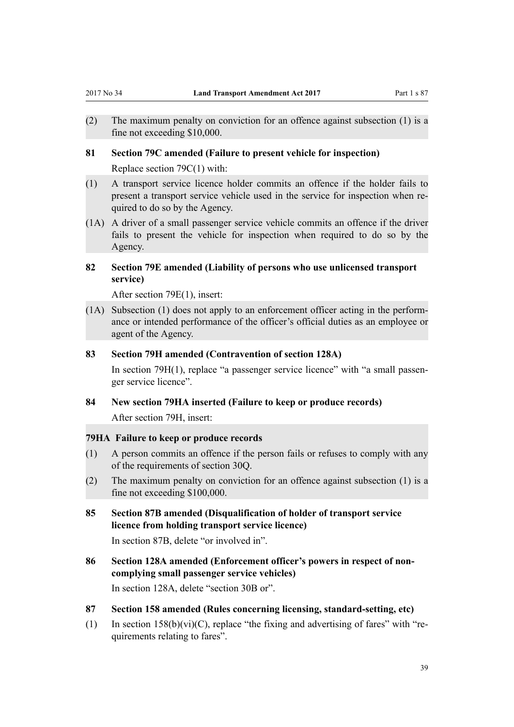- <span id="page-38-0"></span>(2) The maximum penalty on conviction for an offence against subsection (1) is a fine not exceeding \$10,000.
- **81 Section 79C amended (Failure to present vehicle for inspection)** Replace [section 79C\(1\)](http://prd-lgnz-nlb.prd.pco.net.nz/pdflink.aspx?id=DLM434860) with:
- (1) A transport service licence holder commits an offence if the holder fails to present a transport service vehicle used in the service for inspection when required to do so by the Agency.
- (1A) A driver of a small passenger service vehicle commits an offence if the driver fails to present the vehicle for inspection when required to do so by the Agency.

# **82 Section 79E amended (Liability of persons who use unlicensed transport service)**

After [section 79E\(1\),](http://prd-lgnz-nlb.prd.pco.net.nz/pdflink.aspx?id=DLM434862) insert:

(1A) Subsection (1) does not apply to an enforcement officer acting in the performance or intended performance of the officer's official duties as an employee or agent of the Agency.

## **83 Section 79H amended (Contravention of section 128A)**

In [section 79H\(1\),](http://prd-lgnz-nlb.prd.pco.net.nz/pdflink.aspx?id=DLM434865) replace "a passenger service licence" with "a small passenger service licence".

#### **84 New section 79HA inserted (Failure to keep or produce records)**

After [section 79H,](http://prd-lgnz-nlb.prd.pco.net.nz/pdflink.aspx?id=DLM434865) insert:

## **79HA Failure to keep or produce records**

- (1) A person commits an offence if the person fails or refuses to comply with any of the requirements of section 30Q.
- (2) The maximum penalty on conviction for an offence against subsection (1) is a fine not exceeding \$100,000.
- **85 Section 87B amended (Disqualification of holder of transport service licence from holding transport service licence)**

In [section 87B](http://prd-lgnz-nlb.prd.pco.net.nz/pdflink.aspx?id=DLM435000), delete "or involved in".

**86 Section 128A amended (Enforcement officer's powers in respect of noncomplying small passenger service vehicles)**

In [section 128A,](http://prd-lgnz-nlb.prd.pco.net.nz/pdflink.aspx?id=DLM435129) delete "section 30B or".

- **87 Section 158 amended (Rules concerning licensing, standard-setting, etc)**
- (1) In section  $158(b)(vi)(C)$ , replace "the fixing and advertising of fares" with "requirements relating to fares".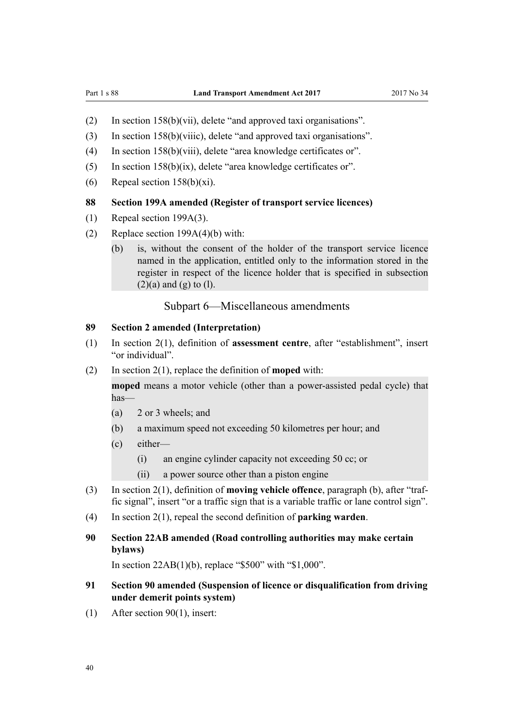- <span id="page-39-0"></span>(2) In [section 158\(b\)\(vii\),](http://prd-lgnz-nlb.prd.pco.net.nz/pdflink.aspx?id=DLM435188) delete "and approved taxi organisations".
- (3) In [section 158\(b\)\(viiic\),](http://prd-lgnz-nlb.prd.pco.net.nz/pdflink.aspx?id=DLM435188) delete "and approved taxi organisations".
- (4) In [section 158\(b\)\(viii\),](http://prd-lgnz-nlb.prd.pco.net.nz/pdflink.aspx?id=DLM435188) delete "area knowledge certificates or".
- (5) In [section 158\(b\)\(ix\)](http://prd-lgnz-nlb.prd.pco.net.nz/pdflink.aspx?id=DLM435188), delete "area knowledge certificates or".
- (6) Repeal [section 158\(b\)\(xi\).](http://prd-lgnz-nlb.prd.pco.net.nz/pdflink.aspx?id=DLM435188)

## **88 Section 199A amended (Register of transport service licences)**

- (1) Repeal [section 199A\(3\)](http://prd-lgnz-nlb.prd.pco.net.nz/pdflink.aspx?id=DLM435610).
- (2) Replace [section 199A\(4\)\(b\)](http://prd-lgnz-nlb.prd.pco.net.nz/pdflink.aspx?id=DLM435610) with:
	- (b) is, without the consent of the holder of the transport service licence named in the application, entitled only to the information stored in the register in respect of the licence holder that is specified in subsection  $(2)(a)$  and  $(g)$  to  $(l)$ .

# Subpart 6—Miscellaneous amendments

## **89 Section 2 amended (Interpretation)**

- (1) In [section 2\(1\)](http://prd-lgnz-nlb.prd.pco.net.nz/pdflink.aspx?id=DLM433619), definition of **assessment centre**, after "establishment", insert "or individual".
- (2) In [section 2\(1\)](http://prd-lgnz-nlb.prd.pco.net.nz/pdflink.aspx?id=DLM433619), replace the definition of **moped** with:

**moped** means a motor vehicle (other than a power-assisted pedal cycle) that has—

- (a) 2 or 3 wheels; and
- (b) a maximum speed not exceeding 50 kilometres per hour; and
- (c) either—
	- (i) an engine cylinder capacity not exceeding 50 cc; or
	- (ii) a power source other than a piston engine
- (3) In [section 2\(1\)](http://prd-lgnz-nlb.prd.pco.net.nz/pdflink.aspx?id=DLM433619), definition of **moving vehicle offence**, paragraph (b), after "traffic signal", insert "or a traffic sign that is a variable traffic or lane control sign".
- (4) In [section 2\(1\)](http://prd-lgnz-nlb.prd.pco.net.nz/pdflink.aspx?id=DLM433619), repeal the second definition of **parking warden**.

# **90 Section 22AB amended (Road controlling authorities may make certain bylaws)**

In [section 22AB\(1\)\(b\)](http://prd-lgnz-nlb.prd.pco.net.nz/pdflink.aspx?id=DLM2609705), replace "\$500" with "\$1,000".

# **91 Section 90 amended (Suspension of licence or disqualification from driving under demerit points system)**

(1) After [section 90\(1\),](http://prd-lgnz-nlb.prd.pco.net.nz/pdflink.aspx?id=DLM435012) insert: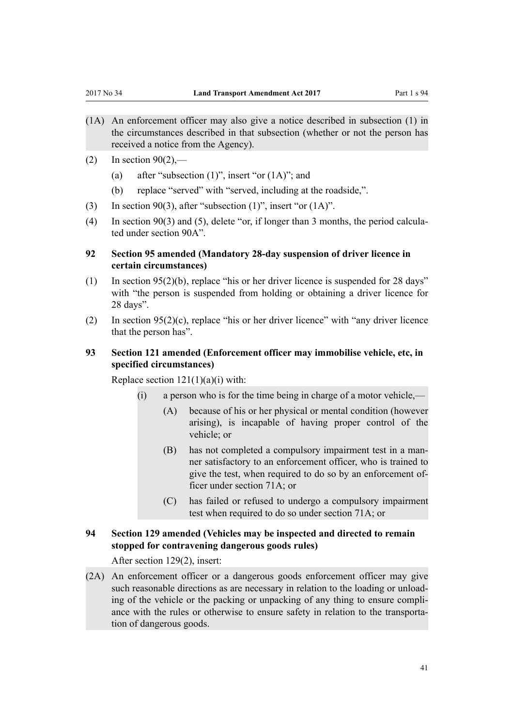- <span id="page-40-0"></span>(1A) An enforcement officer may also give a notice described in subsection (1) in the circumstances described in that subsection (whether or not the person has received a notice from the Agency).
- $(2)$  In section  $90(2)$ ,—
	- (a) after "subsection  $(1)$ ", insert "or  $(1A)$ "; and
	- (b) replace "served" with "served, including at the roadside,".
- (3) In [section 90\(3\)](http://prd-lgnz-nlb.prd.pco.net.nz/pdflink.aspx?id=DLM435012), after "subsection  $(1)$ ", insert "or  $(1A)$ ".
- (4) In [section 90\(3\) and \(5\),](http://prd-lgnz-nlb.prd.pco.net.nz/pdflink.aspx?id=DLM435012) delete "or, if longer than 3 months, the period calculated under section 90A".

# **92 Section 95 amended (Mandatory 28-day suspension of driver licence in certain circumstances)**

- (1) In [section 95\(2\)\(b\),](http://prd-lgnz-nlb.prd.pco.net.nz/pdflink.aspx?id=DLM435024) replace "his or her driver licence is suspended for 28 days" with "the person is suspended from holding or obtaining a driver licence for 28 days".
- (2) In [section 95\(2\)\(c\),](http://prd-lgnz-nlb.prd.pco.net.nz/pdflink.aspx?id=DLM435024) replace "his or her driver licence" with "any driver licence that the person has".

# **93 Section 121 amended (Enforcement officer may immobilise vehicle, etc, in specified circumstances)**

Replace section  $121(1)(a)(i)$  with:

- (i) a person who is for the time being in charge of a motor vehicle,—
	- (A) because of his or her physical or mental condition (however arising), is incapable of having proper control of the vehicle; or
	- (B) has not completed a compulsory impairment test in a manner satisfactory to an enforcement officer, who is trained to give the test, when required to do so by an enforcement officer under section 71A; or
	- (C) has failed or refused to undergo a compulsory impairment test when required to do so under section 71A; or

# **94 Section 129 amended (Vehicles may be inspected and directed to remain stopped for contravening dangerous goods rules)**

After [section 129\(2\)](http://prd-lgnz-nlb.prd.pco.net.nz/pdflink.aspx?id=DLM435132), insert:

(2A) An enforcement officer or a dangerous goods enforcement officer may give such reasonable directions as are necessary in relation to the loading or unloading of the vehicle or the packing or unpacking of any thing to ensure compliance with the rules or otherwise to ensure safety in relation to the transportation of dangerous goods.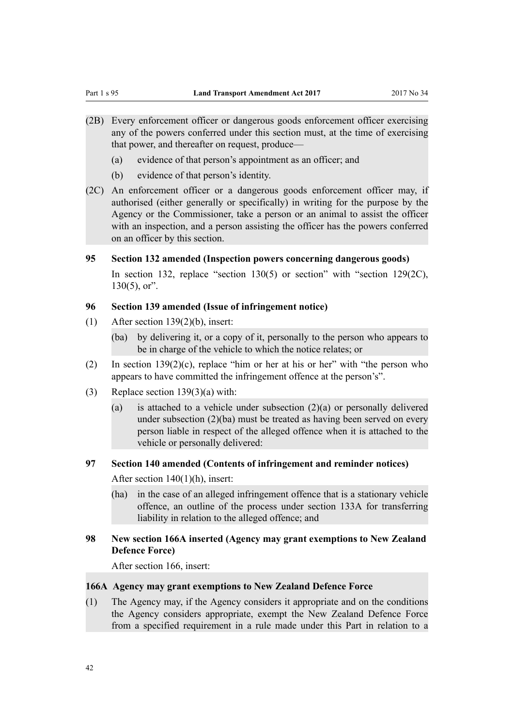- <span id="page-41-0"></span>(2B) Every enforcement officer or dangerous goods enforcement officer exercising any of the powers conferred under this section must, at the time of exercising that power, and thereafter on request, produce—
	- (a) evidence of that person's appointment as an officer; and
	- (b) evidence of that person's identity.
- (2C) An enforcement officer or a dangerous goods enforcement officer may, if authorised (either generally or specifically) in writing for the purpose by the Agency or the Commissioner, take a person or an animal to assist the officer with an inspection, and a person assisting the officer has the powers conferred on an officer by this section.

## **95 Section 132 amended (Inspection powers concerning dangerous goods)**

In [section 132,](http://prd-lgnz-nlb.prd.pco.net.nz/pdflink.aspx?id=DLM435143) replace "section 130(5) or section" with "section 129(2C),  $130(5)$ , or".

# **96 Section 139 amended (Issue of infringement notice)**

- (1) After [section 139\(2\)\(b\),](http://prd-lgnz-nlb.prd.pco.net.nz/pdflink.aspx?id=DLM435155) insert:
	- (ba) by delivering it, or a copy of it, personally to the person who appears to be in charge of the vehicle to which the notice relates; or
- (2) In section  $139(2)(c)$ , replace "him or her at his or her" with "the person who appears to have committed the infringement offence at the person's".
- (3) Replace [section 139\(3\)\(a\)](http://prd-lgnz-nlb.prd.pco.net.nz/pdflink.aspx?id=DLM435155) with:
	- (a) is attached to a vehicle under subsection  $(2)(a)$  or personally delivered under subsection (2)(ba) must be treated as having been served on every person liable in respect of the alleged offence when it is attached to the vehicle or personally delivered:

## **97 Section 140 amended (Contents of infringement and reminder notices)**

After [section 140\(1\)\(h\),](http://prd-lgnz-nlb.prd.pco.net.nz/pdflink.aspx?id=DLM435156) insert:

(ha) in the case of an alleged infringement offence that is a stationary vehicle offence, an outline of the process under section 133A for transferring liability in relation to the alleged offence; and

# **98 New section 166A inserted (Agency may grant exemptions to New Zealand Defence Force)**

After [section 166](http://prd-lgnz-nlb.prd.pco.net.nz/pdflink.aspx?id=DLM435404), insert:

## **166A Agency may grant exemptions to New Zealand Defence Force**

(1) The Agency may, if the Agency considers it appropriate and on the conditions the Agency considers appropriate, exempt the New Zealand Defence Force from a specified requirement in a rule made under this Part in relation to a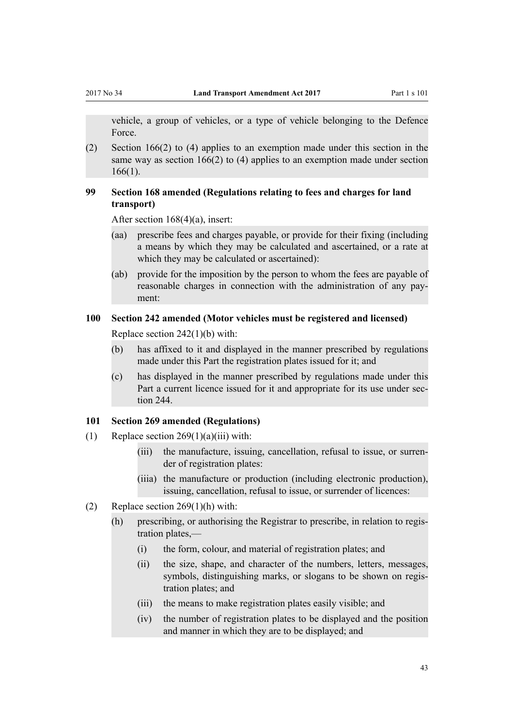<span id="page-42-0"></span>vehicle, a group of vehicles, or a type of vehicle belonging to the Defence Force.

(2) Section 166(2) to (4) applies to an exemption made under this section in the same way as section 166(2) to (4) applies to an exemption made under section 166(1).

# **99 Section 168 amended (Regulations relating to fees and charges for land transport)**

After [section 168\(4\)\(a\)](http://prd-lgnz-nlb.prd.pco.net.nz/pdflink.aspx?id=DLM435411), insert:

- (aa) prescribe fees and charges payable, or provide for their fixing (including a means by which they may be calculated and ascertained, or a rate at which they may be calculated or ascertained):
- (ab) provide for the imposition by the person to whom the fees are payable of reasonable charges in connection with the administration of any payment:

# **100 Section 242 amended (Motor vehicles must be registered and licensed)**

Replace [section 242\(1\)\(b\)](http://prd-lgnz-nlb.prd.pco.net.nz/pdflink.aspx?id=DLM3701427) with:

- (b) has affixed to it and displayed in the manner prescribed by regulations made under this Part the registration plates issued for it; and
- (c) has displayed in the manner prescribed by regulations made under this Part a current licence issued for it and appropriate for its use under section 244.

## **101 Section 269 amended (Regulations)**

- (1) Replace section  $269(1)(a)(iii)$  with:
	- (iii) the manufacture, issuing, cancellation, refusal to issue, or surrender of registration plates:
	- (iiia) the manufacture or production (including electronic production), issuing, cancellation, refusal to issue, or surrender of licences:
- (2) Replace section  $269(1)(h)$  with:
	- (h) prescribing, or authorising the Registrar to prescribe, in relation to registration plates,—
		- (i) the form, colour, and material of registration plates; and
		- (ii) the size, shape, and character of the numbers, letters, messages, symbols, distinguishing marks, or slogans to be shown on registration plates; and
		- (iii) the means to make registration plates easily visible; and
		- (iv) the number of registration plates to be displayed and the position and manner in which they are to be displayed; and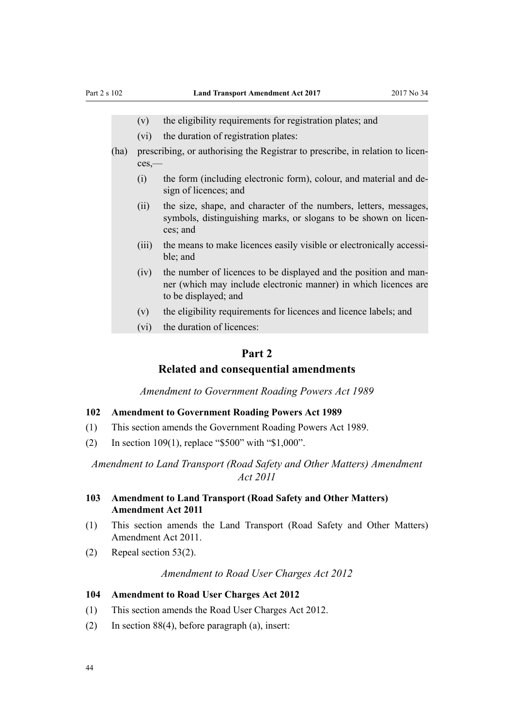- <span id="page-43-0"></span>(v) the eligibility requirements for registration plates; and
- (vi) the duration of registration plates:
- (ha) prescribing, or authorising the Registrar to prescribe, in relation to licences,—
	- (i) the form (including electronic form), colour, and material and design of licences; and
	- (ii) the size, shape, and character of the numbers, letters, messages, symbols, distinguishing marks, or slogans to be shown on licences; and
	- (iii) the means to make licences easily visible or electronically accessible; and
	- (iv) the number of licences to be displayed and the position and manner (which may include electronic manner) in which licences are to be displayed; and
	- (v) the eligibility requirements for licences and licence labels; and
	- (vi) the duration of licences:

# **Part 2**

# **Related and consequential amendments**

*Amendment to Government Roading Powers Act 1989*

#### **102 Amendment to Government Roading Powers Act 1989**

- (1) This section amends the [Government Roading Powers Act 1989](http://prd-lgnz-nlb.prd.pco.net.nz/pdflink.aspx?id=DLM173368).
- (2) In [section 109\(1\),](http://prd-lgnz-nlb.prd.pco.net.nz/pdflink.aspx?id=DLM175919) replace "\$500" with "\$1,000".

*Amendment to Land Transport (Road Safety and Other Matters) Amendment Act 2011*

# **103 Amendment to Land Transport (Road Safety and Other Matters) Amendment Act 2011**

- (1) This section amends the [Land Transport \(Road Safety and Other Matters\)](http://prd-lgnz-nlb.prd.pco.net.nz/pdflink.aspx?id=DLM3231100) [Amendment Act 2011.](http://prd-lgnz-nlb.prd.pco.net.nz/pdflink.aspx?id=DLM3231100)
- (2) Repeal [section 53\(2\)](http://prd-lgnz-nlb.prd.pco.net.nz/pdflink.aspx?id=DLM3231222).

*Amendment to Road User Charges Act 2012*

### **104 Amendment to Road User Charges Act 2012**

- (1) This section amends the [Road User Charges Act 2012](http://prd-lgnz-nlb.prd.pco.net.nz/pdflink.aspx?id=DLM3394800).
- (2) In [section 88\(4\)](http://prd-lgnz-nlb.prd.pco.net.nz/pdflink.aspx?id=DLM4075221), before paragraph (a), insert: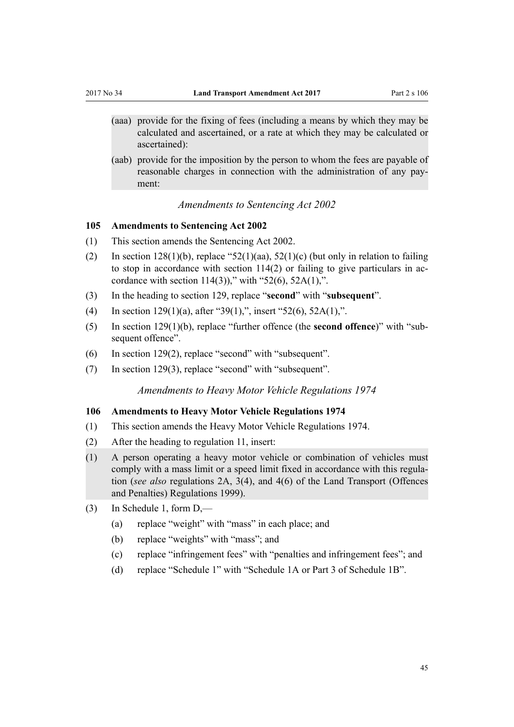- <span id="page-44-0"></span>(aaa) provide for the fixing of fees (including a means by which they may be calculated and ascertained, or a rate at which they may be calculated or ascertained):
- (aab) provide for the imposition by the person to whom the fees are payable of reasonable charges in connection with the administration of any payment:

## *Amendments to Sentencing Act 2002*

#### **105 Amendments to Sentencing Act 2002**

- (1) This section amends the [Sentencing Act 2002](http://prd-lgnz-nlb.prd.pco.net.nz/pdflink.aspx?id=DLM135341).
- (2) In section  $128(1)(b)$ , replace "52(1)(aa), 52(1)(c) (but only in relation to failing to stop in accordance with section 114(2) or failing to give particulars in accordance with section  $114(3)$ ," with "52(6), 52A(1),".
- (3) In the heading to [section 129](http://prd-lgnz-nlb.prd.pco.net.nz/pdflink.aspx?id=DLM136853), replace "**second**" with "**subsequent**".
- (4) In [section 129\(1\)\(a\),](http://prd-lgnz-nlb.prd.pco.net.nz/pdflink.aspx?id=DLM136853) after "39(1),", insert "52(6), 52A(1),".
- (5) In [section 129\(1\)\(b\)](http://prd-lgnz-nlb.prd.pco.net.nz/pdflink.aspx?id=DLM136853), replace "further offence (the **second offence**)" with "subsequent offence".
- (6) In [section 129\(2\),](http://prd-lgnz-nlb.prd.pco.net.nz/pdflink.aspx?id=DLM136853) replace "second" with "subsequent".
- (7) In [section 129\(3\),](http://prd-lgnz-nlb.prd.pco.net.nz/pdflink.aspx?id=DLM136853) replace "second" with "subsequent".

*Amendments to Heavy Motor Vehicle Regulations 1974*

# **106 Amendments to Heavy Motor Vehicle Regulations 1974**

- (1) This section amends the [Heavy Motor Vehicle Regulations 1974.](http://prd-lgnz-nlb.prd.pco.net.nz/pdflink.aspx?id=DLM43788)
- (2) After the heading to [regulation 11,](http://prd-lgnz-nlb.prd.pco.net.nz/pdflink.aspx?id=DLM44715) insert:
- (1) A person operating a heavy motor vehicle or combination of vehicles must comply with a mass limit or a speed limit fixed in accordance with this regulation (*see also* regulations 2A, 3(4), and 4(6) of the Land Transport (Offences and Penalties) Regulations 1999).
- (3) In Schedule 1, [form D,](http://prd-lgnz-nlb.prd.pco.net.nz/pdflink.aspx?id=DLM44778)
	- (a) replace "weight" with "mass" in each place; and
	- (b) replace "weights" with "mass"; and
	- (c) replace "infringement fees" with "penalties and infringement fees"; and
	- (d) replace "Schedule 1" with "Schedule 1A or Part 3 of Schedule 1B".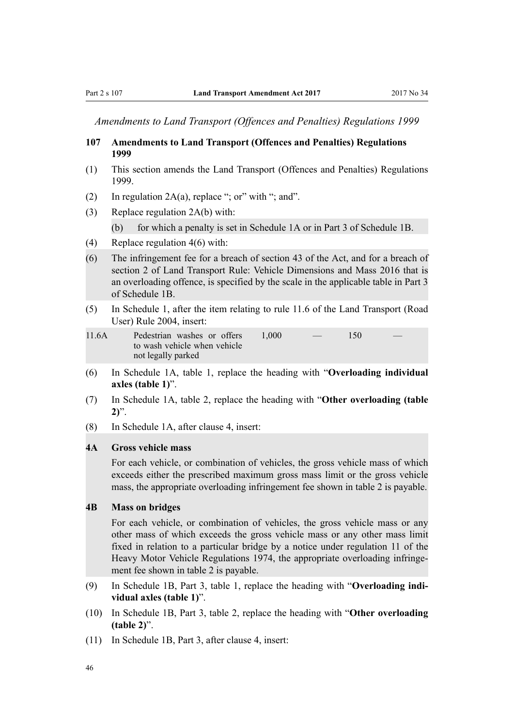<span id="page-45-0"></span>*Amendments to Land Transport (Offences and Penalties) Regulations 1999*

#### **107 Amendments to Land Transport (Offences and Penalties) Regulations 1999**

- (1) This section amends the [Land Transport \(Offences and Penalties\) Regulations](http://prd-lgnz-nlb.prd.pco.net.nz/pdflink.aspx?id=DLM280109) [1999](http://prd-lgnz-nlb.prd.pco.net.nz/pdflink.aspx?id=DLM280109).
- (2) In regulation  $2A(a)$ , replace "; or" with "; and".
- (3) Replace [regulation 2A\(b\)](http://prd-lgnz-nlb.prd.pco.net.nz/pdflink.aspx?id=DLM280124) with:

(b) for which a penalty is set in Schedule 1A or in Part 3 of Schedule 1B.

- (4) Replace [regulation 4\(6\)](http://prd-lgnz-nlb.prd.pco.net.nz/pdflink.aspx?id=DLM280135) with:
- (6) The infringement fee for a breach of section 43 of the Act, and for a breach of section 2 of Land Transport Rule: Vehicle Dimensions and Mass 2016 that is an overloading offence, is specified by the scale in the applicable table in Part 3 of Schedule 1B.
- (5) In [Schedule 1,](http://prd-lgnz-nlb.prd.pco.net.nz/pdflink.aspx?id=DLM280158) after the item relating to rule 11.6 of the Land Transport (Road User) Rule 2004, insert:

| 11.6A | Pedestrian washes or offers  | 1.000 | $\overline{\phantom{a}}$ | 150 |  |
|-------|------------------------------|-------|--------------------------|-----|--|
|       | to wash vehicle when vehicle |       |                          |     |  |
|       | not legally parked           |       |                          |     |  |

- (6) In [Schedule 1A](http://prd-lgnz-nlb.prd.pco.net.nz/pdflink.aspx?id=DLM280187), table 1, replace the heading with "**Overloading individual axles (table 1)**".
- (7) In [Schedule 1A,](http://prd-lgnz-nlb.prd.pco.net.nz/pdflink.aspx?id=DLM280187) table 2, replace the heading with "**Other overloading (table 2)**".
- (8) In [Schedule 1A,](http://prd-lgnz-nlb.prd.pco.net.nz/pdflink.aspx?id=DLM280187) after clause 4, insert:

#### **4A Gross vehicle mass**

For each vehicle, or combination of vehicles, the gross vehicle mass of which exceeds either the prescribed maximum gross mass limit or the gross vehicle mass, the appropriate overloading infringement fee shown in table 2 is payable.

## **4B Mass on bridges**

For each vehicle, or combination of vehicles, the gross vehicle mass or any other mass of which exceeds the gross vehicle mass or any other mass limit fixed in relation to a particular bridge by a notice under regulation 11 of the Heavy Motor Vehicle Regulations 1974, the appropriate overloading infringement fee shown in table 2 is payable.

- (9) In [Schedule 1B](http://prd-lgnz-nlb.prd.pco.net.nz/pdflink.aspx?id=DLM280197), Part 3, table 1, replace the heading with "**Overloading individual axles (table 1)**".
- (10) In [Schedule 1B,](http://prd-lgnz-nlb.prd.pco.net.nz/pdflink.aspx?id=DLM280197) Part 3, table 2, replace the heading with "**Other overloading (table 2)**".
- (11) In [Schedule 1B](http://prd-lgnz-nlb.prd.pco.net.nz/pdflink.aspx?id=DLM280197), Part 3, after clause 4, insert: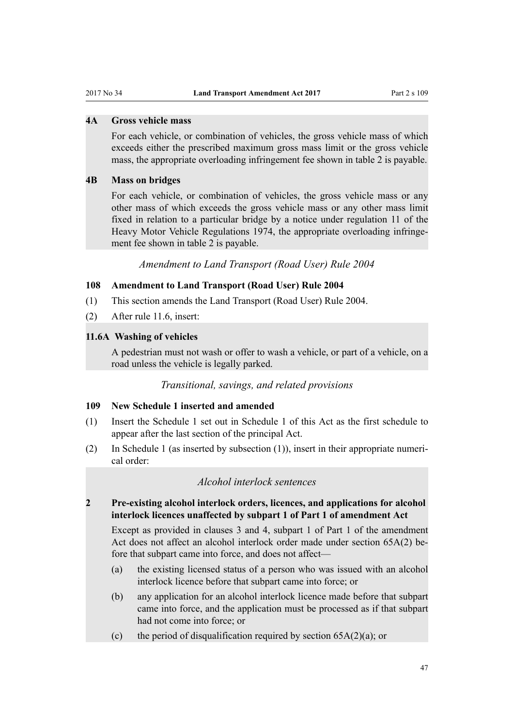# <span id="page-46-0"></span>**4A Gross vehicle mass**

For each vehicle, or combination of vehicles, the gross vehicle mass of which exceeds either the prescribed maximum gross mass limit or the gross vehicle mass, the appropriate overloading infringement fee shown in table 2 is payable.

#### **4B Mass on bridges**

For each vehicle, or combination of vehicles, the gross vehicle mass or any other mass of which exceeds the gross vehicle mass or any other mass limit fixed in relation to a particular bridge by a notice under regulation 11 of the Heavy Motor Vehicle Regulations 1974, the appropriate overloading infringement fee shown in table 2 is payable.

*Amendment to Land Transport (Road User) Rule 2004*

#### **108 Amendment to Land Transport (Road User) Rule 2004**

- (1) This section amends the [Land Transport \(Road User\) Rule 2004.](http://prd-lgnz-nlb.prd.pco.net.nz/pdflink.aspx?id=DLM302187)
- (2) After [rule 11.6,](http://prd-lgnz-nlb.prd.pco.net.nz/pdflink.aspx?id=DLM303672) insert:

#### **11.6A Washing of vehicles**

A pedestrian must not wash or offer to wash a vehicle, or part of a vehicle, on a road unless the vehicle is legally parked.

## *Transitional, savings, and related provisions*

#### **109 New Schedule 1 inserted and amended**

- (1) Insert the Schedule 1 set out in [Schedule 1](#page-50-0) of this Act as the first schedule to appear after the last section of the principal Act.
- (2) In Schedule 1 (as inserted by subsection (1)), insert in their appropriate numerical order:

## *Alcohol interlock sentences*

**2 Pre-existing alcohol interlock orders, licences, and applications for alcohol interlock licences unaffected by subpart 1 of Part 1 of amendment Act**

Except as provided in clauses 3 and 4, subpart 1 of Part 1 of the amendment Act does not affect an alcohol interlock order made under section 65A(2) before that subpart came into force, and does not affect—

- (a) the existing licensed status of a person who was issued with an alcohol interlock licence before that subpart came into force; or
- (b) any application for an alcohol interlock licence made before that subpart came into force, and the application must be processed as if that subpart had not come into force; or
- (c) the period of disqualification required by section  $65A(2)(a)$ ; or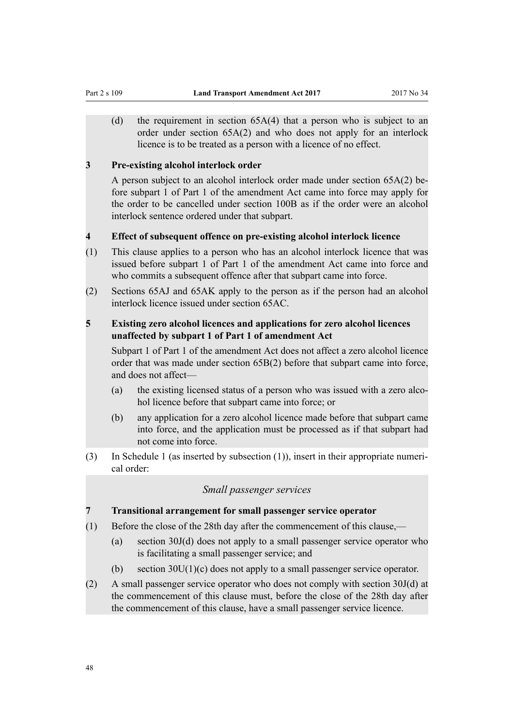(d) the requirement in section 65A(4) that a person who is subject to an order under section 65A(2) and who does not apply for an interlock licence is to be treated as a person with a licence of no effect.

#### **3 Pre-existing alcohol interlock order**

A person subject to an alcohol interlock order made under section 65A(2) before subpart 1 of Part 1 of the amendment Act came into force may apply for the order to be cancelled under section 100B as if the order were an alcohol interlock sentence ordered under that subpart.

#### **4 Effect of subsequent offence on pre-existing alcohol interlock licence**

- (1) This clause applies to a person who has an alcohol interlock licence that was issued before subpart 1 of Part 1 of the amendment Act came into force and who commits a subsequent offence after that subpart came into force.
- (2) Sections 65AJ and 65AK apply to the person as if the person had an alcohol interlock licence issued under section 65AC.

# **5 Existing zero alcohol licences and applications for zero alcohol licences unaffected by subpart 1 of Part 1 of amendment Act**

Subpart 1 of Part 1 of the amendment Act does not affect a zero alcohol licence order that was made under section 65B(2) before that subpart came into force, and does not affect—

- (a) the existing licensed status of a person who was issued with a zero alcohol licence before that subpart came into force; or
- (b) any application for a zero alcohol licence made before that subpart came into force, and the application must be processed as if that subpart had not come into force.
- (3) In Schedule 1 (as inserted by subsection (1)), insert in their appropriate numerical order:

# *Small passenger services*

### **7 Transitional arrangement for small passenger service operator**

- (1) Before the close of the 28th day after the commencement of this clause,—
	- (a) section 30J(d) does not apply to a small passenger service operator who is facilitating a small passenger service; and
	- (b) section 30U(1)(c) does not apply to a small passenger service operator.
- (2) A small passenger service operator who does not comply with section 30J(d) at the commencement of this clause must, before the close of the 28th day after the commencement of this clause, have a small passenger service licence.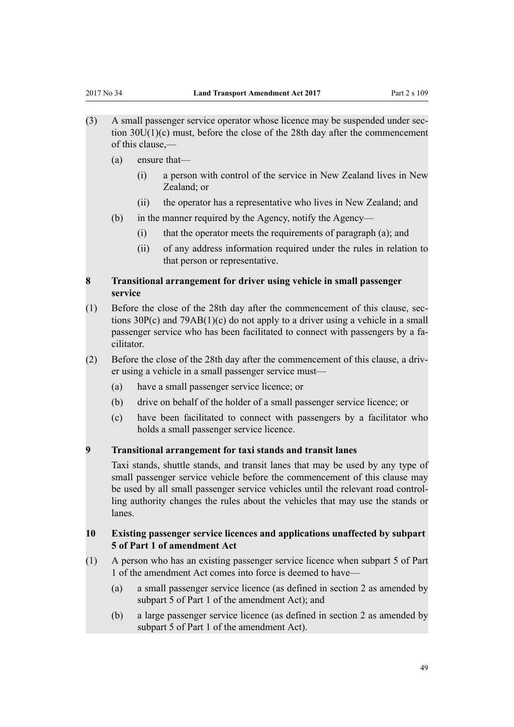- (3) A small passenger service operator whose licence may be suspended under section 30U(1)(c) must, before the close of the 28th day after the commencement of this clause,—
	- (a) ensure that—
		- (i) a person with control of the service in New Zealand lives in New Zealand; or
		- (ii) the operator has a representative who lives in New Zealand; and
	- (b) in the manner required by the Agency, notify the Agency—
		- (i) that the operator meets the requirements of paragraph (a); and
		- (ii) of any address information required under the rules in relation to that person or representative.

# **8 Transitional arrangement for driver using vehicle in small passenger service**

- (1) Before the close of the 28th day after the commencement of this clause, sections 30P(c) and 79AB(1)(c) do not apply to a driver using a vehicle in a small passenger service who has been facilitated to connect with passengers by a facilitator.
- (2) Before the close of the 28th day after the commencement of this clause, a driver using a vehicle in a small passenger service must—
	- (a) have a small passenger service licence; or
	- (b) drive on behalf of the holder of a small passenger service licence; or
	- (c) have been facilitated to connect with passengers by a facilitator who holds a small passenger service licence.

# **9 Transitional arrangement for taxi stands and transit lanes**

Taxi stands, shuttle stands, and transit lanes that may be used by any type of small passenger service vehicle before the commencement of this clause may be used by all small passenger service vehicles until the relevant road controlling authority changes the rules about the vehicles that may use the stands or lanes.

# **10 Existing passenger service licences and applications unaffected by subpart 5 of Part 1 of amendment Act**

- (1) A person who has an existing passenger service licence when subpart 5 of Part 1 of the amendment Act comes into force is deemed to have—
	- (a) a small passenger service licence (as defined in section 2 as amended by subpart 5 of Part 1 of the amendment Act); and
	- (b) a large passenger service licence (as defined in section 2 as amended by subpart 5 of Part 1 of the amendment Act).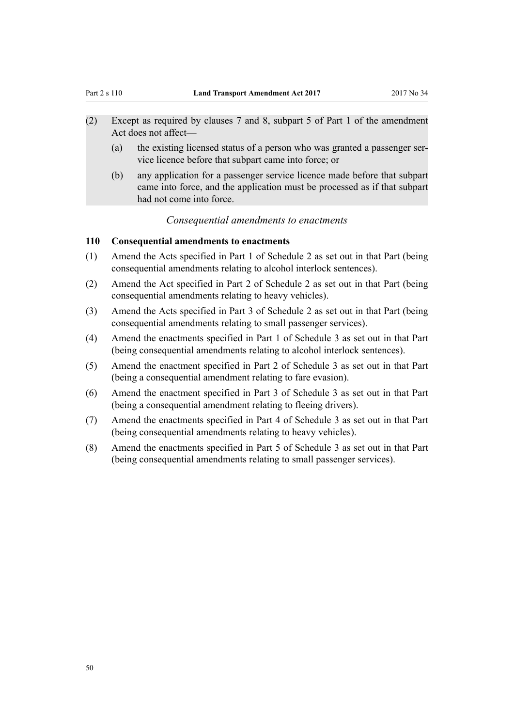- <span id="page-49-0"></span>(2) Except as required by clauses 7 and 8, subpart 5 of Part 1 of the amendment Act does not affect—
	- (a) the existing licensed status of a person who was granted a passenger service licence before that subpart came into force; or
	- (b) any application for a passenger service licence made before that subpart came into force, and the application must be processed as if that subpart had not come into force.

### *Consequential amendments to enactments*

# **110 Consequential amendments to enactments**

- (1) Amend the Acts specified in [Part 1](#page-51-0) of Schedule 2 as set out in that Part (being consequential amendments relating to alcohol interlock sentences).
- (2) Amend the Act specified in [Part 2](#page-51-0) of Schedule 2 as set out in that Part (being consequential amendments relating to heavy vehicles).
- (3) Amend the Acts specified in [Part 3](#page-52-0) of Schedule 2 as set out in that Part (being consequential amendments relating to small passenger services).
- (4) Amend the enactments specified in [Part 1](#page-54-0) of Schedule 3 as set out in that Part (being consequential amendments relating to alcohol interlock sentences).
- (5) Amend the enactment specified in [Part 2](#page-54-0) of Schedule 3 as set out in that Part (being a consequential amendment relating to fare evasion).
- (6) Amend the enactment specified in [Part 3](#page-54-0) of Schedule 3 as set out in that Part (being a consequential amendment relating to fleeing drivers).
- (7) Amend the enactments specified in [Part 4](#page-55-0) of Schedule 3 as set out in that Part (being consequential amendments relating to heavy vehicles).
- (8) Amend the enactments specified in [Part 5](#page-58-0) of Schedule 3 as set out in that Part (being consequential amendments relating to small passenger services).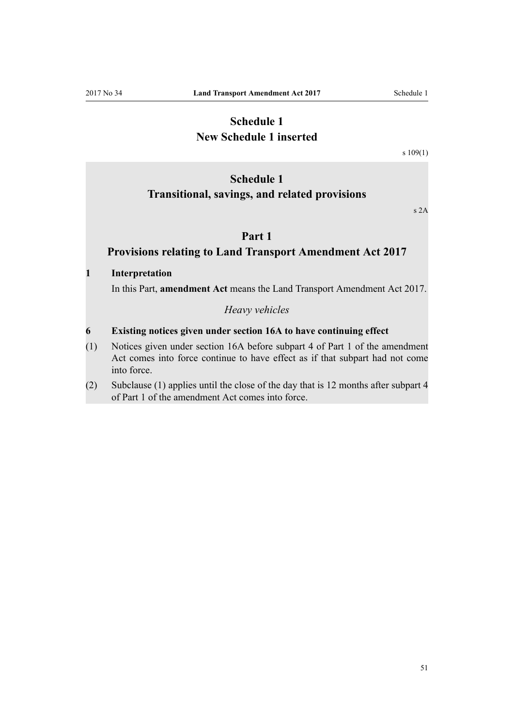# **Schedule 1 New Schedule 1 inserted**

[s 109\(1\)](#page-42-0)

# <span id="page-50-0"></span>**Schedule 1 Transitional, savings, and related provisions**

s 2A

# **Part 1**

# **Provisions relating to Land Transport Amendment Act 2017**

#### **1 Interpretation**

In this Part, **amendment Act** means the Land Transport Amendment Act 2017.

*Heavy vehicles*

# **6 Existing notices given under section 16A to have continuing effect**

- (1) Notices given under section 16A before subpart 4 of Part 1 of the amendment Act comes into force continue to have effect as if that subpart had not come into force.
- (2) Subclause (1) applies until the close of the day that is 12 months after subpart 4 of Part 1 of the amendment Act comes into force.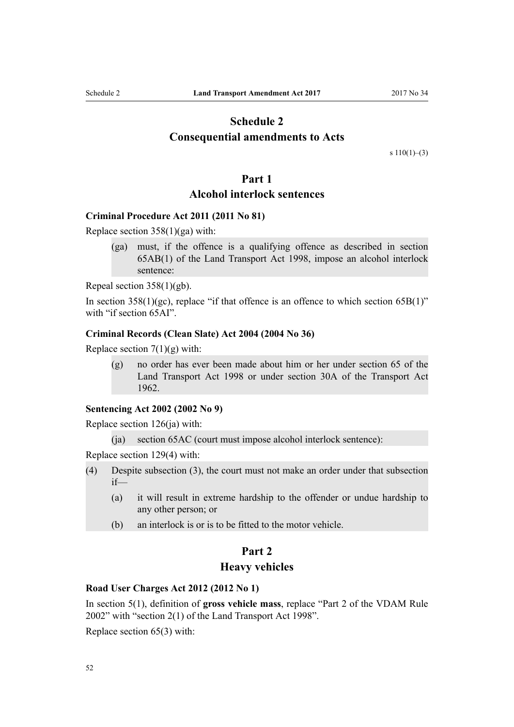# <span id="page-51-0"></span>**Schedule 2 Consequential amendments to Acts**

s  $110(1)–(3)$ 

## **Part 1**

# **Alcohol interlock sentences**

# **[Criminal Procedure Act 2011](http://prd-lgnz-nlb.prd.pco.net.nz/pdflink.aspx?id=DLM3359902) (2011 No 81)**

Replace [section 358\(1\)\(ga\)](http://prd-lgnz-nlb.prd.pco.net.nz/pdflink.aspx?id=DLM3360564) with:

(ga) must, if the offence is a qualifying offence as described in section 65AB(1) of the Land Transport Act 1998, impose an alcohol interlock sentence:

Repeal [section 358\(1\)\(gb\)](http://prd-lgnz-nlb.prd.pco.net.nz/pdflink.aspx?id=DLM3360564).

In section  $358(1)(\text{gc})$ , replace "if that offence is an offence to which section  $65B(1)$ " with "if section 65AI".

#### **[Criminal Records \(Clean Slate\) Act 2004](http://prd-lgnz-nlb.prd.pco.net.nz/pdflink.aspx?id=DLM280839) (2004 No 36)**

Replace section  $7(1)(g)$  with:

(g) no order has ever been made about him or her under section 65 of the Land Transport Act 1998 or under section 30A of the Transport Act 1962.

# **[Sentencing Act 2002](http://prd-lgnz-nlb.prd.pco.net.nz/pdflink.aspx?id=DLM135341) (2002 No 9)**

Replace section 126(ia) with:

(ja) section 65AC (court must impose alcohol interlock sentence):

Replace [section 129\(4\)](http://prd-lgnz-nlb.prd.pco.net.nz/pdflink.aspx?id=DLM136853) with:

- (4) Despite subsection (3), the court must not make an order under that subsection if—
	- (a) it will result in extreme hardship to the offender or undue hardship to any other person; or
	- (b) an interlock is or is to be fitted to the motor vehicle.

# **Part 2**

# **Heavy vehicles**

#### **[Road User Charges Act 2012](http://prd-lgnz-nlb.prd.pco.net.nz/pdflink.aspx?id=DLM3394800) (2012 No 1)**

In [section 5\(1\),](http://prd-lgnz-nlb.prd.pco.net.nz/pdflink.aspx?id=DLM3394838) definition of **gross vehicle mass**, replace "Part 2 of the VDAM Rule 2002" with "section 2(1) of the Land Transport Act 1998".

Replace [section 65\(3\)](http://prd-lgnz-nlb.prd.pco.net.nz/pdflink.aspx?id=DLM3395034) with: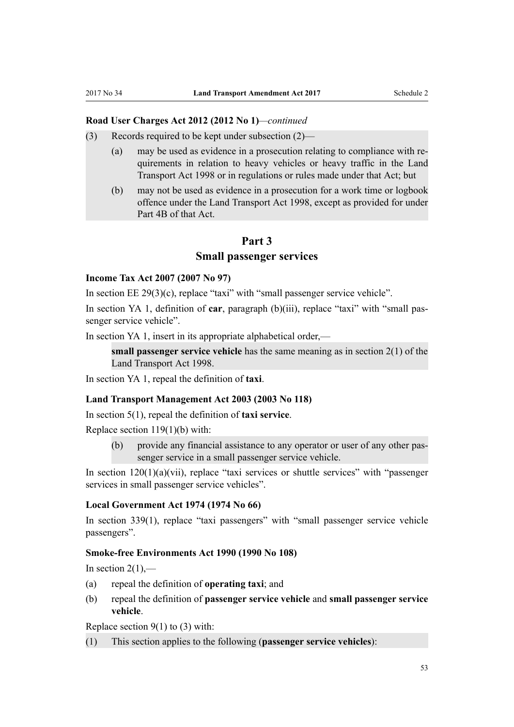#### <span id="page-52-0"></span>**Road User Charges Act 2012 (2012 No 1)***—continued*

- (3) Records required to be kept under subsection (2)—
	- (a) may be used as evidence in a prosecution relating to compliance with requirements in relation to heavy vehicles or heavy traffic in the Land Transport Act 1998 or in regulations or rules made under that Act; but
	- (b) may not be used as evidence in a prosecution for a work time or logbook offence under the Land Transport Act 1998, except as provided for under Part 4B of that Act.

# **Part 3**

#### **Small passenger services**

### **[Income Tax Act 2007](http://prd-lgnz-nlb.prd.pco.net.nz/pdflink.aspx?id=DLM1512300) (2007 No 97)**

In [section EE 29\(3\)\(c\),](http://prd-lgnz-nlb.prd.pco.net.nz/pdflink.aspx?id=DLM1514598) replace "taxi" with "small passenger service vehicle".

In [section YA 1](http://prd-lgnz-nlb.prd.pco.net.nz/pdflink.aspx?id=DLM1520575), definition of **car**, paragraph (b)(iii), replace "taxi" with "small passenger service vehicle".

In [section YA 1](http://prd-lgnz-nlb.prd.pco.net.nz/pdflink.aspx?id=DLM1520575), insert in its appropriate alphabetical order,—

**small passenger service vehicle** has the same meaning as in section 2(1) of the Land Transport Act 1998.

In [section YA 1](http://prd-lgnz-nlb.prd.pco.net.nz/pdflink.aspx?id=DLM1520575), repeal the definition of **taxi**.

#### **[Land Transport Management Act 2003](http://prd-lgnz-nlb.prd.pco.net.nz/pdflink.aspx?id=DLM226229) (2003 No 118)**

In [section 5\(1\)](http://prd-lgnz-nlb.prd.pco.net.nz/pdflink.aspx?id=DLM226238), repeal the definition of **taxi service**.

Replace [section 119\(1\)\(b\)](http://prd-lgnz-nlb.prd.pco.net.nz/pdflink.aspx?id=DLM5285418) with:

(b) provide any financial assistance to any operator or user of any other passenger service in a small passenger service vehicle.

In section  $120(1)(a)(vii)$ , replace "taxi services or shuttle services" with "passenger services in small passenger service vehicles".

#### **[Local Government Act 1974](http://prd-lgnz-nlb.prd.pco.net.nz/pdflink.aspx?id=DLM415531) (1974 No 66)**

In [section 339\(1\),](http://prd-lgnz-nlb.prd.pco.net.nz/pdflink.aspx?id=DLM420492) replace "taxi passengers" with "small passenger service vehicle passengers".

#### **[Smoke-free Environments Act 1990](http://prd-lgnz-nlb.prd.pco.net.nz/pdflink.aspx?id=DLM223190) (1990 No 108)**

In section  $2(1)$ ,—

- (a) repeal the definition of **operating taxi**; and
- (b) repeal the definition of **passenger service vehicle** and **small passenger service vehicle**.

Replace section  $9(1)$  to (3) with:

(1) This section applies to the following (**passenger service vehicles**):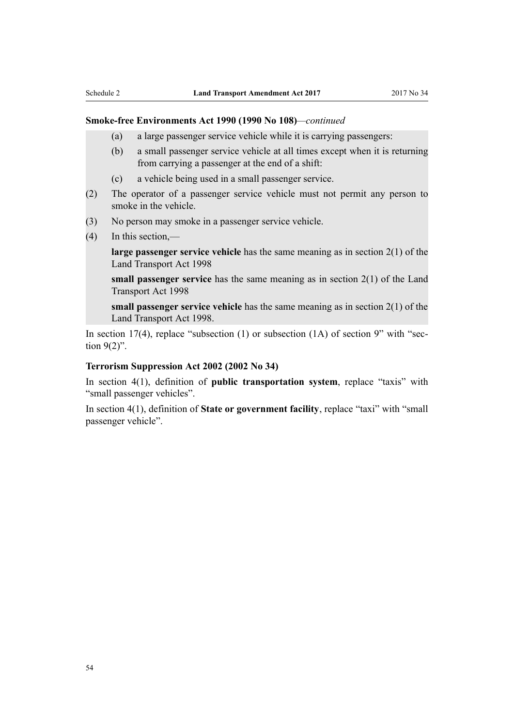#### **Smoke-free Environments Act 1990 (1990 No 108)***—continued*

- (a) a large passenger service vehicle while it is carrying passengers:
- (b) a small passenger service vehicle at all times except when it is returning from carrying a passenger at the end of a shift:
- (c) a vehicle being used in a small passenger service.
- (2) The operator of a passenger service vehicle must not permit any person to smoke in the vehicle.
- (3) No person may smoke in a passenger service vehicle.
- (4) In this section,—

**large passenger service vehicle** has the same meaning as in section 2(1) of the Land Transport Act 1998

**small passenger service** has the same meaning as in section 2(1) of the Land Transport Act 1998

**small passenger service vehicle** has the same meaning as in section 2(1) of the Land Transport Act 1998.

In [section 17\(4\),](http://prd-lgnz-nlb.prd.pco.net.nz/pdflink.aspx?id=DLM223968) replace "subsection  $(1)$  or subsection  $(1A)$  of section 9" with "section 9(2)".

#### **[Terrorism Suppression Act 2002](http://prd-lgnz-nlb.prd.pco.net.nz/pdflink.aspx?id=DLM151490) (2002 No 34)**

In [section 4\(1\)](http://prd-lgnz-nlb.prd.pco.net.nz/pdflink.aspx?id=DLM152400), definition of **public transportation system**, replace "taxis" with "small passenger vehicles".

In [section 4\(1\),](http://prd-lgnz-nlb.prd.pco.net.nz/pdflink.aspx?id=DLM152400) definition of **State or government facility**, replace "taxi" with "small passenger vehicle".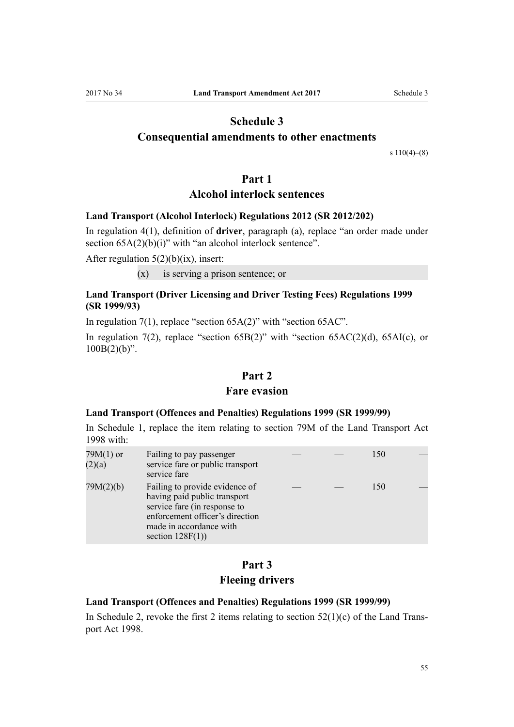# **Schedule 3**

# <span id="page-54-0"></span>**Consequential amendments to other enactments**

s  $110(4)–(8)$ 

## **Part 1**

# **Alcohol interlock sentences**

## **[Land Transport \(Alcohol Interlock\) Regulations 2012](http://prd-lgnz-nlb.prd.pco.net.nz/pdflink.aspx?id=DLM4629300) (SR 2012/202)**

In [regulation 4\(1\)](http://prd-lgnz-nlb.prd.pco.net.nz/pdflink.aspx?id=DLM4629315), definition of **driver**, paragraph (a), replace "an order made under section  $65A(2)(b)(i)$ " with "an alcohol interlock sentence".

After regulation  $5(2)(b)(ix)$ , insert:

(x) is serving a prison sentence; or

# **[Land Transport \(Driver Licensing and Driver Testing Fees\) Regulations 1999](http://prd-lgnz-nlb.prd.pco.net.nz/pdflink.aspx?id=DLM279069) (SR 1999/93)**

In [regulation 7\(1\)](http://prd-lgnz-nlb.prd.pco.net.nz/pdflink.aspx?id=DLM279512), replace "section 65A(2)" with "section 65AC".

In [regulation 7\(2\),](http://prd-lgnz-nlb.prd.pco.net.nz/pdflink.aspx?id=DLM279512) replace "section  $65B(2)$ " with "section  $65AC(2)(d)$ ,  $65AI(c)$ , or  $100B(2)(b)$ ".

# **Part 2**

#### **Fare evasion**

## **[Land Transport \(Offences and Penalties\) Regulations 1999](http://prd-lgnz-nlb.prd.pco.net.nz/pdflink.aspx?id=DLM280109) (SR 1999/99)**

In [Schedule 1,](http://prd-lgnz-nlb.prd.pco.net.nz/pdflink.aspx?id=DLM280158) replace the item relating to section 79M of the Land Transport Act 1998 with:

| $79M(1)$ or<br>(2)(a) | Failing to pay passenger<br>service fare or public transport<br>service fare                                                                                                        |  | 150 |  |
|-----------------------|-------------------------------------------------------------------------------------------------------------------------------------------------------------------------------------|--|-----|--|
| 79M(2)(b)             | Failing to provide evidence of<br>having paid public transport<br>service fare (in response to<br>enforcement officer's direction<br>made in accordance with<br>section $128F(1)$ ) |  | 150 |  |

# **Part 3 Fleeing drivers**

## **[Land Transport \(Offences and Penalties\) Regulations 1999](http://prd-lgnz-nlb.prd.pco.net.nz/pdflink.aspx?id=DLM280109) (SR 1999/99)**

In [Schedule 2](http://prd-lgnz-nlb.prd.pco.net.nz/pdflink.aspx?id=DLM280512), revoke the first 2 items relating to section  $52(1)(c)$  of the Land Transport Act 1998.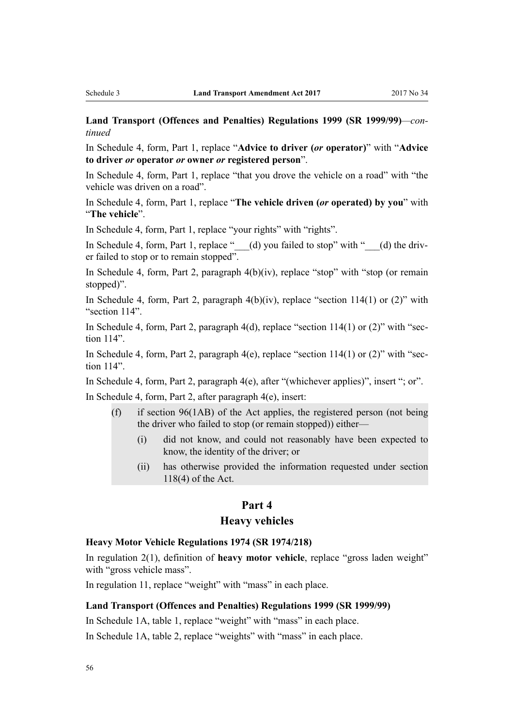<span id="page-55-0"></span>**Land Transport (Offences and Penalties) Regulations 1999 (SR 1999/99)***—continued*

In [Schedule 4,](http://prd-lgnz-nlb.prd.pco.net.nz/pdflink.aspx?id=DLM280543) form, Part 1, replace "**Advice to driver (***or* **operator)**" with "**Advice to driver** *or* **operator** *or* **owner** *or* **registered person**".

In [Schedule 4,](http://prd-lgnz-nlb.prd.pco.net.nz/pdflink.aspx?id=DLM280543) form, Part 1, replace "that you drove the vehicle on a road" with "the vehicle was driven on a road".

In [Schedule 4,](http://prd-lgnz-nlb.prd.pco.net.nz/pdflink.aspx?id=DLM280543) form, Part 1, replace "**The vehicle driven (***or* **operated) by you**" with "**The vehicle**".

In [Schedule 4](http://prd-lgnz-nlb.prd.pco.net.nz/pdflink.aspx?id=DLM280543), form, Part 1, replace "your rights" with "rights".

In [Schedule 4,](http://prd-lgnz-nlb.prd.pco.net.nz/pdflink.aspx?id=DLM280543) form, Part 1, replace " $\qquad$  (d) you failed to stop" with " $\qquad$  (d) the driver failed to stop or to remain stopped".

In [Schedule 4,](http://prd-lgnz-nlb.prd.pco.net.nz/pdflink.aspx?id=DLM280543) form, Part 2, paragraph 4(b)(iv), replace "stop" with "stop (or remain stopped)".

In [Schedule 4](http://prd-lgnz-nlb.prd.pco.net.nz/pdflink.aspx?id=DLM280543), form, Part 2, paragraph  $4(b)(iv)$ , replace "section 114(1) or (2)" with "section 114".

In [Schedule 4,](http://prd-lgnz-nlb.prd.pco.net.nz/pdflink.aspx?id=DLM280543) form, Part 2, paragraph 4(d), replace "section 114(1) or (2)" with "section 114".

In [Schedule 4,](http://prd-lgnz-nlb.prd.pco.net.nz/pdflink.aspx?id=DLM280543) form, Part 2, paragraph  $4(e)$ , replace "section  $114(1)$  or  $(2)$ " with "section 114".

In [Schedule 4](http://prd-lgnz-nlb.prd.pco.net.nz/pdflink.aspx?id=DLM280543), form, Part 2, paragraph 4(e), after "(whichever applies)", insert "; or". In [Schedule 4](http://prd-lgnz-nlb.prd.pco.net.nz/pdflink.aspx?id=DLM280543), form, Part 2, after paragraph 4(e), insert:

- (f) if section 96(1AB) of the Act applies, the registered person (not being the driver who failed to stop (or remain stopped)) either—
	- (i) did not know, and could not reasonably have been expected to know, the identity of the driver; or
	- (ii) has otherwise provided the information requested under section 118(4) of the Act.

# **Part 4**

#### **Heavy vehicles**

#### **[Heavy Motor Vehicle Regulations 1974](http://prd-lgnz-nlb.prd.pco.net.nz/pdflink.aspx?id=DLM43788) (SR 1974/218)**

In [regulation 2\(1\),](http://prd-lgnz-nlb.prd.pco.net.nz/pdflink.aspx?id=DLM43793) definition of **heavy motor vehicle**, replace "gross laden weight" with "gross vehicle mass".

In [regulation 11](http://prd-lgnz-nlb.prd.pco.net.nz/pdflink.aspx?id=DLM44715), replace "weight" with "mass" in each place.

#### **[Land Transport \(Offences and Penalties\) Regulations 1999](http://prd-lgnz-nlb.prd.pco.net.nz/pdflink.aspx?id=DLM280109) (SR 1999/99)**

In [Schedule 1A,](http://prd-lgnz-nlb.prd.pco.net.nz/pdflink.aspx?id=DLM280187) table 1, replace "weight" with "mass" in each place.

In [Schedule 1A,](http://prd-lgnz-nlb.prd.pco.net.nz/pdflink.aspx?id=DLM280187) table 2, replace "weights" with "mass" in each place.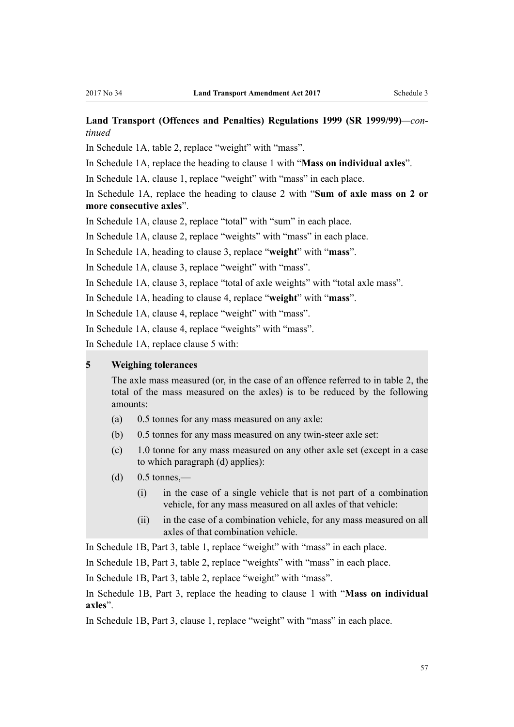# **Land Transport (Offences and Penalties) Regulations 1999 (SR 1999/99)***—continued*

In [Schedule 1A,](http://prd-lgnz-nlb.prd.pco.net.nz/pdflink.aspx?id=DLM280187) table 2, replace "weight" with "mass".

In [Schedule 1A,](http://prd-lgnz-nlb.prd.pco.net.nz/pdflink.aspx?id=DLM280187) replace the heading to clause 1 with "**Mass on individual axles**".

In [Schedule 1A,](http://prd-lgnz-nlb.prd.pco.net.nz/pdflink.aspx?id=DLM280187) clause 1, replace "weight" with "mass" in each place.

In [Schedule 1A,](http://prd-lgnz-nlb.prd.pco.net.nz/pdflink.aspx?id=DLM280187) replace the heading to clause 2 with "**Sum of axle mass on 2 or more consecutive axles**".

In [Schedule 1A,](http://prd-lgnz-nlb.prd.pco.net.nz/pdflink.aspx?id=DLM280187) clause 2, replace "total" with "sum" in each place.

In [Schedule 1A,](http://prd-lgnz-nlb.prd.pco.net.nz/pdflink.aspx?id=DLM280187) clause 2, replace "weights" with "mass" in each place.

In [Schedule 1A,](http://prd-lgnz-nlb.prd.pco.net.nz/pdflink.aspx?id=DLM280187) heading to clause 3, replace "**weight**" with "**mass**".

In [Schedule 1A,](http://prd-lgnz-nlb.prd.pco.net.nz/pdflink.aspx?id=DLM280187) clause 3, replace "weight" with "mass".

In [Schedule 1A,](http://prd-lgnz-nlb.prd.pco.net.nz/pdflink.aspx?id=DLM280187) clause 3, replace "total of axle weights" with "total axle mass".

In [Schedule 1A,](http://prd-lgnz-nlb.prd.pco.net.nz/pdflink.aspx?id=DLM280187) heading to clause 4, replace "**weight**" with "**mass**".

In [Schedule 1A,](http://prd-lgnz-nlb.prd.pco.net.nz/pdflink.aspx?id=DLM280187) clause 4, replace "weight" with "mass".

In [Schedule 1A,](http://prd-lgnz-nlb.prd.pco.net.nz/pdflink.aspx?id=DLM280187) clause 4, replace "weights" with "mass".

In [Schedule 1A,](http://prd-lgnz-nlb.prd.pco.net.nz/pdflink.aspx?id=DLM280187) replace clause 5 with:

## **5 Weighing tolerances**

The axle mass measured (or, in the case of an offence referred to in table 2, the total of the mass measured on the axles) is to be reduced by the following amounts:

- (a) 0.5 tonnes for any mass measured on any axle:
- (b) 0.5 tonnes for any mass measured on any twin-steer axle set:
- (c) 1.0 tonne for any mass measured on any other axle set (except in a case to which paragraph (d) applies):
- $(d)$  0.5 tonnes.—
	- (i) in the case of a single vehicle that is not part of a combination vehicle, for any mass measured on all axles of that vehicle:
	- (ii) in the case of a combination vehicle, for any mass measured on all axles of that combination vehicle.

In [Schedule 1B](http://prd-lgnz-nlb.prd.pco.net.nz/pdflink.aspx?id=DLM280197), Part 3, table 1, replace "weight" with "mass" in each place.

In [Schedule 1B](http://prd-lgnz-nlb.prd.pco.net.nz/pdflink.aspx?id=DLM280197), Part 3, table 2, replace "weights" with "mass" in each place.

In [Schedule 1B](http://prd-lgnz-nlb.prd.pco.net.nz/pdflink.aspx?id=DLM280197), Part 3, table 2, replace "weight" with "mass".

In [Schedule 1B](http://prd-lgnz-nlb.prd.pco.net.nz/pdflink.aspx?id=DLM280197), Part 3, replace the heading to clause 1 with "**Mass on individual axles**".

In [Schedule 1B](http://prd-lgnz-nlb.prd.pco.net.nz/pdflink.aspx?id=DLM280197), Part 3, clause 1, replace "weight" with "mass" in each place.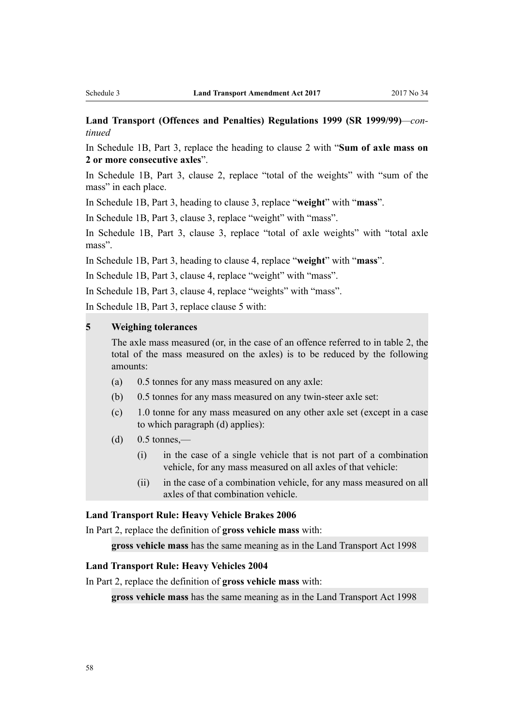# **Land Transport (Offences and Penalties) Regulations 1999 (SR 1999/99)***—continued*

In [Schedule 1B,](http://prd-lgnz-nlb.prd.pco.net.nz/pdflink.aspx?id=DLM280197) Part 3, replace the heading to clause 2 with "**Sum of axle mass on 2 or more consecutive axles**".

In [Schedule 1B](http://prd-lgnz-nlb.prd.pco.net.nz/pdflink.aspx?id=DLM280197), Part 3, clause 2, replace "total of the weights" with "sum of the mass" in each place.

In [Schedule 1B](http://prd-lgnz-nlb.prd.pco.net.nz/pdflink.aspx?id=DLM280197), Part 3, heading to clause 3, replace "**weight**" with "**mass**".

In [Schedule 1B](http://prd-lgnz-nlb.prd.pco.net.nz/pdflink.aspx?id=DLM280197), Part 3, clause 3, replace "weight" with "mass".

In [Schedule 1B](http://prd-lgnz-nlb.prd.pco.net.nz/pdflink.aspx?id=DLM280197), Part 3, clause 3, replace "total of axle weights" with "total axle mass".

In [Schedule 1B](http://prd-lgnz-nlb.prd.pco.net.nz/pdflink.aspx?id=DLM280197), Part 3, heading to clause 4, replace "**weight**" with "**mass**".

In [Schedule 1B](http://prd-lgnz-nlb.prd.pco.net.nz/pdflink.aspx?id=DLM280197), Part 3, clause 4, replace "weight" with "mass".

In [Schedule 1B](http://prd-lgnz-nlb.prd.pco.net.nz/pdflink.aspx?id=DLM280197), Part 3, clause 4, replace "weights" with "mass".

In [Schedule 1B](http://prd-lgnz-nlb.prd.pco.net.nz/pdflink.aspx?id=DLM280197), Part 3, replace clause 5 with:

### **5 Weighing tolerances**

The axle mass measured (or, in the case of an offence referred to in table 2, the total of the mass measured on the axles) is to be reduced by the following amounts:

- (a) 0.5 tonnes for any mass measured on any axle:
- (b) 0.5 tonnes for any mass measured on any twin-steer axle set:
- (c) 1.0 tonne for any mass measured on any other axle set (except in a case to which paragraph (d) applies):
- $(d)$  0.5 tonnes.—
	- (i) in the case of a single vehicle that is not part of a combination vehicle, for any mass measured on all axles of that vehicle:
	- (ii) in the case of a combination vehicle, for any mass measured on all axles of that combination vehicle.

## **[Land Transport Rule: Heavy Vehicle Brakes 2006](https://www.nzta.govt.nz/resources/rules/heavy-vehicle-brakes-2006-index/)**

In Part 2, replace the definition of **gross vehicle mass** with:

**gross vehicle mass** has the same meaning as in the Land Transport Act 1998

## **[Land Transport Rule: Heavy Vehicles 2004](https://nzta.govt.nz/resources/rules/heavy-vehicles-2004-index/)**

In Part 2, replace the definition of **gross vehicle mass** with:

**gross vehicle mass** has the same meaning as in the Land Transport Act 1998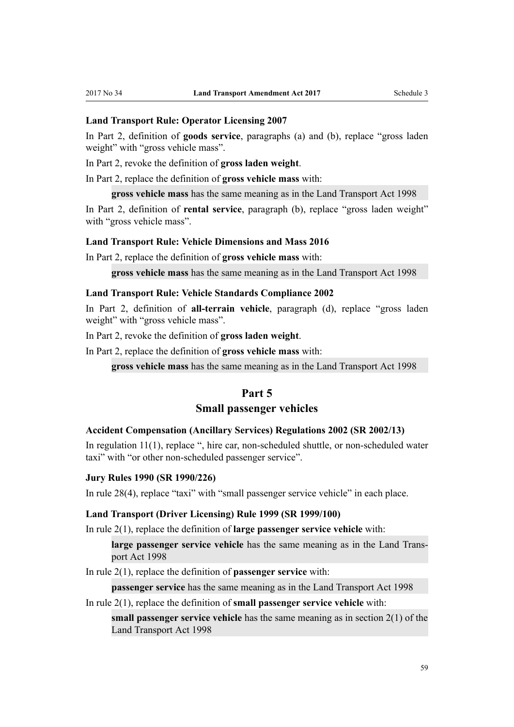## <span id="page-58-0"></span>**[Land Transport Rule: Operator Licensing 2007](https://www.nzta.govt.nz/resources/rules/operator-licensing-2007/)**

In Part 2, definition of **goods service**, paragraphs (a) and (b), replace "gross laden weight" with "gross vehicle mass".

In Part 2, revoke the definition of **gross laden weight**.

In Part 2, replace the definition of **gross vehicle mass** with:

**gross vehicle mass** has the same meaning as in the Land Transport Act 1998

In Part 2, definition of **rental service**, paragraph (b), replace "gross laden weight" with "gross vehicle mass".

#### **[Land Transport Rule: Vehicle Dimensions and Mass 2016](https://www.nzta.govt.nz/resources/rules/vehicle-dimensions-and-mass-2016/)**

In Part 2, replace the definition of **gross vehicle mass** with:

**gross vehicle mass** has the same meaning as in the Land Transport Act 1998

#### **[Land Transport Rule: Vehicle Standards Compliance 2002](https://www.nzta.govt.nz/resources/rules/vehicle-standards-compliance-2002-index/)**

In Part 2, definition of **all-terrain vehicle**, paragraph (d), replace "gross laden weight" with "gross vehicle mass".

In Part 2, revoke the definition of **gross laden weight**.

In Part 2, replace the definition of **gross vehicle mass** with:

**gross vehicle mass** has the same meaning as in the Land Transport Act 1998

## **Part 5**

#### **Small passenger vehicles**

#### **[Accident Compensation \(Ancillary Services\) Regulations 2002](http://prd-lgnz-nlb.prd.pco.net.nz/pdflink.aspx?id=DLM109328) (SR 2002/13)**

In [regulation 11\(1\)](http://prd-lgnz-nlb.prd.pco.net.nz/pdflink.aspx?id=DLM109358), replace ", hire car, non-scheduled shuttle, or non-scheduled water taxi" with "or other non-scheduled passenger service".

#### **[Jury Rules 1990](http://prd-lgnz-nlb.prd.pco.net.nz/pdflink.aspx?id=DLM140657) (SR 1990/226)**

In [rule 28\(4\)](http://prd-lgnz-nlb.prd.pco.net.nz/pdflink.aspx?id=DLM141224), replace "taxi" with "small passenger service vehicle" in each place.

#### **[Land Transport \(Driver Licensing\) Rule 1999](http://prd-lgnz-nlb.prd.pco.net.nz/pdflink.aspx?id=DLM280561) (SR 1999/100)**

In [rule 2\(1\),](http://prd-lgnz-nlb.prd.pco.net.nz/pdflink.aspx?id=DLM280567) replace the definition of **large passenger service vehicle** with:

**large passenger service vehicle** has the same meaning as in the Land Transport Act 1998

In [rule 2\(1\),](http://prd-lgnz-nlb.prd.pco.net.nz/pdflink.aspx?id=DLM280567) replace the definition of **passenger service** with:

**passenger service** has the same meaning as in the Land Transport Act 1998

In [rule 2\(1\),](http://prd-lgnz-nlb.prd.pco.net.nz/pdflink.aspx?id=DLM280567) replace the definition of **small passenger service vehicle** with:

**small passenger service vehicle** has the same meaning as in section 2(1) of the Land Transport Act 1998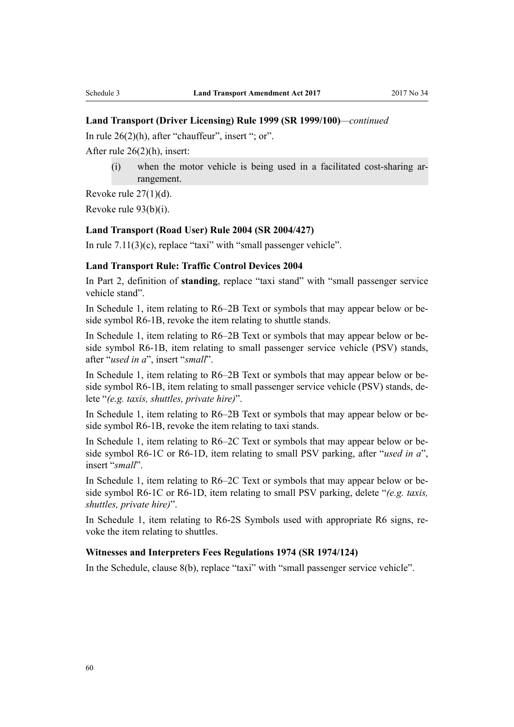#### **Land Transport (Driver Licensing) Rule 1999 (SR 1999/100)***—continued*

In [rule 26\(2\)\(h\),](http://prd-lgnz-nlb.prd.pco.net.nz/pdflink.aspx?id=DLM281374) after "chauffeur", insert "; or".

After [rule 26\(2\)\(h\)](http://prd-lgnz-nlb.prd.pco.net.nz/pdflink.aspx?id=DLM281374), insert:

(i) when the motor vehicle is being used in a facilitated cost-sharing arrangement.

Revoke [rule 27\(1\)\(d\)](http://prd-lgnz-nlb.prd.pco.net.nz/pdflink.aspx?id=DLM281383).

Revoke [rule 93\(b\)\(i\).](http://prd-lgnz-nlb.prd.pco.net.nz/pdflink.aspx?id=DLM281990)

#### **[Land Transport \(Road User\) Rule 2004](http://prd-lgnz-nlb.prd.pco.net.nz/pdflink.aspx?id=DLM302187) (SR 2004/427)**

In [rule 7.11\(3\)\(c\)](http://prd-lgnz-nlb.prd.pco.net.nz/pdflink.aspx?id=DLM303629), replace "taxi" with "small passenger vehicle".

#### **[Land Transport Rule: Traffic Control Devices 2004](https://www.nzta.govt.nz/resources/rules/traffic-control-devices-index/)**

In Part 2, definition of **standing**, replace "taxi stand" with "small passenger service vehicle stand".

In Schedule 1, item relating to R6–2B Text or symbols that may appear below or beside symbol R6-1B, revoke the item relating to shuttle stands.

In Schedule 1, item relating to R6–2B Text or symbols that may appear below or beside symbol R6-1B, item relating to small passenger service vehicle (PSV) stands, after "*used in a*", insert "*small*".

In Schedule 1, item relating to R6–2B Text or symbols that may appear below or beside symbol R6-1B, item relating to small passenger service vehicle (PSV) stands, delete "*(e.g. taxis, shuttles, private hire)*".

In Schedule 1, item relating to R6–2B Text or symbols that may appear below or beside symbol R6-1B, revoke the item relating to taxi stands.

In Schedule 1, item relating to R6–2C Text or symbols that may appear below or beside symbol R6-1C or R6-1D, item relating to small PSV parking, after "*used in a*", insert "*small*".

In Schedule 1, item relating to R6–2C Text or symbols that may appear below or beside symbol R6-1C or R6-1D, item relating to small PSV parking, delete "*(e.g. taxis, shuttles, private hire)*".

In Schedule 1, item relating to R6-2S Symbols used with appropriate R6 signs, revoke the item relating to shuttles.

## **[Witnesses and Interpreters Fees Regulations 1974](http://prd-lgnz-nlb.prd.pco.net.nz/pdflink.aspx?id=DLM42088) (SR 1974/124)**

In the Schedule, clause 8(b), replace "taxi" with "small passenger service vehicle".